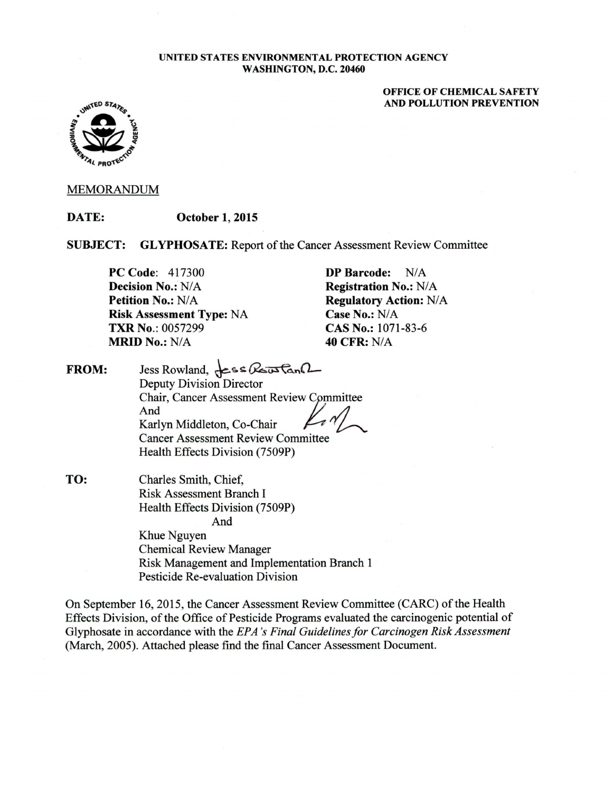#### UNITED STATES ENVIRONMENTAL PROTECTION AGENCY WASHINGTON, D.C. 20460

#### OFFICE OF CHEMICAL SAFETY AND POLLUTION PREVENTION



#### MEMORANDUM

DATE: October 1, 2015

SUBJECT: GLYPHOSATE: Report of the Cancer Assessment Review Committee

PC Code: 417300 Decision No.: N/A Petition No.: N/A Risk Assessment Type: NA TXR No.: 0057299 **MRID No.: N/A** 

DP Barcode: N/A Registration No.: N/A Regulatory Action: N/A Case No.:  $N/A$ CAS No.: 1071-83-6 40 CFR: NIA

FROM: Jess Rowland,  $\textsf{L}\textsf{s}\textsf{s}\textsf{R}\textsf{s}\textsf{S}\textsf{R}\textsf{S}\textsf{R}$ Deputy Division Director Chair, Cancer Assessment Reviewlmmittee And JI And<br>Karlyn Middleton, Co-Chair Cancer Assessment Review Committee Health Effects Division (7509P)

TO: Charles Smith, Chief, Risk Assessment Branch I Health Effects Division (7509P) And Khue Nguyen Chemical Review Manager

Risk Management and Implementation Branch 1 Pesticide Re-evaluation Division

On September 16, 2015, the Cancer Assessment Review Committee (CARC) of the Health Effects Division, of the Office of Pesticide Programs evaluated the carcinogenic potential of Glyphosate in accordance with the *EPA 's Final Guidelines for Carcinogen Risk Assessment*  (March, 2005). Attached please find the final Cancer Assessment Document.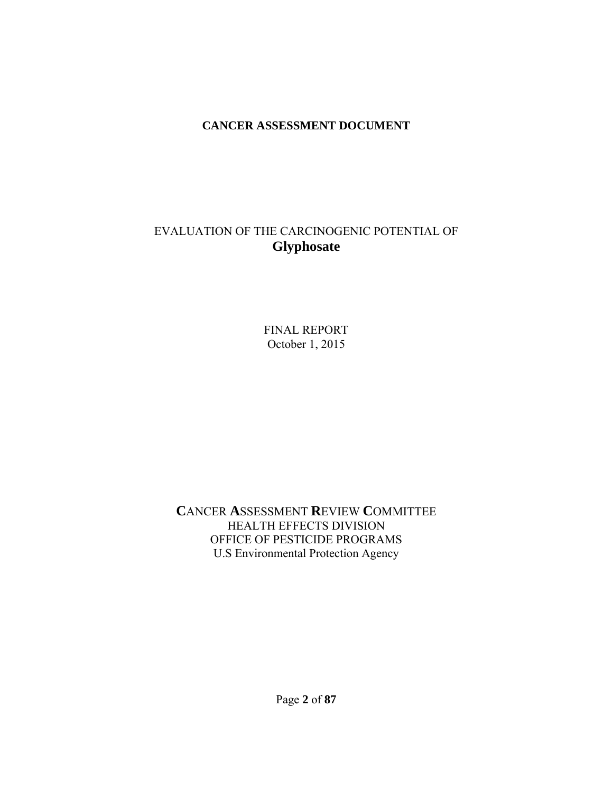#### **CANCER ASSESSMENT DOCUMENT**

## EVALUATION OF THE CARCINOGENIC POTENTIAL OF **Glyphosate**

FINAL REPORT October 1, 2015

**C**ANCER **A**SSESSMENT **R**EVIEW **C**OMMITTEE HEALTH EFFECTS DIVISION OFFICE OF PESTICIDE PROGRAMS U.S Environmental Protection Agency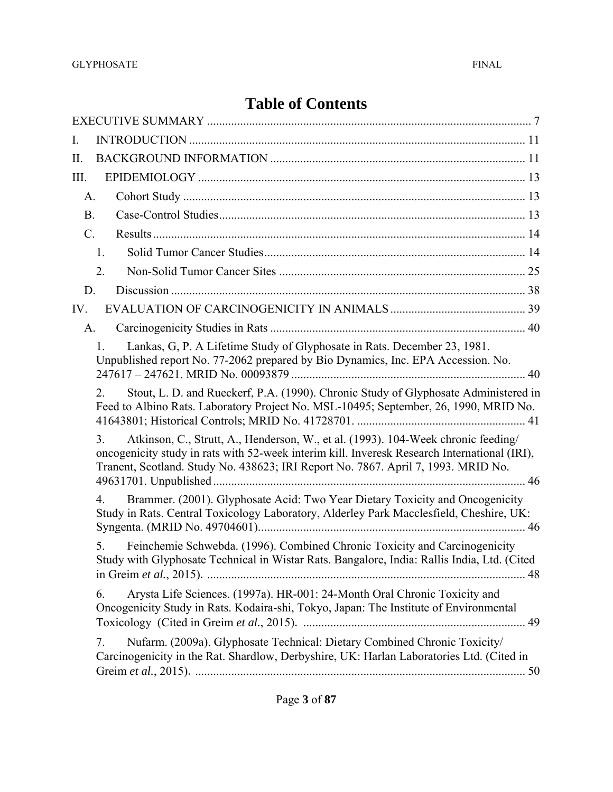# **Table of Contents**

| I.                                                                                                                                                                                                                                                                           |  |
|------------------------------------------------------------------------------------------------------------------------------------------------------------------------------------------------------------------------------------------------------------------------------|--|
| П.                                                                                                                                                                                                                                                                           |  |
| III.                                                                                                                                                                                                                                                                         |  |
| A.                                                                                                                                                                                                                                                                           |  |
| <b>B.</b>                                                                                                                                                                                                                                                                    |  |
| $\mathcal{C}$ .                                                                                                                                                                                                                                                              |  |
| 1.                                                                                                                                                                                                                                                                           |  |
| 2.                                                                                                                                                                                                                                                                           |  |
| D.                                                                                                                                                                                                                                                                           |  |
| IV.                                                                                                                                                                                                                                                                          |  |
| A.                                                                                                                                                                                                                                                                           |  |
| Lankas, G, P. A Lifetime Study of Glyphosate in Rats. December 23, 1981.<br>$\mathbf{1}$<br>Unpublished report No. 77-2062 prepared by Bio Dynamics, Inc. EPA Accession. No.                                                                                                 |  |
| Stout, L. D. and Rueckerf, P.A. (1990). Chronic Study of Glyphosate Administered in<br>2.<br>Feed to Albino Rats. Laboratory Project No. MSL-10495; September, 26, 1990, MRID No.                                                                                            |  |
| Atkinson, C., Strutt, A., Henderson, W., et al. (1993). 104-Week chronic feeding/<br>3.<br>oncogenicity study in rats with 52-week interim kill. Inveresk Research International (IRI),<br>Tranent, Scotland. Study No. 438623; IRI Report No. 7867. April 7, 1993. MRID No. |  |
| Brammer. (2001). Glyphosate Acid: Two Year Dietary Toxicity and Oncogenicity<br>$\overline{4}$ .<br>Study in Rats. Central Toxicology Laboratory, Alderley Park Macclesfield, Cheshire, UK:                                                                                  |  |
| Feinchemie Schwebda. (1996). Combined Chronic Toxicity and Carcinogenicity<br>5.<br>Study with Glyphosate Technical in Wistar Rats. Bangalore, India: Rallis India, Ltd. (Cited                                                                                              |  |
| Arysta Life Sciences. (1997a). HR-001: 24-Month Oral Chronic Toxicity and<br>6.<br>Oncogenicity Study in Rats. Kodaira-shi, Tokyo, Japan: The Institute of Environmental                                                                                                     |  |
| Nufarm. (2009a). Glyphosate Technical: Dietary Combined Chronic Toxicity/<br>7.<br>Carcinogenicity in the Rat. Shardlow, Derbyshire, UK: Harlan Laboratories Ltd. (Cited in                                                                                                  |  |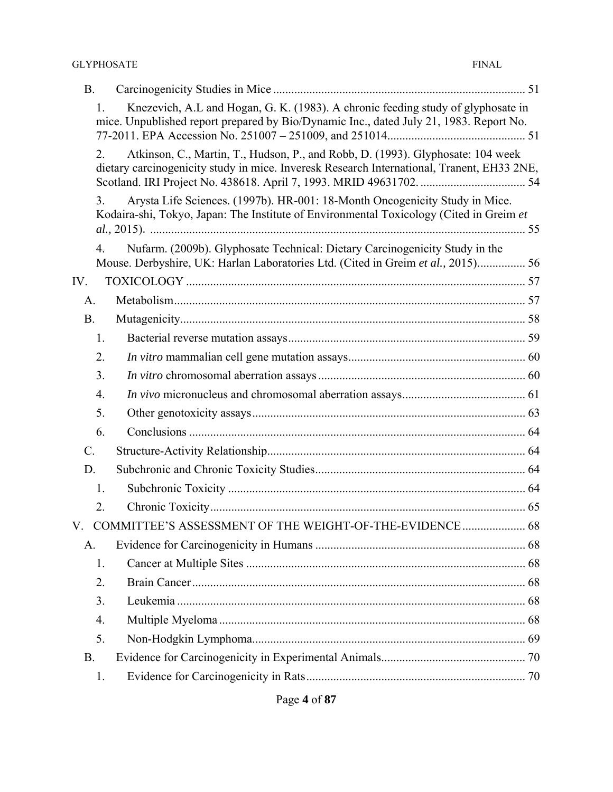| <b>B.</b>       |                  |                                                                                                                                                                               |  |
|-----------------|------------------|-------------------------------------------------------------------------------------------------------------------------------------------------------------------------------|--|
|                 | 1.               | Knezevich, A.L and Hogan, G. K. (1983). A chronic feeding study of glyphosate in<br>mice. Unpublished report prepared by Bio/Dynamic Inc., dated July 21, 1983. Report No.    |  |
|                 | 2.               | Atkinson, C., Martin, T., Hudson, P., and Robb, D. (1993). Glyphosate: 104 week<br>dietary carcinogenicity study in mice. Inveresk Research International, Tranent, EH33 2NE, |  |
|                 | 3 <sub>1</sub>   | Arysta Life Sciences. (1997b). HR-001: 18-Month Oncogenicity Study in Mice.<br>Kodaira-shi, Tokyo, Japan: The Institute of Environmental Toxicology (Cited in Greim et        |  |
|                 | $\overline{4}$ . | Nufarm. (2009b). Glyphosate Technical: Dietary Carcinogenicity Study in the                                                                                                   |  |
|                 |                  | Mouse. Derbyshire, UK: Harlan Laboratories Ltd. (Cited in Greim et al., 2015) 56                                                                                              |  |
| IV.             |                  |                                                                                                                                                                               |  |
| A.              |                  |                                                                                                                                                                               |  |
| <b>B.</b>       |                  |                                                                                                                                                                               |  |
|                 | 1.               |                                                                                                                                                                               |  |
|                 | 2.               |                                                                                                                                                                               |  |
|                 | 3.               |                                                                                                                                                                               |  |
|                 | 4.               |                                                                                                                                                                               |  |
|                 | 5.               |                                                                                                                                                                               |  |
|                 | 6.               |                                                                                                                                                                               |  |
| $\mathcal{C}$ . |                  |                                                                                                                                                                               |  |
| D.              |                  |                                                                                                                                                                               |  |
|                 | 1.               |                                                                                                                                                                               |  |
|                 | 2.               |                                                                                                                                                                               |  |
| V.              |                  | COMMITTEE'S ASSESSMENT OF THE WEIGHT-OF-THE-EVIDENCE 68                                                                                                                       |  |
| A.              |                  |                                                                                                                                                                               |  |
|                 | 1.               |                                                                                                                                                                               |  |
|                 | 2.               |                                                                                                                                                                               |  |
|                 | 3.               |                                                                                                                                                                               |  |
|                 | 4.               |                                                                                                                                                                               |  |
|                 | 5.               |                                                                                                                                                                               |  |
| <b>B.</b>       |                  |                                                                                                                                                                               |  |
|                 | 1.               |                                                                                                                                                                               |  |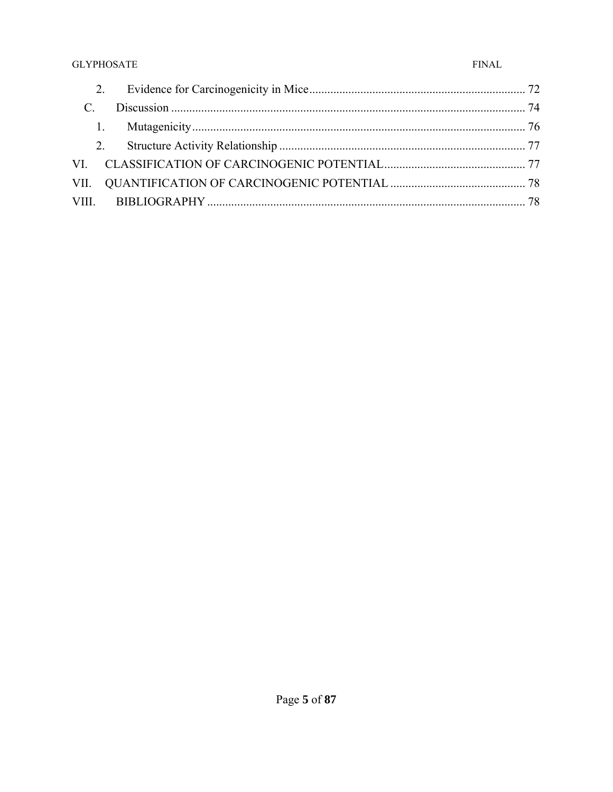| $\mathcal{C}$ |  |
|---------------|--|
|               |  |
|               |  |
|               |  |
|               |  |
|               |  |
|               |  |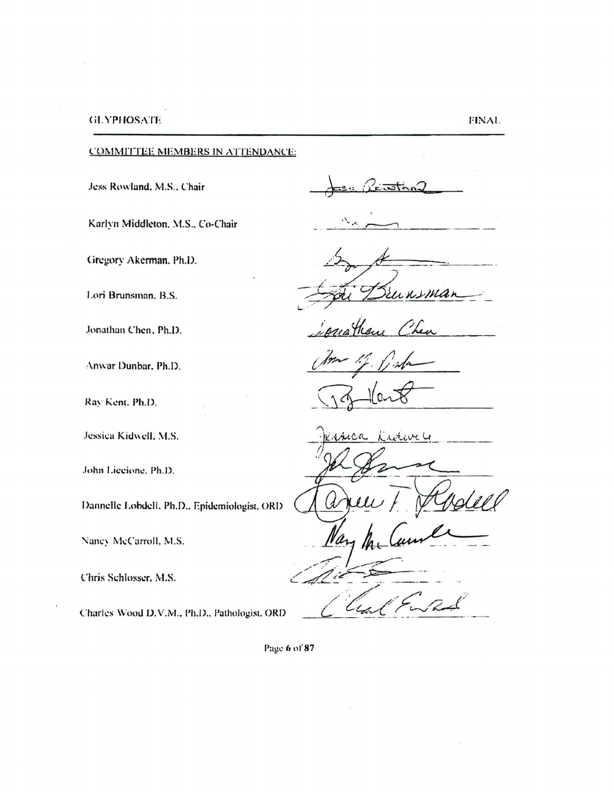COMMITTEE MEMBERS IN ATTENDANCE:

Jess Rowland, M.S., Chair

 $L$ Man

Karlyn Middleton. M.S., Co-Chair

Gregory Akerman. Ph.D.

Lori Brunsman, B.S.

Jonathan Chen. Ph.D.

:\nwar Dunbar. Ph.D.

Ray Kent. Ph.D.

Jessica Kidwell, M.S.

.lohn Liccione. Ph.D.

Dannelle Lobdell, Ph.D., Epidemiologist, ORD

Nancy McCarroll, M.S.

Chris Schlosser. M.S.

Charles Wood D.V.M., Ph.D., Pathologist. ORD

Page 6 of 87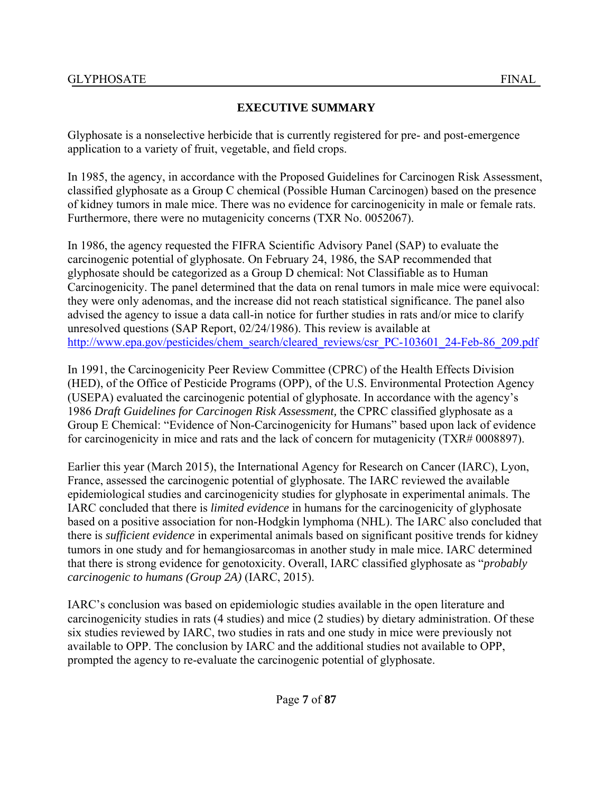## **EXECUTIVE SUMMARY**

Glyphosate is a nonselective herbicide that is currently registered for pre- and post-emergence application to a variety of fruit, vegetable, and field crops.

In 1985, the agency, in accordance with the Proposed Guidelines for Carcinogen Risk Assessment, classified glyphosate as a Group C chemical (Possible Human Carcinogen) based on the presence of kidney tumors in male mice. There was no evidence for carcinogenicity in male or female rats. Furthermore, there were no mutagenicity concerns (TXR No. 0052067).

In 1986, the agency requested the FIFRA Scientific Advisory Panel (SAP) to evaluate the carcinogenic potential of glyphosate. On February 24, 1986, the SAP recommended that glyphosate should be categorized as a Group D chemical: Not Classifiable as to Human Carcinogenicity. The panel determined that the data on renal tumors in male mice were equivocal: they were only adenomas, and the increase did not reach statistical significance. The panel also advised the agency to issue a data call-in notice for further studies in rats and/or mice to clarify unresolved questions (SAP Report, 02/24/1986). This review is available at http://www.epa.gov/pesticides/chem\_search/cleared\_reviews/csr\_PC-103601\_24-Feb-86\_209.pdf

In 1991, the Carcinogenicity Peer Review Committee (CPRC) of the Health Effects Division (HED), of the Office of Pesticide Programs (OPP), of the U.S. Environmental Protection Agency (USEPA) evaluated the carcinogenic potential of glyphosate. In accordance with the agency's 1986 *Draft Guidelines for Carcinogen Risk Assessment,* the CPRC classified glyphosate as a Group E Chemical: "Evidence of Non-Carcinogenicity for Humans" based upon lack of evidence for carcinogenicity in mice and rats and the lack of concern for mutagenicity (TXR# 0008897).

Earlier this year (March 2015), the International Agency for Research on Cancer (IARC), Lyon, France, assessed the carcinogenic potential of glyphosate. The IARC reviewed the available epidemiological studies and carcinogenicity studies for glyphosate in experimental animals. The IARC concluded that there is *limited evidence* in humans for the carcinogenicity of glyphosate based on a positive association for non-Hodgkin lymphoma (NHL). The IARC also concluded that there is *sufficient evidence* in experimental animals based on significant positive trends for kidney tumors in one study and for hemangiosarcomas in another study in male mice. IARC determined that there is strong evidence for genotoxicity. Overall, IARC classified glyphosate as "*probably carcinogenic to humans (Group 2A)* (IARC, 2015).

IARC's conclusion was based on epidemiologic studies available in the open literature and carcinogenicity studies in rats (4 studies) and mice (2 studies) by dietary administration. Of these six studies reviewed by IARC, two studies in rats and one study in mice were previously not available to OPP. The conclusion by IARC and the additional studies not available to OPP, prompted the agency to re-evaluate the carcinogenic potential of glyphosate.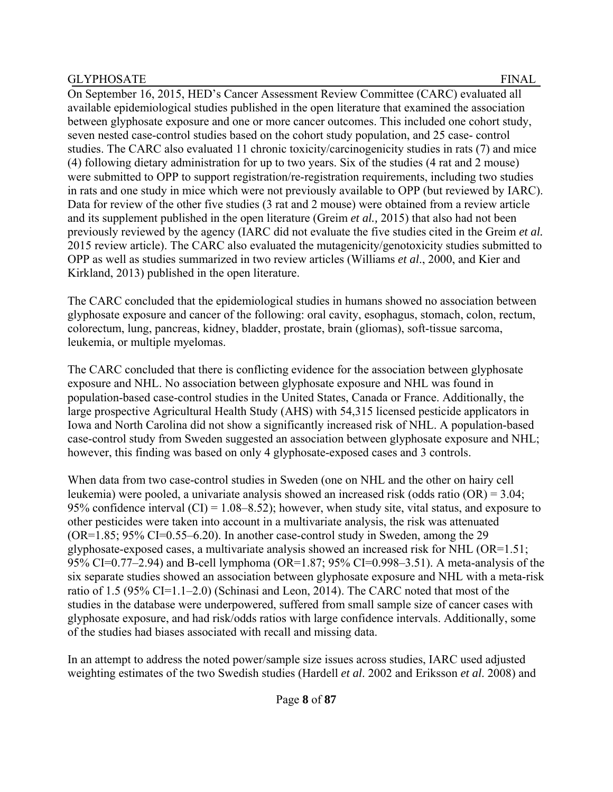On September 16, 2015, HED's Cancer Assessment Review Committee (CARC) evaluated all available epidemiological studies published in the open literature that examined the association between glyphosate exposure and one or more cancer outcomes. This included one cohort study, seven nested case-control studies based on the cohort study population, and 25 case- control studies. The CARC also evaluated 11 chronic toxicity/carcinogenicity studies in rats (7) and mice (4) following dietary administration for up to two years. Six of the studies (4 rat and 2 mouse) were submitted to OPP to support registration/re-registration requirements, including two studies in rats and one study in mice which were not previously available to OPP (but reviewed by IARC). Data for review of the other five studies (3 rat and 2 mouse) were obtained from a review article and its supplement published in the open literature (Greim *et al.,* 2015) that also had not been previously reviewed by the agency (IARC did not evaluate the five studies cited in the Greim *et al.* 2015 review article). The CARC also evaluated the mutagenicity/genotoxicity studies submitted to OPP as well as studies summarized in two review articles (Williams *et al*., 2000, and Kier and Kirkland, 2013) published in the open literature.

The CARC concluded that the epidemiological studies in humans showed no association between glyphosate exposure and cancer of the following: oral cavity, esophagus, stomach, colon, rectum, colorectum, lung, pancreas, kidney, bladder, prostate, brain (gliomas), soft-tissue sarcoma, leukemia, or multiple myelomas.

The CARC concluded that there is conflicting evidence for the association between glyphosate exposure and NHL. No association between glyphosate exposure and NHL was found in population-based case-control studies in the United States, Canada or France. Additionally, the large prospective Agricultural Health Study (AHS) with 54,315 licensed pesticide applicators in Iowa and North Carolina did not show a significantly increased risk of NHL. A population-based case-control study from Sweden suggested an association between glyphosate exposure and NHL; however, this finding was based on only 4 glyphosate-exposed cases and 3 controls.

When data from two case-control studies in Sweden (one on NHL and the other on hairy cell leukemia) were pooled, a univariate analysis showed an increased risk (odds ratio (OR) = 3.04; 95% confidence interval  $(CI) = 1.08 - 8.52$ ; however, when study site, vital status, and exposure to other pesticides were taken into account in a multivariate analysis, the risk was attenuated  $(OR=1.85; 95\% CI=0.55-6.20)$ . In another case-control study in Sweden, among the 29 glyphosate-exposed cases, a multivariate analysis showed an increased risk for NHL (OR=1.51; 95% CI=0.77–2.94) and B-cell lymphoma (OR=1.87; 95% CI=0.998–3.51). A meta-analysis of the six separate studies showed an association between glyphosate exposure and NHL with a meta-risk ratio of 1.5 (95% CI=1.1–2.0) (Schinasi and Leon, 2014). The CARC noted that most of the studies in the database were underpowered, suffered from small sample size of cancer cases with glyphosate exposure, and had risk/odds ratios with large confidence intervals. Additionally, some of the studies had biases associated with recall and missing data.

In an attempt to address the noted power/sample size issues across studies, IARC used adjusted weighting estimates of the two Swedish studies (Hardell *et al*. 2002 and Eriksson *et al*. 2008) and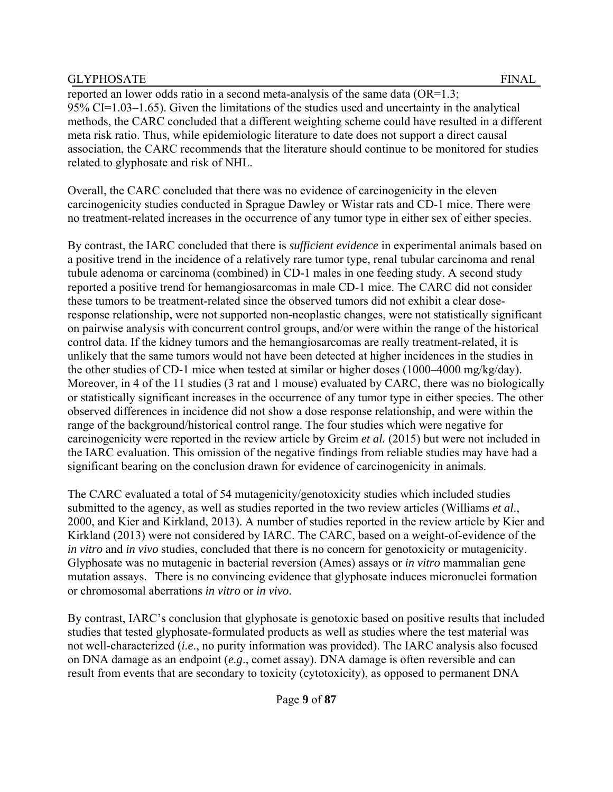reported an lower odds ratio in a second meta-analysis of the same data  $(OR=1.3;$ 95% CI=1.03–1.65). Given the limitations of the studies used and uncertainty in the analytical methods, the CARC concluded that a different weighting scheme could have resulted in a different meta risk ratio. Thus, while epidemiologic literature to date does not support a direct causal association, the CARC recommends that the literature should continue to be monitored for studies related to glyphosate and risk of NHL.

Overall, the CARC concluded that there was no evidence of carcinogenicity in the eleven carcinogenicity studies conducted in Sprague Dawley or Wistar rats and CD-1 mice. There were no treatment-related increases in the occurrence of any tumor type in either sex of either species.

By contrast, the IARC concluded that there is *sufficient evidence* in experimental animals based on a positive trend in the incidence of a relatively rare tumor type, renal tubular carcinoma and renal tubule adenoma or carcinoma (combined) in CD-1 males in one feeding study. A second study reported a positive trend for hemangiosarcomas in male CD-1 mice. The CARC did not consider these tumors to be treatment-related since the observed tumors did not exhibit a clear doseresponse relationship, were not supported non-neoplastic changes, were not statistically significant on pairwise analysis with concurrent control groups, and/or were within the range of the historical control data. If the kidney tumors and the hemangiosarcomas are really treatment-related, it is unlikely that the same tumors would not have been detected at higher incidences in the studies in the other studies of CD-1 mice when tested at similar or higher doses (1000–4000 mg/kg/day). Moreover, in 4 of the 11 studies (3 rat and 1 mouse) evaluated by CARC, there was no biologically or statistically significant increases in the occurrence of any tumor type in either species. The other observed differences in incidence did not show a dose response relationship, and were within the range of the background/historical control range. The four studies which were negative for carcinogenicity were reported in the review article by Greim *et al.* (2015) but were not included in the IARC evaluation. This omission of the negative findings from reliable studies may have had a significant bearing on the conclusion drawn for evidence of carcinogenicity in animals.

The CARC evaluated a total of 54 mutagenicity/genotoxicity studies which included studies submitted to the agency, as well as studies reported in the two review articles (Williams *et al*., 2000, and Kier and Kirkland, 2013). A number of studies reported in the review article by Kier and Kirkland (2013) were not considered by IARC. The CARC, based on a weight-of-evidence of the *in vitro* and *in vivo* studies, concluded that there is no concern for genotoxicity or mutagenicity. Glyphosate was no mutagenic in bacterial reversion (Ames) assays or *in vitro* mammalian gene mutation assays. There is no convincing evidence that glyphosate induces micronuclei formation or chromosomal aberrations *in vitro* or *in vivo*.

By contrast, IARC's conclusion that glyphosate is genotoxic based on positive results that included studies that tested glyphosate-formulated products as well as studies where the test material was not well-characterized (*i.e*., no purity information was provided). The IARC analysis also focused on DNA damage as an endpoint (*e.g*., comet assay). DNA damage is often reversible and can result from events that are secondary to toxicity (cytotoxicity), as opposed to permanent DNA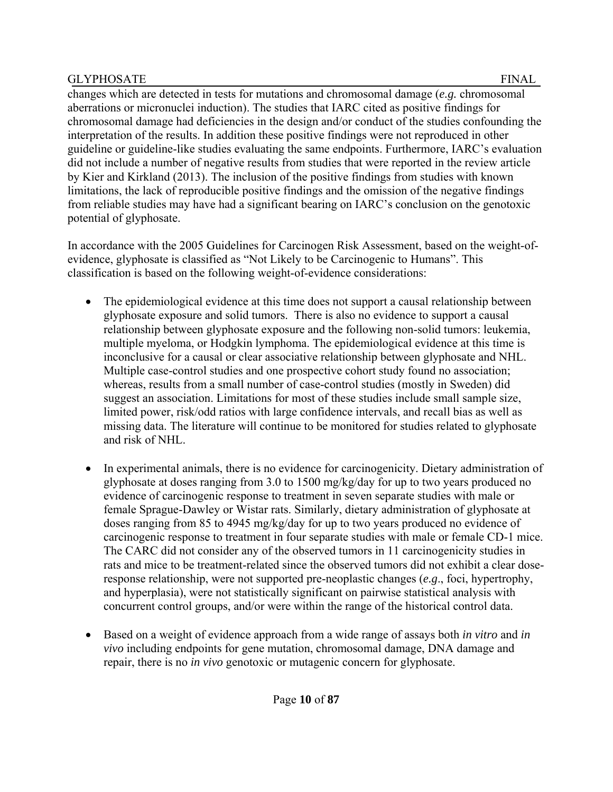changes which are detected in tests for mutations and chromosomal damage (*e.g.* chromosomal aberrations or micronuclei induction). The studies that IARC cited as positive findings for chromosomal damage had deficiencies in the design and/or conduct of the studies confounding the interpretation of the results. In addition these positive findings were not reproduced in other guideline or guideline-like studies evaluating the same endpoints. Furthermore, IARC's evaluation did not include a number of negative results from studies that were reported in the review article by Kier and Kirkland (2013). The inclusion of the positive findings from studies with known limitations, the lack of reproducible positive findings and the omission of the negative findings from reliable studies may have had a significant bearing on IARC's conclusion on the genotoxic potential of glyphosate.

In accordance with the 2005 Guidelines for Carcinogen Risk Assessment, based on the weight-ofevidence, glyphosate is classified as "Not Likely to be Carcinogenic to Humans". This classification is based on the following weight-of-evidence considerations:

- The epidemiological evidence at this time does not support a causal relationship between glyphosate exposure and solid tumors. There is also no evidence to support a causal relationship between glyphosate exposure and the following non-solid tumors: leukemia, multiple myeloma, or Hodgkin lymphoma. The epidemiological evidence at this time is inconclusive for a causal or clear associative relationship between glyphosate and NHL. Multiple case-control studies and one prospective cohort study found no association; whereas, results from a small number of case-control studies (mostly in Sweden) did suggest an association. Limitations for most of these studies include small sample size, limited power, risk/odd ratios with large confidence intervals, and recall bias as well as missing data. The literature will continue to be monitored for studies related to glyphosate and risk of NHL.
- In experimental animals, there is no evidence for carcinogenicity. Dietary administration of glyphosate at doses ranging from 3.0 to 1500 mg/kg/day for up to two years produced no evidence of carcinogenic response to treatment in seven separate studies with male or female Sprague-Dawley or Wistar rats. Similarly, dietary administration of glyphosate at doses ranging from 85 to 4945 mg/kg/day for up to two years produced no evidence of carcinogenic response to treatment in four separate studies with male or female CD-1 mice. The CARC did not consider any of the observed tumors in 11 carcinogenicity studies in rats and mice to be treatment-related since the observed tumors did not exhibit a clear doseresponse relationship, were not supported pre-neoplastic changes (*e.g*., foci, hypertrophy, and hyperplasia), were not statistically significant on pairwise statistical analysis with concurrent control groups, and/or were within the range of the historical control data.
- Based on a weight of evidence approach from a wide range of assays both *in vitro* and *in vivo* including endpoints for gene mutation, chromosomal damage, DNA damage and repair, there is no *in vivo* genotoxic or mutagenic concern for glyphosate.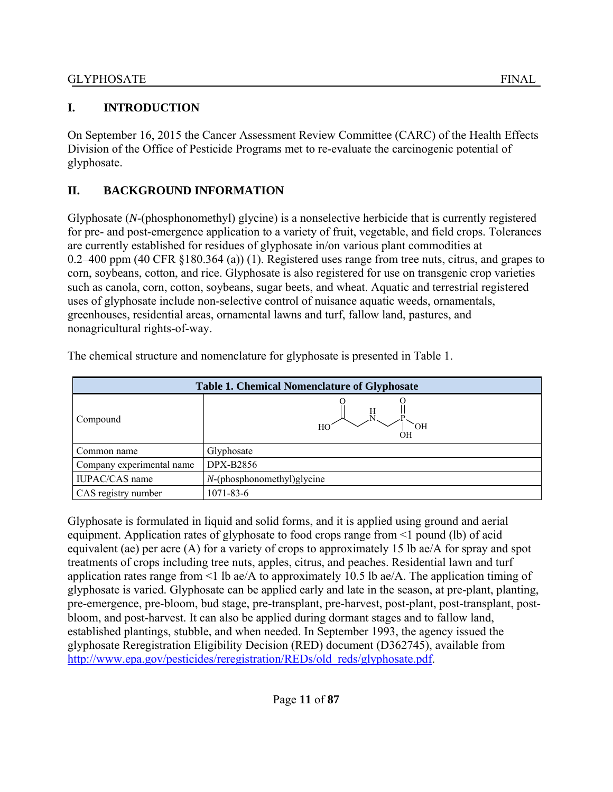On September 16, 2015 the Cancer Assessment Review Committee (CARC) of the Health Effects Division of the Office of Pesticide Programs met to re-evaluate the carcinogenic potential of glyphosate.

# **II. BACKGROUND INFORMATION**

Glyphosate (*N*-(phosphonomethyl) glycine) is a nonselective herbicide that is currently registered for pre- and post-emergence application to a variety of fruit, vegetable, and field crops. Tolerances are currently established for residues of glyphosate in/on various plant commodities at 0.2–400 ppm (40 CFR §180.364 (a)) (1). Registered uses range from tree nuts, citrus, and grapes to corn, soybeans, cotton, and rice. Glyphosate is also registered for use on transgenic crop varieties such as canola, corn, cotton, soybeans, sugar beets, and wheat. Aquatic and terrestrial registered uses of glyphosate include non-selective control of nuisance aquatic weeds, ornamentals, greenhouses, residential areas, ornamental lawns and turf, fallow land, pastures, and nonagricultural rights-of-way.

| <b>Table 1. Chemical Nomenclature of Glyphosate</b> |                               |  |  |  |
|-----------------------------------------------------|-------------------------------|--|--|--|
| Compound                                            | HО                            |  |  |  |
| Common name                                         | Glyphosate                    |  |  |  |
| Company experimental name                           | DPX-B2856                     |  |  |  |
| IUPAC/CAS name                                      | $N$ -(phosphonomethyl)glycine |  |  |  |
| CAS registry number                                 | 1071-83-6                     |  |  |  |

The chemical structure and nomenclature for glyphosate is presented in Table 1.

Glyphosate is formulated in liquid and solid forms, and it is applied using ground and aerial equipment. Application rates of glyphosate to food crops range from <1 pound (lb) of acid equivalent (ae) per acre (A) for a variety of crops to approximately 15 lb ae/A for spray and spot treatments of crops including tree nuts, apples, citrus, and peaches. Residential lawn and turf application rates range from <1 lb ae/A to approximately 10.5 lb ae/A. The application timing of glyphosate is varied. Glyphosate can be applied early and late in the season, at pre-plant, planting, pre-emergence, pre-bloom, bud stage, pre-transplant, pre-harvest, post-plant, post-transplant, postbloom, and post-harvest. It can also be applied during dormant stages and to fallow land, established plantings, stubble, and when needed. In September 1993, the agency issued the glyphosate Reregistration Eligibility Decision (RED) document (D362745), available from http://www.epa.gov/pesticides/reregistration/REDs/old\_reds/glyphosate.pdf.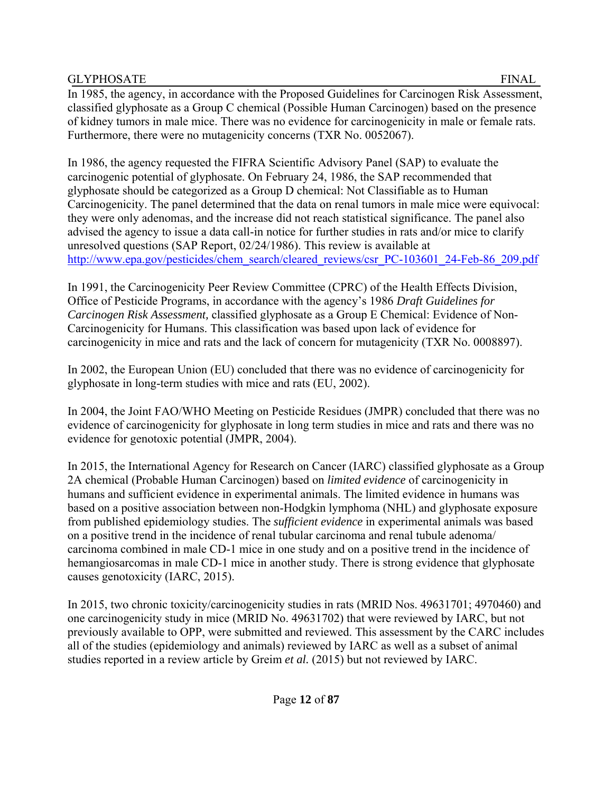In 1985, the agency, in accordance with the Proposed Guidelines for Carcinogen Risk Assessment, classified glyphosate as a Group C chemical (Possible Human Carcinogen) based on the presence of kidney tumors in male mice. There was no evidence for carcinogenicity in male or female rats. Furthermore, there were no mutagenicity concerns (TXR No. 0052067).

In 1986, the agency requested the FIFRA Scientific Advisory Panel (SAP) to evaluate the carcinogenic potential of glyphosate. On February 24, 1986, the SAP recommended that glyphosate should be categorized as a Group D chemical: Not Classifiable as to Human Carcinogenicity. The panel determined that the data on renal tumors in male mice were equivocal: they were only adenomas, and the increase did not reach statistical significance. The panel also advised the agency to issue a data call-in notice for further studies in rats and/or mice to clarify unresolved questions (SAP Report, 02/24/1986). This review is available at http://www.epa.gov/pesticides/chem\_search/cleared\_reviews/csr\_PC-103601\_24-Feb-86\_209.pdf

In 1991, the Carcinogenicity Peer Review Committee (CPRC) of the Health Effects Division, Office of Pesticide Programs, in accordance with the agency's 1986 *Draft Guidelines for Carcinogen Risk Assessment,* classified glyphosate as a Group E Chemical: Evidence of Non-Carcinogenicity for Humans. This classification was based upon lack of evidence for carcinogenicity in mice and rats and the lack of concern for mutagenicity (TXR No. 0008897).

In 2002, the European Union (EU) concluded that there was no evidence of carcinogenicity for glyphosate in long-term studies with mice and rats (EU, 2002).

In 2004, the Joint FAO/WHO Meeting on Pesticide Residues (JMPR) concluded that there was no evidence of carcinogenicity for glyphosate in long term studies in mice and rats and there was no evidence for genotoxic potential (JMPR, 2004).

In 2015, the International Agency for Research on Cancer (IARC) classified glyphosate as a Group 2A chemical (Probable Human Carcinogen) based on *limited evidence* of carcinogenicity in humans and sufficient evidence in experimental animals. The limited evidence in humans was based on a positive association between non-Hodgkin lymphoma (NHL) and glyphosate exposure from published epidemiology studies. The *sufficient evidence* in experimental animals was based on a positive trend in the incidence of renal tubular carcinoma and renal tubule adenoma/ carcinoma combined in male CD-1 mice in one study and on a positive trend in the incidence of hemangiosarcomas in male CD-1 mice in another study. There is strong evidence that glyphosate causes genotoxicity (IARC, 2015).

In 2015, two chronic toxicity/carcinogenicity studies in rats (MRID Nos. 49631701; 4970460) and one carcinogenicity study in mice (MRID No. 49631702) that were reviewed by IARC, but not previously available to OPP, were submitted and reviewed. This assessment by the CARC includes all of the studies (epidemiology and animals) reviewed by IARC as well as a subset of animal studies reported in a review article by Greim *et al.* (2015) but not reviewed by IARC.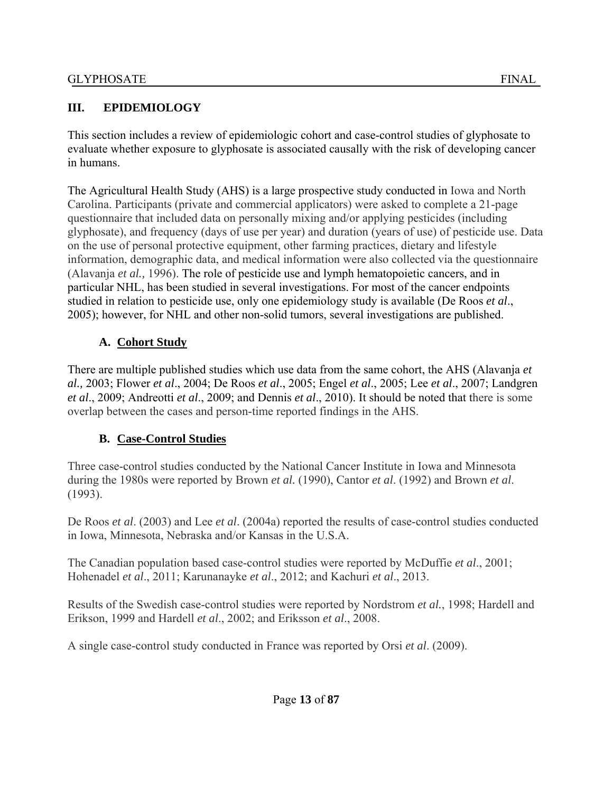#### **III. EPIDEMIOLOGY**

This section includes a review of epidemiologic cohort and case-control studies of glyphosate to evaluate whether exposure to glyphosate is associated causally with the risk of developing cancer in humans.

The Agricultural Health Study (AHS) is a large prospective study conducted in Iowa and North Carolina. Participants (private and commercial applicators) were asked to complete a 21-page questionnaire that included data on personally mixing and/or applying pesticides (including glyphosate), and frequency (days of use per year) and duration (years of use) of pesticide use. Data on the use of personal protective equipment, other farming practices, dietary and lifestyle information, demographic data, and medical information were also collected via the questionnaire (Alavanja *et al.,* 1996). The role of pesticide use and lymph hematopoietic cancers, and in particular NHL, has been studied in several investigations. For most of the cancer endpoints studied in relation to pesticide use, only one epidemiology study is available (De Roos *et al*., 2005); however, for NHL and other non-solid tumors, several investigations are published.

#### **A. Cohort Study**

There are multiple published studies which use data from the same cohort, the AHS (Alavanja *et al.,* 2003; Flower *et al*., 2004; De Roos *et al*., 2005; Engel *et al*., 2005; Lee *et al*., 2007; Landgren *et al*., 2009; Andreotti *et al*., 2009; and Dennis *et al*., 2010). It should be noted that there is some overlap between the cases and person-time reported findings in the AHS.

#### **B. Case-Control Studies**

Three case-control studies conducted by the National Cancer Institute in Iowa and Minnesota during the 1980s were reported by Brown *et al.* (1990), Cantor *et al*. (1992) and Brown *et al*. (1993).

De Roos *et al*. (2003) and Lee *et al*. (2004a) reported the results of case-control studies conducted in Iowa, Minnesota, Nebraska and/or Kansas in the U.S.A.

The Canadian population based case-control studies were reported by McDuffie *et al*., 2001; Hohenadel *et al*., 2011; Karunanayke *et al*., 2012; and Kachuri *et al*., 2013.

Results of the Swedish case-control studies were reported by Nordstrom *et al.*, 1998; Hardell and Erikson, 1999 and Hardell *et al*., 2002; and Eriksson *et al*., 2008.

A single case-control study conducted in France was reported by Orsi *et al*. (2009).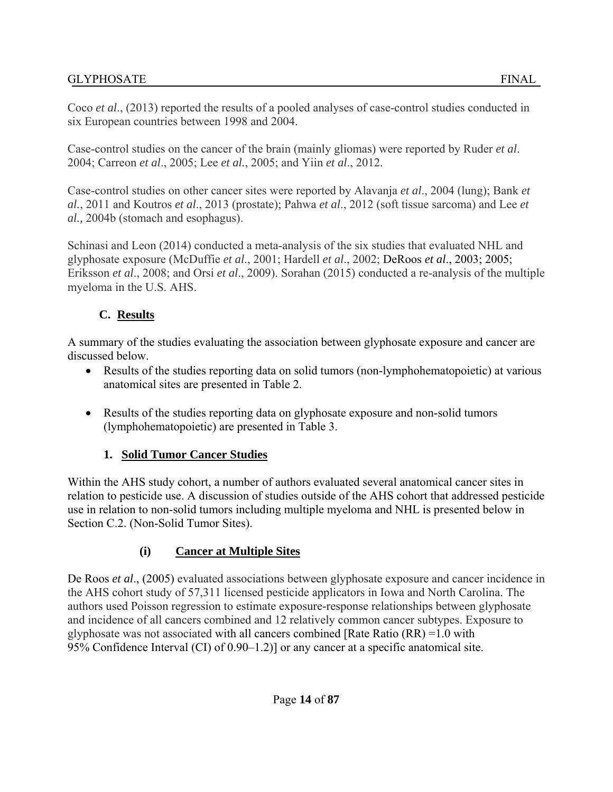Coco *et al*., (2013) reported the results of a pooled analyses of case-control studies conducted in six European countries between 1998 and 2004.

Case-control studies on the cancer of the brain (mainly gliomas) were reported by Ruder *et al*. 2004; Carreon *et al*., 2005; Lee *et al.*, 2005; and Yiin *et al*., 2012.

Case-control studies on other cancer sites were reported by Alavanja *et al*., 2004 (lung); Bank *et al.*, 2011 and Koutros *et al*., 2013 (prostate); Pahwa *et al*., 2012 (soft tissue sarcoma) and Lee *et al.,* 2004b (stomach and esophagus).

Schinasi and Leon (2014) conducted a meta-analysis of the six studies that evaluated NHL and glyphosate exposure (McDuffie *et al*., 2001; Hardell *et al*., 2002; DeRoos *et al*., 2003; 2005; Eriksson *et al*., 2008; and Orsi *et al*., 2009). Sorahan (2015) conducted a re-analysis of the multiple myeloma in the U.S. AHS.

## **C. Results**

A summary of the studies evaluating the association between glyphosate exposure and cancer are discussed below.

- Results of the studies reporting data on solid tumors (non-lymphohematopoietic) at various anatomical sites are presented in Table 2.
- Results of the studies reporting data on glyphosate exposure and non-solid tumors (lymphohematopoietic) are presented in Table 3.

# **1. Solid Tumor Cancer Studies**

Within the AHS study cohort, a number of authors evaluated several anatomical cancer sites in relation to pesticide use. A discussion of studies outside of the AHS cohort that addressed pesticide use in relation to non-solid tumors including multiple myeloma and NHL is presented below in Section C.2. (Non-Solid Tumor Sites).

# **(i) Cancer at Multiple Sites**

De Roos *et al*., (2005) evaluated associations between glyphosate exposure and cancer incidence in the AHS cohort study of 57,311 licensed pesticide applicators in Iowa and North Carolina. The authors used Poisson regression to estimate exposure-response relationships between glyphosate and incidence of all cancers combined and 12 relatively common cancer subtypes. Exposure to glyphosate was not associated with all cancers combined [Rate Ratio (RR) =1.0 with 95% Confidence Interval (CI) of 0.90–1.2)] or any cancer at a specific anatomical site.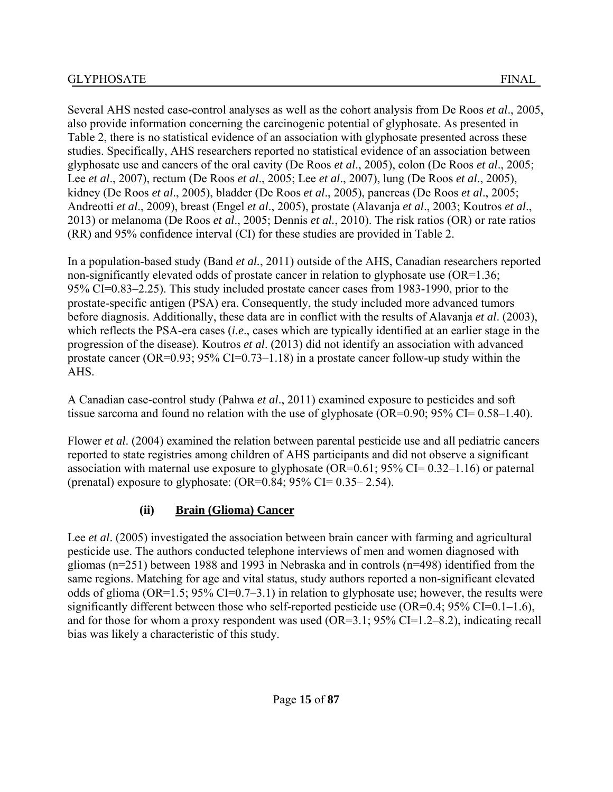Several AHS nested case-control analyses as well as the cohort analysis from De Roos *et al*., 2005, also provide information concerning the carcinogenic potential of glyphosate. As presented in Table 2, there is no statistical evidence of an association with glyphosate presented across these studies. Specifically, AHS researchers reported no statistical evidence of an association between glyphosate use and cancers of the oral cavity (De Roos *et al*., 2005), colon (De Roos *et al*., 2005; Lee *et al*., 2007), rectum (De Roos *et al*., 2005; Lee *et al*., 2007), lung (De Roos *et al*., 2005), kidney (De Roos *et al*., 2005), bladder (De Roos *et al*., 2005), pancreas (De Roos *et al*., 2005; Andreotti *et al*., 2009), breast (Engel *et al*., 2005), prostate (Alavanja *et al*., 2003; Koutros *et al*., 2013) or melanoma (De Roos *et al*., 2005; Dennis *et al.*, 2010). The risk ratios (OR) or rate ratios (RR) and 95% confidence interval (CI) for these studies are provided in Table 2.

In a population-based study (Band *et al.*, 2011) outside of the AHS, Canadian researchers reported non-significantly elevated odds of prostate cancer in relation to glyphosate use (OR=1.36; 95% CI=0.83–2.25). This study included prostate cancer cases from 1983-1990, prior to the prostate-specific antigen (PSA) era. Consequently, the study included more advanced tumors before diagnosis. Additionally, these data are in conflict with the results of Alavanja *et al*. (2003), which reflects the PSA-era cases (*i.e*., cases which are typically identified at an earlier stage in the progression of the disease). Koutros *et al*. (2013) did not identify an association with advanced prostate cancer (OR=0.93;  $95\%$  CI=0.73–1.18) in a prostate cancer follow-up study within the AHS.

A Canadian case-control study (Pahwa *et al*., 2011) examined exposure to pesticides and soft tissue sarcoma and found no relation with the use of glyphosate  $(OR=0.90; 95\% CI = 0.58-1.40)$ .

Flower *et al*. (2004) examined the relation between parental pesticide use and all pediatric cancers reported to state registries among children of AHS participants and did not observe a significant association with maternal use exposure to glyphosate  $(OR=0.61; 95\% CI=0.32-1.16)$  or paternal (prenatal) exposure to glyphosate:  $(OR=0.84; 95\% \text{ CI} = 0.35-2.54)$ .

### **(ii) Brain (Glioma) Cancer**

Lee *et al.* (2005) investigated the association between brain cancer with farming and agricultural pesticide use. The authors conducted telephone interviews of men and women diagnosed with gliomas (n=251) between 1988 and 1993 in Nebraska and in controls (n=498) identified from the same regions. Matching for age and vital status, study authors reported a non-significant elevated odds of glioma (OR=1.5; 95% CI=0.7–3.1) in relation to glyphosate use; however, the results were significantly different between those who self-reported pesticide use  $(OR=0.4; 95\% CI=0.1-1.6)$ , and for those for whom a proxy respondent was used (OR=3.1; 95% CI=1.2–8.2), indicating recall bias was likely a characteristic of this study.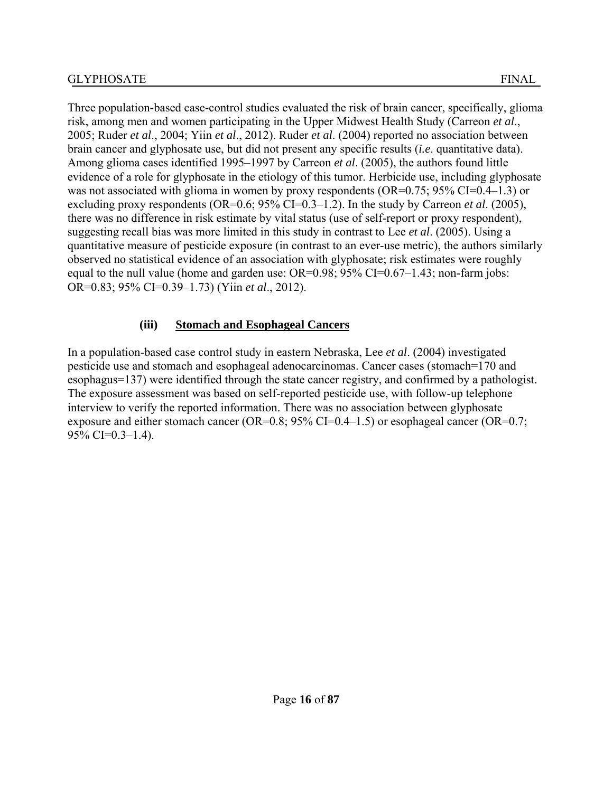Three population-based case-control studies evaluated the risk of brain cancer, specifically, glioma risk, among men and women participating in the Upper Midwest Health Study (Carreon *et al*., 2005; Ruder *et al*., 2004; Yiin *et al*., 2012). Ruder *et al*. (2004) reported no association between brain cancer and glyphosate use, but did not present any specific results (*i.e*. quantitative data). Among glioma cases identified 1995–1997 by Carreon *et al*. (2005), the authors found little evidence of a role for glyphosate in the etiology of this tumor. Herbicide use, including glyphosate was not associated with glioma in women by proxy respondents (OR=0.75; 95% CI=0.4–1.3) or excluding proxy respondents (OR=0.6; 95% CI=0.3–1.2). In the study by Carreon *et al*. (2005), there was no difference in risk estimate by vital status (use of self-report or proxy respondent), suggesting recall bias was more limited in this study in contrast to Lee *et al*. (2005). Using a quantitative measure of pesticide exposure (in contrast to an ever-use metric), the authors similarly observed no statistical evidence of an association with glyphosate; risk estimates were roughly equal to the null value (home and garden use: OR=0.98; 95% CI=0.67–1.43; non-farm jobs: OR=0.83; 95% CI=0.39–1.73) (Yiin *et al*., 2012).

#### **(iii) Stomach and Esophageal Cancers**

In a population-based case control study in eastern Nebraska, Lee *et al*. (2004) investigated pesticide use and stomach and esophageal adenocarcinomas. Cancer cases (stomach=170 and esophagus=137) were identified through the state cancer registry, and confirmed by a pathologist. The exposure assessment was based on self-reported pesticide use, with follow-up telephone interview to verify the reported information. There was no association between glyphosate exposure and either stomach cancer (OR=0.8; 95% CI=0.4–1.5) or esophageal cancer (OR=0.7; 95% CI=0.3–1.4).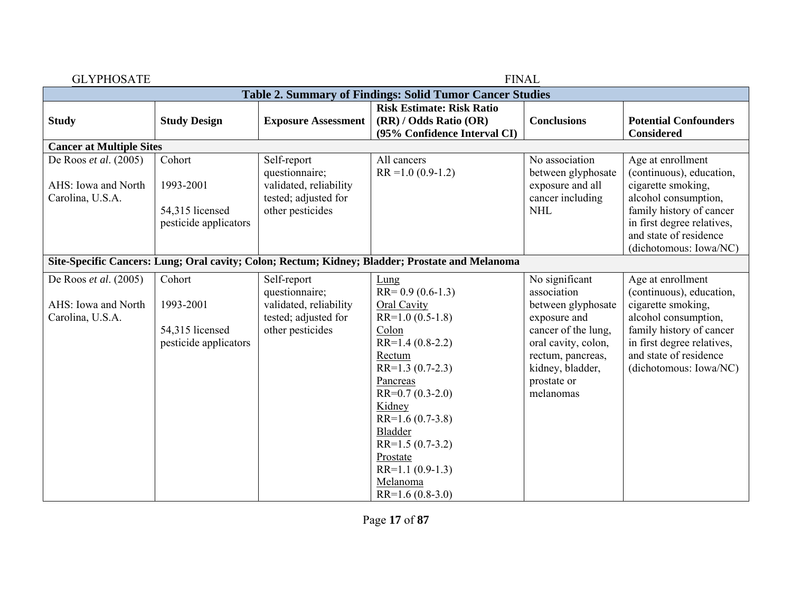| <b>FINAL</b><br><b>GLYPHOSATE</b>                                |                                                                 |                                                                                                     |                                                                                                                                                                                                                                                                                                       |                                                                                                                                                                                        |                                                                                                                                                                                                           |  |  |  |
|------------------------------------------------------------------|-----------------------------------------------------------------|-----------------------------------------------------------------------------------------------------|-------------------------------------------------------------------------------------------------------------------------------------------------------------------------------------------------------------------------------------------------------------------------------------------------------|----------------------------------------------------------------------------------------------------------------------------------------------------------------------------------------|-----------------------------------------------------------------------------------------------------------------------------------------------------------------------------------------------------------|--|--|--|
|                                                                  | Table 2. Summary of Findings: Solid Tumor Cancer Studies        |                                                                                                     |                                                                                                                                                                                                                                                                                                       |                                                                                                                                                                                        |                                                                                                                                                                                                           |  |  |  |
| <b>Study</b>                                                     | <b>Study Design</b>                                             | <b>Exposure Assessment</b>                                                                          | <b>Risk Estimate: Risk Ratio</b><br>(RR) / Odds Ratio (OR)<br>(95% Confidence Interval CI)                                                                                                                                                                                                            | <b>Conclusions</b>                                                                                                                                                                     | <b>Potential Confounders</b><br><b>Considered</b>                                                                                                                                                         |  |  |  |
| <b>Cancer at Multiple Sites</b>                                  |                                                                 |                                                                                                     |                                                                                                                                                                                                                                                                                                       |                                                                                                                                                                                        |                                                                                                                                                                                                           |  |  |  |
| De Roos et al. (2005)<br>AHS: Iowa and North<br>Carolina, U.S.A. | Cohort<br>1993-2001<br>54,315 licensed<br>pesticide applicators | Self-report<br>questionnaire;<br>validated, reliability<br>tested; adjusted for<br>other pesticides | All cancers<br>$RR = 1.0 (0.9 - 1.2)$                                                                                                                                                                                                                                                                 | No association<br>between glyphosate<br>exposure and all<br>cancer including<br><b>NHL</b>                                                                                             | Age at enrollment<br>(continuous), education,<br>cigarette smoking,<br>alcohol consumption,<br>family history of cancer<br>in first degree relatives,<br>and state of residence<br>(dichotomous: Iowa/NC) |  |  |  |
|                                                                  |                                                                 |                                                                                                     | Site-Specific Cancers: Lung; Oral cavity; Colon; Rectum; Kidney; Bladder; Prostate and Melanoma                                                                                                                                                                                                       |                                                                                                                                                                                        |                                                                                                                                                                                                           |  |  |  |
| De Roos et al. (2005)<br>AHS: Iowa and North<br>Carolina, U.S.A. | Cohort<br>1993-2001<br>54,315 licensed<br>pesticide applicators | Self-report<br>questionnaire;<br>validated, reliability<br>tested; adjusted for<br>other pesticides | Lung<br>$RR = 0.9(0.6-1.3)$<br><b>Oral Cavity</b><br>$RR=1.0(0.5-1.8)$<br>Colon<br>$RR=1.4(0.8-2.2)$<br>Rectum<br>$RR=1.3(0.7-2.3)$<br>Pancreas<br>$RR=0.7(0.3-2.0)$<br>Kidney<br>$RR=1.6(0.7-3.8)$<br>Bladder<br>$RR=1.5(0.7-3.2)$<br>Prostate<br>$RR=1.1(0.9-1.3)$<br>Melanoma<br>$RR=1.6(0.8-3.0)$ | No significant<br>association<br>between glyphosate<br>exposure and<br>cancer of the lung,<br>oral cavity, colon,<br>rectum, pancreas,<br>kidney, bladder,<br>prostate or<br>melanomas | Age at enrollment<br>(continuous), education,<br>cigarette smoking,<br>alcohol consumption,<br>family history of cancer<br>in first degree relatives,<br>and state of residence<br>(dichotomous: Iowa/NC) |  |  |  |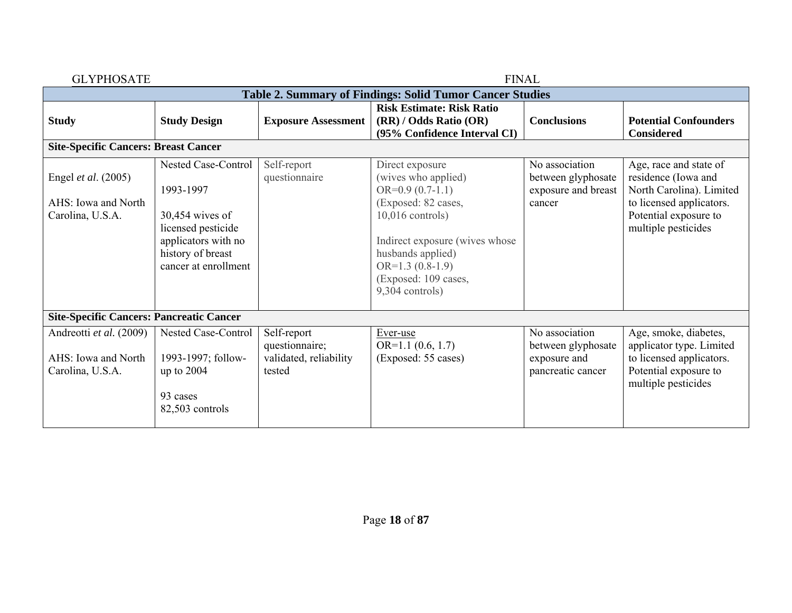| <b>GLYPHOSATE</b>                                                  |                                                                                                                                                 |                                                                   | <b>FINAL</b>                                                                                                                                                                                                                    |                                                                           |                                                                                                                                                       |
|--------------------------------------------------------------------|-------------------------------------------------------------------------------------------------------------------------------------------------|-------------------------------------------------------------------|---------------------------------------------------------------------------------------------------------------------------------------------------------------------------------------------------------------------------------|---------------------------------------------------------------------------|-------------------------------------------------------------------------------------------------------------------------------------------------------|
|                                                                    |                                                                                                                                                 |                                                                   | <b>Table 2. Summary of Findings: Solid Tumor Cancer Studies</b>                                                                                                                                                                 |                                                                           |                                                                                                                                                       |
| <b>Study</b>                                                       | <b>Study Design</b>                                                                                                                             | <b>Exposure Assessment</b>                                        | <b>Risk Estimate: Risk Ratio</b><br>(RR) / Odds Ratio (OR)<br>(95% Confidence Interval CI)                                                                                                                                      | <b>Conclusions</b>                                                        | <b>Potential Confounders</b><br><b>Considered</b>                                                                                                     |
| <b>Site-Specific Cancers: Breast Cancer</b>                        |                                                                                                                                                 |                                                                   |                                                                                                                                                                                                                                 |                                                                           |                                                                                                                                                       |
| Engel et al. (2005)<br>AHS: Iowa and North<br>Carolina, U.S.A.     | Nested Case-Control<br>1993-1997<br>$30,454$ wives of<br>licensed pesticide<br>applicators with no<br>history of breast<br>cancer at enrollment | Self-report<br>questionnaire                                      | Direct exposure<br>(wives who applied)<br>$OR=0.9(0.7-1.1)$<br>(Exposed: 82 cases,<br>$10,016$ controls)<br>Indirect exposure (wives whose<br>husbands applied)<br>$OR=1.3(0.8-1.9)$<br>(Exposed: 109 cases,<br>9,304 controls) | No association<br>between glyphosate<br>exposure and breast<br>cancer     | Age, race and state of<br>residence (Iowa and<br>North Carolina). Limited<br>to licensed applicators.<br>Potential exposure to<br>multiple pesticides |
| <b>Site-Specific Cancers: Pancreatic Cancer</b>                    |                                                                                                                                                 |                                                                   |                                                                                                                                                                                                                                 |                                                                           |                                                                                                                                                       |
| Andreotti et al. (2009)<br>AHS: Iowa and North<br>Carolina, U.S.A. | Nested Case-Control<br>1993-1997; follow-<br>up to 2004<br>93 cases<br>82,503 controls                                                          | Self-report<br>questionnaire;<br>validated, reliability<br>tested | Ever-use<br>$OR=1.1(0.6, 1.7)$<br>(Exposed: 55 cases)                                                                                                                                                                           | No association<br>between glyphosate<br>exposure and<br>pancreatic cancer | Age, smoke, diabetes,<br>applicator type. Limited<br>to licensed applicators.<br>Potential exposure to<br>multiple pesticides                         |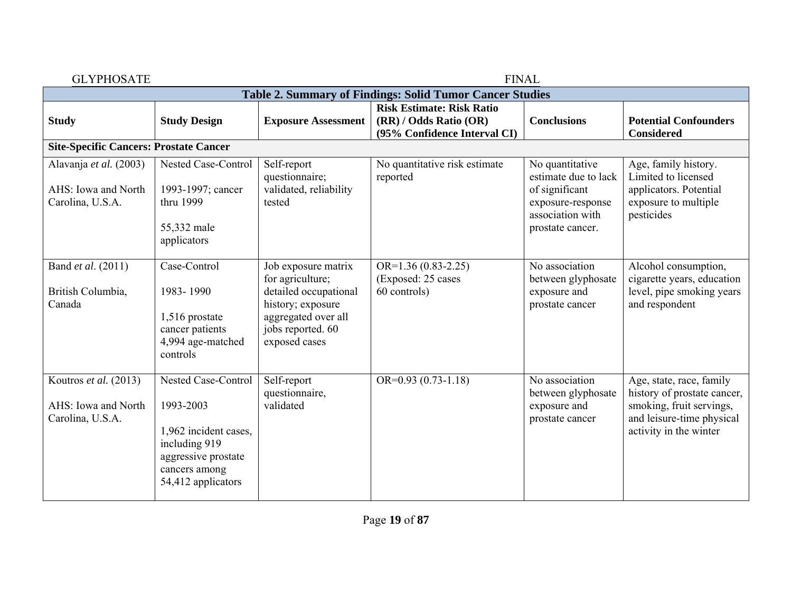| <b>GLYPHOSATE</b>                                                 |                                                                                                                                          |                                                                                                                                                    |                                                                                            | <b>FINAL</b>                                                                                                           |                                                                                                                                            |  |  |  |
|-------------------------------------------------------------------|------------------------------------------------------------------------------------------------------------------------------------------|----------------------------------------------------------------------------------------------------------------------------------------------------|--------------------------------------------------------------------------------------------|------------------------------------------------------------------------------------------------------------------------|--------------------------------------------------------------------------------------------------------------------------------------------|--|--|--|
|                                                                   | Table 2. Summary of Findings: Solid Tumor Cancer Studies                                                                                 |                                                                                                                                                    |                                                                                            |                                                                                                                        |                                                                                                                                            |  |  |  |
| <b>Study</b>                                                      | <b>Study Design</b>                                                                                                                      | <b>Exposure Assessment</b>                                                                                                                         | <b>Risk Estimate: Risk Ratio</b><br>(RR) / Odds Ratio (OR)<br>(95% Confidence Interval CI) | <b>Conclusions</b>                                                                                                     | <b>Potential Confounders</b><br><b>Considered</b>                                                                                          |  |  |  |
| <b>Site-Specific Cancers: Prostate Cancer</b>                     |                                                                                                                                          |                                                                                                                                                    |                                                                                            |                                                                                                                        |                                                                                                                                            |  |  |  |
| Alavanja et al. (2003)<br>AHS: Iowa and North<br>Carolina, U.S.A. | Nested Case-Control<br>1993-1997; cancer<br>thru 1999<br>55,332 male<br>applicators                                                      | Self-report<br>questionnaire;<br>validated, reliability<br>tested                                                                                  | No quantitative risk estimate<br>reported                                                  | No quantitative<br>estimate due to lack<br>of significant<br>exposure-response<br>association with<br>prostate cancer. | Age, family history.<br>Limited to licensed<br>applicators. Potential<br>exposure to multiple<br>pesticides                                |  |  |  |
| Band et al. (2011)<br>British Columbia,<br>Canada                 | Case-Control<br>1983-1990<br>1,516 prostate<br>cancer patients<br>4,994 age-matched<br>controls                                          | Job exposure matrix<br>for agriculture;<br>detailed occupational<br>history; exposure<br>aggregated over all<br>jobs reported. 60<br>exposed cases | $OR=1.36(0.83-2.25)$<br>(Exposed: 25 cases<br>60 controls)                                 | No association<br>between glyphosate<br>exposure and<br>prostate cancer                                                | Alcohol consumption,<br>cigarette years, education<br>level, pipe smoking years<br>and respondent                                          |  |  |  |
| Koutros et al. (2013)<br>AHS: Iowa and North<br>Carolina, U.S.A.  | Nested Case-Control<br>1993-2003<br>1,962 incident cases,<br>including 919<br>aggressive prostate<br>cancers among<br>54,412 applicators | Self-report<br>questionnaire,<br>validated                                                                                                         | OR= $0.93(0.73-1.\overline{18})$                                                           | No association<br>between glyphosate<br>exposure and<br>prostate cancer                                                | Age, state, race, family<br>history of prostate cancer,<br>smoking, fruit servings,<br>and leisure-time physical<br>activity in the winter |  |  |  |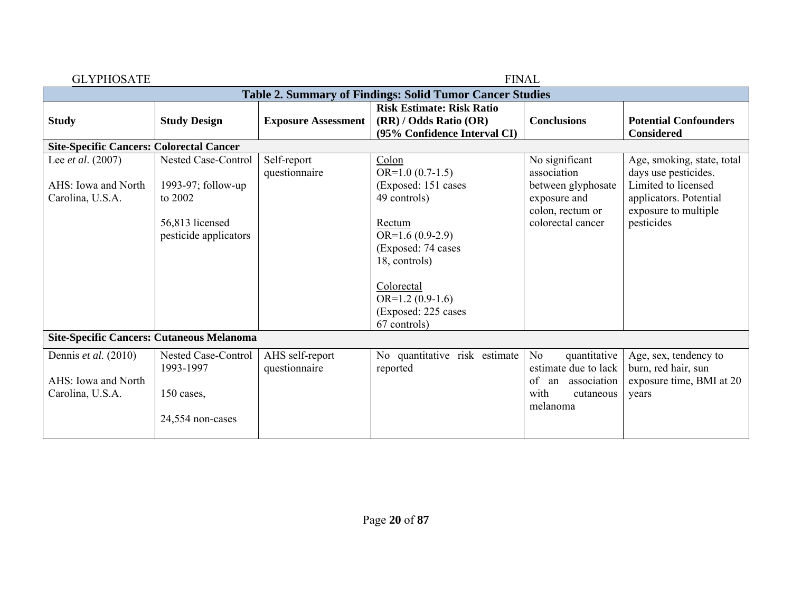| <b>GLYPHOSATE</b>                                |                                                                 |                                  | <b>FINAL</b>                                                                                                                                  |                                                        |                                                                       |  |  |  |
|--------------------------------------------------|-----------------------------------------------------------------|----------------------------------|-----------------------------------------------------------------------------------------------------------------------------------------------|--------------------------------------------------------|-----------------------------------------------------------------------|--|--|--|
|                                                  | <b>Table 2. Summary of Findings: Solid Tumor Cancer Studies</b> |                                  |                                                                                                                                               |                                                        |                                                                       |  |  |  |
| <b>Study</b>                                     | <b>Study Design</b>                                             | <b>Exposure Assessment</b>       | <b>Risk Estimate: Risk Ratio</b><br>(RR) / Odds Ratio (OR)<br>(95% Confidence Interval CI)                                                    | <b>Conclusions</b>                                     | <b>Potential Confounders</b><br><b>Considered</b>                     |  |  |  |
| <b>Site-Specific Cancers: Colorectal Cancer</b>  |                                                                 |                                  |                                                                                                                                               |                                                        |                                                                       |  |  |  |
| Lee <i>et al.</i> (2007)                         | Nested Case-Control                                             | Self-report<br>questionnaire     | $\frac{Colon}{\sqrt{U}}$<br>$OR=1.0(0.7-1.5)$                                                                                                 | No significant<br>association                          | Age, smoking, state, total<br>days use pesticides.                    |  |  |  |
| AHS: Iowa and North<br>Carolina, U.S.A.          | 1993-97; follow-up<br>to 2002                                   |                                  | (Exposed: 151 cases<br>49 controls)                                                                                                           | between glyphosate<br>exposure and<br>colon, rectum or | Limited to licensed<br>applicators. Potential<br>exposure to multiple |  |  |  |
|                                                  | 56,813 licensed<br>pesticide applicators                        |                                  | Rectum<br>$OR=1.6(0.9-2.9)$<br>(Exposed: 74 cases)<br>18, controls)<br>Colorectal<br>$OR=1.2(0.9-1.6)$<br>(Exposed: 225 cases<br>67 controls) | colorectal cancer                                      | pesticides                                                            |  |  |  |
| <b>Site-Specific Cancers: Cutaneous Melanoma</b> |                                                                 |                                  |                                                                                                                                               |                                                        |                                                                       |  |  |  |
| Dennis et al. (2010)                             | <b>Nested Case-Control</b><br>1993-1997                         | AHS self-report<br>questionnaire | No quantitative risk estimate<br>reported                                                                                                     | No<br>quantitative<br>estimate due to lack             | Age, sex, tendency to<br>burn, red hair, sun                          |  |  |  |
| AHS: Iowa and North<br>Carolina, U.S.A.          | 150 cases,                                                      |                                  |                                                                                                                                               | of an association<br>with<br>cutaneous<br>melanoma     | exposure time, BMI at 20<br>years                                     |  |  |  |
|                                                  | 24,554 non-cases                                                |                                  |                                                                                                                                               |                                                        |                                                                       |  |  |  |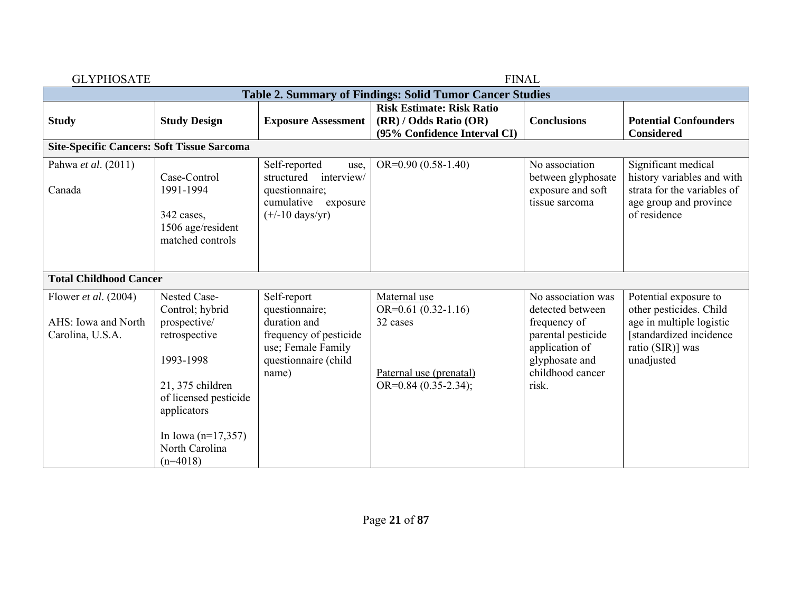| <b>FINAL</b><br><b>GLYPHOSATE</b>                                        |                                                                                                                                           |                                                                                                                                |                                                                                                        |                                                                                                                                               |                                                                                                                                           |
|--------------------------------------------------------------------------|-------------------------------------------------------------------------------------------------------------------------------------------|--------------------------------------------------------------------------------------------------------------------------------|--------------------------------------------------------------------------------------------------------|-----------------------------------------------------------------------------------------------------------------------------------------------|-------------------------------------------------------------------------------------------------------------------------------------------|
|                                                                          |                                                                                                                                           |                                                                                                                                | <b>Table 2. Summary of Findings: Solid Tumor Cancer Studies</b>                                        |                                                                                                                                               |                                                                                                                                           |
| <b>Study</b>                                                             | <b>Study Design</b>                                                                                                                       | <b>Exposure Assessment</b>                                                                                                     | <b>Risk Estimate: Risk Ratio</b><br>(RR) / Odds Ratio (OR)<br>(95% Confidence Interval CI)             | <b>Conclusions</b>                                                                                                                            | <b>Potential Confounders</b><br><b>Considered</b>                                                                                         |
| <b>Site-Specific Cancers: Soft Tissue Sarcoma</b>                        |                                                                                                                                           |                                                                                                                                |                                                                                                        |                                                                                                                                               |                                                                                                                                           |
| Pahwa et al. (2011)<br>Canada                                            | Case-Control<br>1991-1994<br>342 cases,<br>1506 age/resident<br>matched controls                                                          | Self-reported<br>use,<br>structured<br>interview/<br>questionnaire;<br>cumulative exposure<br>$(+/-10 \text{ days/yr})$        | $OR=0.90(0.58-1.40)$                                                                                   | No association<br>between glyphosate<br>exposure and soft<br>tissue sarcoma                                                                   | Significant medical<br>history variables and with<br>strata for the variables of<br>age group and province<br>of residence                |
| <b>Total Childhood Cancer</b>                                            |                                                                                                                                           |                                                                                                                                |                                                                                                        |                                                                                                                                               |                                                                                                                                           |
| Flower <i>et al.</i> $(2004)$<br>AHS: Iowa and North<br>Carolina, U.S.A. | Nested Case-<br>Control; hybrid<br>prospective/<br>retrospective<br>1993-1998<br>21, 375 children<br>of licensed pesticide<br>applicators | Self-report<br>questionnaire;<br>duration and<br>frequency of pesticide<br>use; Female Family<br>questionnaire (child<br>name) | Maternal use<br>$OR=0.61(0.32-1.16)$<br>32 cases<br>Paternal use (prenatal)<br>OR= $0.84$ (0.35-2.34); | No association was<br>detected between<br>frequency of<br>parental pesticide<br>application of<br>glyphosate and<br>childhood cancer<br>risk. | Potential exposure to<br>other pesticides. Child<br>age in multiple logistic<br>[standardized incidence<br>ratio (SIR)] was<br>unadjusted |
|                                                                          | In Iowa $(n=17,357)$<br>North Carolina<br>$(n=4018)$                                                                                      |                                                                                                                                |                                                                                                        |                                                                                                                                               |                                                                                                                                           |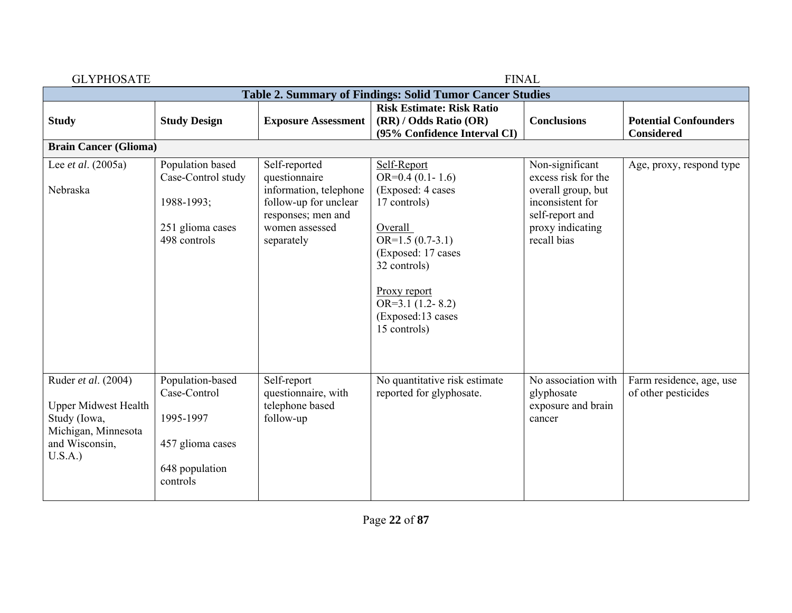| <b>GLYPHOSATE</b>                                                                                                     |                                                                                                 |                                                                                                                                         | <b>FINAL</b>                                                                                                                                                                                                          |                                                                                                                                        |                                                   |
|-----------------------------------------------------------------------------------------------------------------------|-------------------------------------------------------------------------------------------------|-----------------------------------------------------------------------------------------------------------------------------------------|-----------------------------------------------------------------------------------------------------------------------------------------------------------------------------------------------------------------------|----------------------------------------------------------------------------------------------------------------------------------------|---------------------------------------------------|
|                                                                                                                       |                                                                                                 |                                                                                                                                         | Table 2. Summary of Findings: Solid Tumor Cancer Studies                                                                                                                                                              |                                                                                                                                        |                                                   |
| <b>Study</b>                                                                                                          | <b>Study Design</b>                                                                             | <b>Exposure Assessment</b>                                                                                                              | <b>Risk Estimate: Risk Ratio</b><br>(RR) / Odds Ratio (OR)<br>(95% Confidence Interval CI)                                                                                                                            | <b>Conclusions</b>                                                                                                                     | <b>Potential Confounders</b><br><b>Considered</b> |
| <b>Brain Cancer (Glioma)</b>                                                                                          |                                                                                                 |                                                                                                                                         |                                                                                                                                                                                                                       |                                                                                                                                        |                                                   |
| Lee et al. $(2005a)$<br>Nebraska                                                                                      | Population based<br>Case-Control study<br>1988-1993;<br>251 glioma cases<br>498 controls        | Self-reported<br>questionnaire<br>information, telephone<br>follow-up for unclear<br>responses; men and<br>women assessed<br>separately | Self-Report<br>$OR=0.4(0.1-1.6)$<br>(Exposed: 4 cases<br>17 controls)<br>Overall<br>$OR=1.5(0.7-3.1)$<br>(Exposed: 17 cases<br>32 controls)<br>Proxy report<br>$OR=3.1(1.2-8.2)$<br>(Exposed:13 cases<br>15 controls) | Non-significant<br>excess risk for the<br>overall group, but<br>inconsistent for<br>self-report and<br>proxy indicating<br>recall bias | Age, proxy, respond type                          |
| Ruder et al. (2004)<br><b>Upper Midwest Health</b><br>Study (Iowa,<br>Michigan, Minnesota<br>and Wisconsin,<br>U.S.A. | Population-based<br>Case-Control<br>1995-1997<br>457 glioma cases<br>648 population<br>controls | Self-report<br>questionnaire, with<br>telephone based<br>follow-up                                                                      | No quantitative risk estimate<br>reported for glyphosate.                                                                                                                                                             | No association with<br>glyphosate<br>exposure and brain<br>cancer                                                                      | Farm residence, age, use<br>of other pesticides   |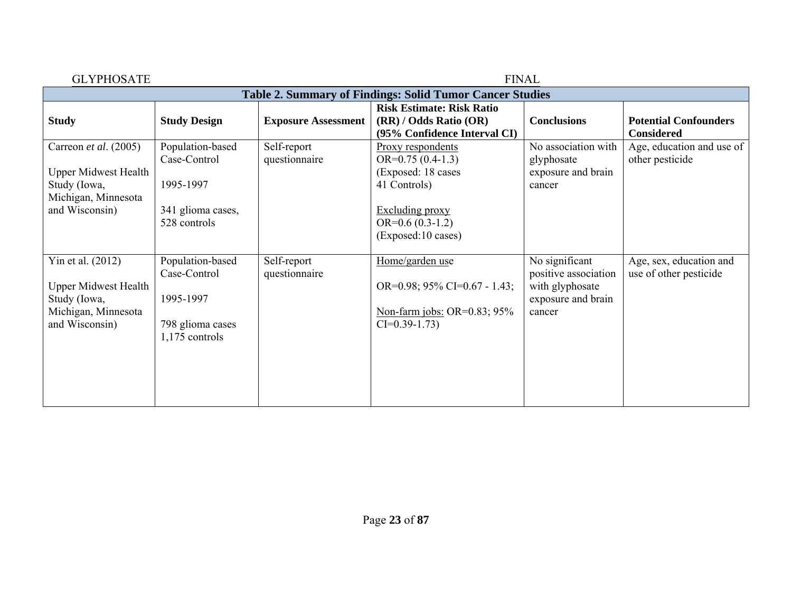| <b>GLYPHOSATE</b>                                                                                             |                                                                                     |                              | <b>FINAL</b>                                                                                                                                       |                                                                                           |                                                   |
|---------------------------------------------------------------------------------------------------------------|-------------------------------------------------------------------------------------|------------------------------|----------------------------------------------------------------------------------------------------------------------------------------------------|-------------------------------------------------------------------------------------------|---------------------------------------------------|
|                                                                                                               |                                                                                     |                              | <b>Table 2. Summary of Findings: Solid Tumor Cancer Studies</b>                                                                                    |                                                                                           |                                                   |
| <b>Study</b>                                                                                                  | <b>Study Design</b>                                                                 | <b>Exposure Assessment</b>   | <b>Risk Estimate: Risk Ratio</b><br>(RR) / Odds Ratio (OR)<br>(95% Confidence Interval CI)                                                         | <b>Conclusions</b>                                                                        | <b>Potential Confounders</b><br><b>Considered</b> |
| Carreon et al. (2005)<br><b>Upper Midwest Health</b><br>Study (Iowa,<br>Michigan, Minnesota<br>and Wisconsin) | Population-based<br>Case-Control<br>1995-1997<br>341 glioma cases,<br>528 controls  | Self-report<br>questionnaire | Proxy respondents<br>$OR=0.75(0.4-1.3)$<br>(Exposed: 18 cases<br>41 Controls)<br><b>Excluding proxy</b><br>$OR=0.6(0.3-1.2)$<br>(Exposed:10 cases) | No association with<br>glyphosate<br>exposure and brain<br>cancer                         | Age, education and use of<br>other pesticide      |
| Yin et al. (2012)<br><b>Upper Midwest Health</b><br>Study (Iowa,<br>Michigan, Minnesota<br>and Wisconsin)     | Population-based<br>Case-Control<br>1995-1997<br>798 glioma cases<br>1,175 controls | Self-report<br>questionnaire | Home/garden use<br>OR=0.98; 95% CI=0.67 - 1.43;<br>Non-farm jobs: OR= $0.83$ ; 95%<br>$CI=0.39-1.73$                                               | No significant<br>positive association<br>with glyphosate<br>exposure and brain<br>cancer | Age, sex, education and<br>use of other pesticide |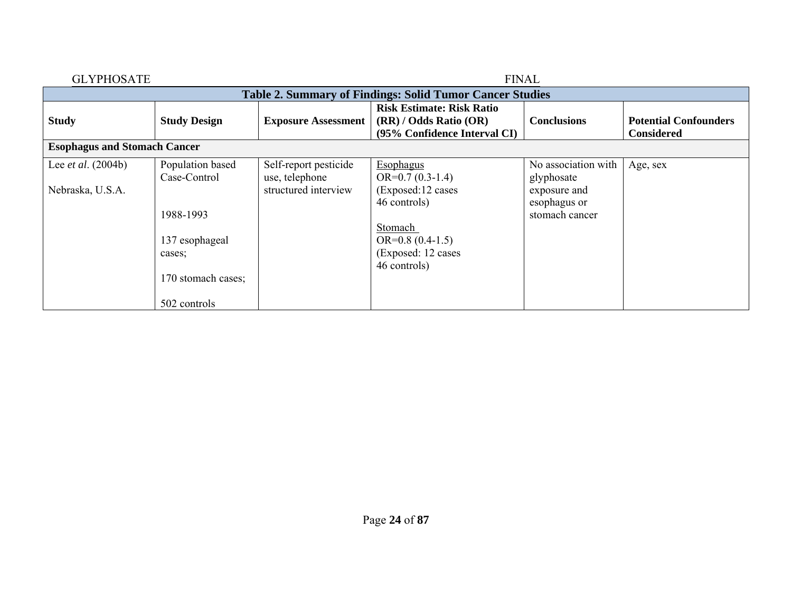| <b>GLYPHOSATE</b>                   |                                                                 |                                         | <b>FINAL</b>                                                                               |                                                |                                                   |  |  |  |
|-------------------------------------|-----------------------------------------------------------------|-----------------------------------------|--------------------------------------------------------------------------------------------|------------------------------------------------|---------------------------------------------------|--|--|--|
|                                     | <b>Table 2. Summary of Findings: Solid Tumor Cancer Studies</b> |                                         |                                                                                            |                                                |                                                   |  |  |  |
| <b>Study</b>                        | <b>Study Design</b>                                             | <b>Exposure Assessment</b>              | <b>Risk Estimate: Risk Ratio</b><br>(RR) / Odds Ratio (OR)<br>(95% Confidence Interval CI) | <b>Conclusions</b>                             | <b>Potential Confounders</b><br><b>Considered</b> |  |  |  |
| <b>Esophagus and Stomach Cancer</b> |                                                                 |                                         |                                                                                            |                                                |                                                   |  |  |  |
| Lee <i>et al.</i> $(2004b)$         | Population based<br>Case-Control                                | Self-report pesticide<br>use, telephone | <b>Esophagus</b><br>$OR=0.7(0.3-1.4)$                                                      | No association with<br>glyphosate              | Age, sex                                          |  |  |  |
| Nebraska, U.S.A.                    | 1988-1993                                                       | structured interview                    | (Exposed:12 cases<br>46 controls)                                                          | exposure and<br>esophagus or<br>stomach cancer |                                                   |  |  |  |
|                                     | 137 esophageal                                                  |                                         | Stomach<br>$OR=0.8(0.4-1.5)$                                                               |                                                |                                                   |  |  |  |
|                                     | cases;                                                          |                                         | (Exposed: 12 cases)<br>46 controls)                                                        |                                                |                                                   |  |  |  |
|                                     | 170 stomach cases;                                              |                                         |                                                                                            |                                                |                                                   |  |  |  |
|                                     | 502 controls                                                    |                                         |                                                                                            |                                                |                                                   |  |  |  |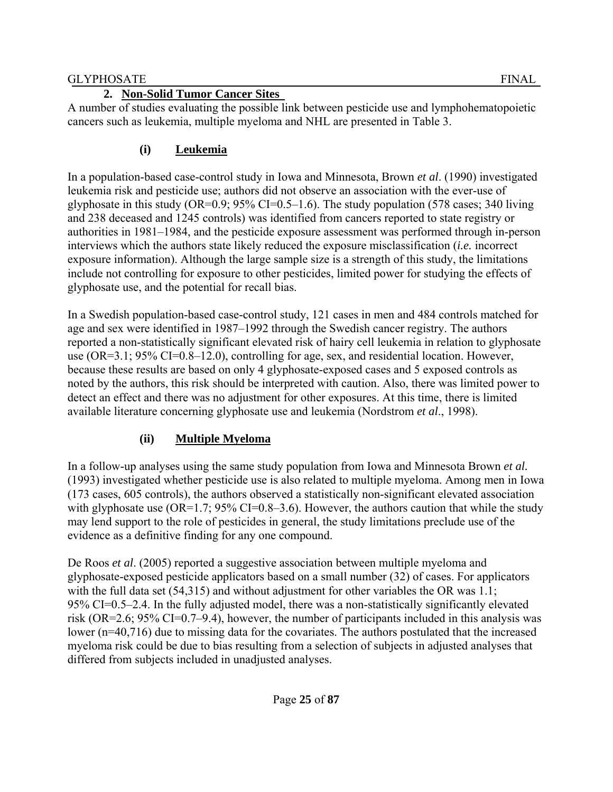#### **2. Non-Solid Tumor Cancer Sites**

A number of studies evaluating the possible link between pesticide use and lymphohematopoietic cancers such as leukemia, multiple myeloma and NHL are presented in Table 3.

## **(i) Leukemia**

In a population-based case-control study in Iowa and Minnesota, Brown *et al*. (1990) investigated leukemia risk and pesticide use; authors did not observe an association with the ever-use of glyphosate in this study (OR=0.9;  $95\%$  CI=0.5–1.6). The study population (578 cases; 340 living and 238 deceased and 1245 controls) was identified from cancers reported to state registry or authorities in 1981–1984, and the pesticide exposure assessment was performed through in-person interviews which the authors state likely reduced the exposure misclassification (*i.e.* incorrect exposure information). Although the large sample size is a strength of this study, the limitations include not controlling for exposure to other pesticides, limited power for studying the effects of glyphosate use, and the potential for recall bias.

In a Swedish population-based case-control study, 121 cases in men and 484 controls matched for age and sex were identified in 1987–1992 through the Swedish cancer registry. The authors reported a non-statistically significant elevated risk of hairy cell leukemia in relation to glyphosate use (OR=3.1; 95% CI=0.8–12.0), controlling for age, sex, and residential location. However, because these results are based on only 4 glyphosate-exposed cases and 5 exposed controls as noted by the authors, this risk should be interpreted with caution. Also, there was limited power to detect an effect and there was no adjustment for other exposures. At this time, there is limited available literature concerning glyphosate use and leukemia (Nordstrom *et al*., 1998).

### **(ii) Multiple Myeloma**

In a follow-up analyses using the same study population from Iowa and Minnesota Brown *et al.* (1993) investigated whether pesticide use is also related to multiple myeloma. Among men in Iowa (173 cases, 605 controls), the authors observed a statistically non-significant elevated association with glyphosate use  $(OR=1.7; 95\% CI=0.8-3.6)$ . However, the authors caution that while the study may lend support to the role of pesticides in general, the study limitations preclude use of the evidence as a definitive finding for any one compound.

De Roos *et al*. (2005) reported a suggestive association between multiple myeloma and glyphosate-exposed pesticide applicators based on a small number (32) of cases. For applicators with the full data set (54,315) and without adjustment for other variables the OR was 1.1; 95% CI=0.5–2.4. In the fully adjusted model, there was a non-statistically significantly elevated risk (OR=2.6; 95% CI=0.7–9.4), however, the number of participants included in this analysis was lower (n=40,716) due to missing data for the covariates. The authors postulated that the increased myeloma risk could be due to bias resulting from a selection of subjects in adjusted analyses that differed from subjects included in unadjusted analyses.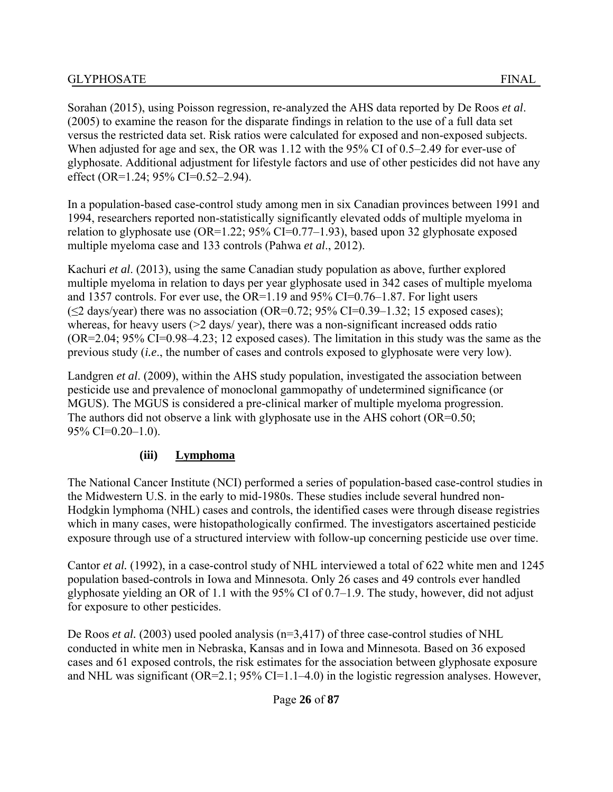Sorahan (2015), using Poisson regression, re-analyzed the AHS data reported by De Roos *et al*. (2005) to examine the reason for the disparate findings in relation to the use of a full data set versus the restricted data set. Risk ratios were calculated for exposed and non-exposed subjects. When adjusted for age and sex, the OR was 1.12 with the 95% CI of 0.5–2.49 for ever-use of glyphosate. Additional adjustment for lifestyle factors and use of other pesticides did not have any effect (OR=1.24: 95% CI=0.52–2.94).

In a population-based case-control study among men in six Canadian provinces between 1991 and 1994, researchers reported non-statistically significantly elevated odds of multiple myeloma in relation to glyphosate use  $(OR=1.22; 95\% CI=0.77-1.93)$ , based upon 32 glyphosate exposed multiple myeloma case and 133 controls (Pahwa *et al*., 2012).

Kachuri *et al*. (2013), using the same Canadian study population as above, further explored multiple myeloma in relation to days per year glyphosate used in 342 cases of multiple myeloma and 1357 controls. For ever use, the OR=1.19 and 95% CI=0.76–1.87. For light users  $(\leq 2$  days/year) there was no association (OR=0.72; 95% CI=0.39–1.32; 15 exposed cases); whereas, for heavy users ( $>$ 2 days/ year), there was a non-significant increased odds ratio (OR=2.04; 95% CI=0.98–4.23; 12 exposed cases). The limitation in this study was the same as the previous study (*i.e*., the number of cases and controls exposed to glyphosate were very low).

Landgren *et al*. (2009), within the AHS study population, investigated the association between pesticide use and prevalence of monoclonal gammopathy of undetermined significance (or MGUS). The MGUS is considered a pre-clinical marker of multiple myeloma progression. The authors did not observe a link with glyphosate use in the AHS cohort (OR=0.50; 95% CI=0.20–1.0).

### **(iii) Lymphoma**

The National Cancer Institute (NCI) performed a series of population-based case-control studies in the Midwestern U.S. in the early to mid-1980s. These studies include several hundred non-Hodgkin lymphoma (NHL) cases and controls, the identified cases were through disease registries which in many cases, were histopathologically confirmed. The investigators ascertained pesticide exposure through use of a structured interview with follow-up concerning pesticide use over time.

Cantor *et al.* (1992), in a case-control study of NHL interviewed a total of 622 white men and 1245 population based-controls in Iowa and Minnesota. Only 26 cases and 49 controls ever handled glyphosate yielding an OR of 1.1 with the 95% CI of 0.7–1.9. The study, however, did not adjust for exposure to other pesticides.

De Roos *et al.* (2003) used pooled analysis (n=3,417) of three case-control studies of NHL conducted in white men in Nebraska, Kansas and in Iowa and Minnesota. Based on 36 exposed cases and 61 exposed controls, the risk estimates for the association between glyphosate exposure and NHL was significant (OR=2.1; 95% CI=1.1–4.0) in the logistic regression analyses. However,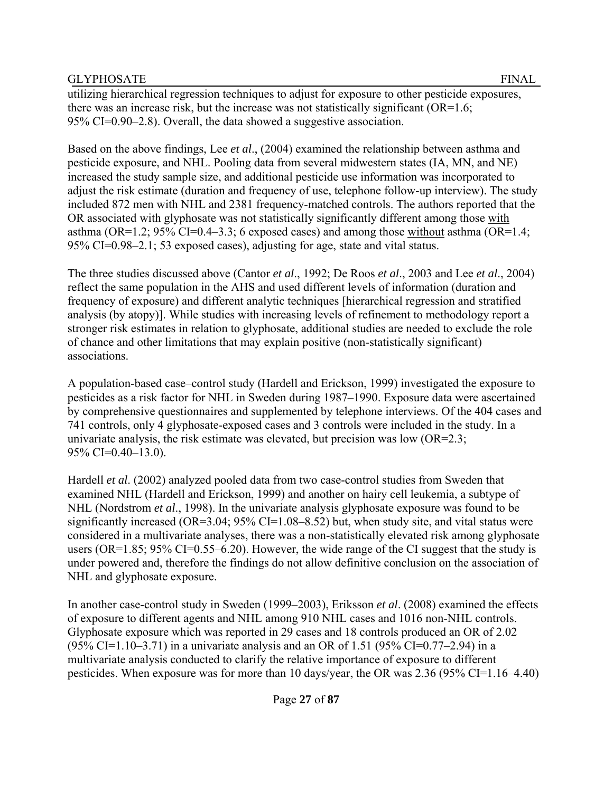utilizing hierarchical regression techniques to adjust for exposure to other pesticide exposures, there was an increase risk, but the increase was not statistically significant (OR=1.6; 95% CI=0.90–2.8). Overall, the data showed a suggestive association.

Based on the above findings, Lee *et al*., (2004) examined the relationship between asthma and pesticide exposure, and NHL. Pooling data from several midwestern states (IA, MN, and NE) increased the study sample size, and additional pesticide use information was incorporated to adjust the risk estimate (duration and frequency of use, telephone follow-up interview). The study included 872 men with NHL and 2381 frequency-matched controls. The authors reported that the OR associated with glyphosate was not statistically significantly different among those with asthma (OR=1.2; 95% CI=0.4–3.3; 6 exposed cases) and among those without asthma (OR=1.4; 95% CI=0.98–2.1; 53 exposed cases), adjusting for age, state and vital status.

The three studies discussed above (Cantor *et al*., 1992; De Roos *et al*., 2003 and Lee *et al*., 2004) reflect the same population in the AHS and used different levels of information (duration and frequency of exposure) and different analytic techniques [hierarchical regression and stratified analysis (by atopy)]. While studies with increasing levels of refinement to methodology report a stronger risk estimates in relation to glyphosate, additional studies are needed to exclude the role of chance and other limitations that may explain positive (non-statistically significant) associations.

A population-based case–control study (Hardell and Erickson, 1999) investigated the exposure to pesticides as a risk factor for NHL in Sweden during 1987–1990. Exposure data were ascertained by comprehensive questionnaires and supplemented by telephone interviews. Of the 404 cases and 741 controls, only 4 glyphosate-exposed cases and 3 controls were included in the study. In a univariate analysis, the risk estimate was elevated, but precision was low  $(OR=2.3;$ 95% CI=0.40–13.0).

Hardell *et al*. (2002) analyzed pooled data from two case-control studies from Sweden that examined NHL (Hardell and Erickson, 1999) and another on hairy cell leukemia, a subtype of NHL (Nordstrom *et al*., 1998). In the univariate analysis glyphosate exposure was found to be significantly increased (OR=3.04;  $95\%$  CI=1.08–8.52) but, when study site, and vital status were considered in a multivariate analyses, there was a non-statistically elevated risk among glyphosate users (OR=1.85;  $95\%$  CI=0.55–6.20). However, the wide range of the CI suggest that the study is under powered and, therefore the findings do not allow definitive conclusion on the association of NHL and glyphosate exposure.

In another case-control study in Sweden (1999–2003), Eriksson *et al*. (2008) examined the effects of exposure to different agents and NHL among 910 NHL cases and 1016 non-NHL controls. Glyphosate exposure which was reported in 29 cases and 18 controls produced an OR of 2.02  $(95\% \text{ CI} = 1.10 - 3.71)$  in a univariate analysis and an OR of 1.51 (95% CI=0.77–2.94) in a multivariate analysis conducted to clarify the relative importance of exposure to different pesticides. When exposure was for more than 10 days/year, the OR was 2.36 (95% CI=1.16–4.40)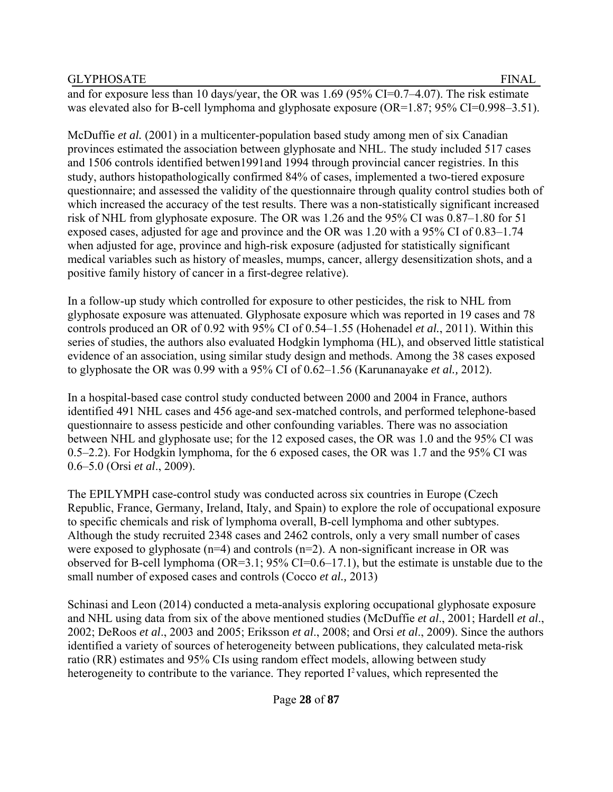and for exposure less than 10 days/year, the OR was 1.69 (95% CI=0.7–4.07). The risk estimate was elevated also for B-cell lymphoma and glyphosate exposure (OR=1.87; 95% CI=0.998–3.51).

McDuffie *et al.* (2001) in a multicenter-population based study among men of six Canadian provinces estimated the association between glyphosate and NHL. The study included 517 cases and 1506 controls identified betwen1991and 1994 through provincial cancer registries. In this study, authors histopathologically confirmed 84% of cases, implemented a two-tiered exposure questionnaire; and assessed the validity of the questionnaire through quality control studies both of which increased the accuracy of the test results. There was a non-statistically significant increased risk of NHL from glyphosate exposure. The OR was 1.26 and the 95% CI was 0.87–1.80 for 51 exposed cases, adjusted for age and province and the OR was 1.20 with a 95% CI of 0.83–1.74 when adjusted for age, province and high-risk exposure (adjusted for statistically significant medical variables such as history of measles, mumps, cancer, allergy desensitization shots, and a positive family history of cancer in a first-degree relative).

In a follow-up study which controlled for exposure to other pesticides, the risk to NHL from glyphosate exposure was attenuated. Glyphosate exposure which was reported in 19 cases and 78 controls produced an OR of 0.92 with 95% CI of 0.54–1.55 (Hohenadel *et al.*, 2011). Within this series of studies, the authors also evaluated Hodgkin lymphoma (HL), and observed little statistical evidence of an association, using similar study design and methods. Among the 38 cases exposed to glyphosate the OR was 0.99 with a 95% CI of 0.62–1.56 (Karunanayake *et al.,* 2012).

In a hospital-based case control study conducted between 2000 and 2004 in France, authors identified 491 NHL cases and 456 age-and sex-matched controls, and performed telephone-based questionnaire to assess pesticide and other confounding variables. There was no association between NHL and glyphosate use; for the 12 exposed cases, the OR was 1.0 and the 95% CI was 0.5–2.2). For Hodgkin lymphoma, for the 6 exposed cases, the OR was 1.7 and the 95% CI was 0.6–5.0 (Orsi *et al*., 2009).

The EPILYMPH case-control study was conducted across six countries in Europe (Czech Republic, France, Germany, Ireland, Italy, and Spain) to explore the role of occupational exposure to specific chemicals and risk of lymphoma overall, B-cell lymphoma and other subtypes. Although the study recruited 2348 cases and 2462 controls, only a very small number of cases were exposed to glyphosate  $(n=4)$  and controls  $(n=2)$ . A non-significant increase in OR was observed for B-cell lymphoma (OR=3.1; 95% CI=0.6–17.1), but the estimate is unstable due to the small number of exposed cases and controls (Cocco *et al.,* 2013)

Schinasi and Leon (2014) conducted a meta-analysis exploring occupational glyphosate exposure and NHL using data from six of the above mentioned studies (McDuffie *et al*., 2001; Hardell *et al*., 2002; DeRoos *et al*., 2003 and 2005; Eriksson *et al*., 2008; and Orsi *et al*., 2009). Since the authors identified a variety of sources of heterogeneity between publications, they calculated meta-risk ratio (RR) estimates and 95% CIs using random effect models, allowing between study heterogeneity to contribute to the variance. They reported  $I^2$  values, which represented the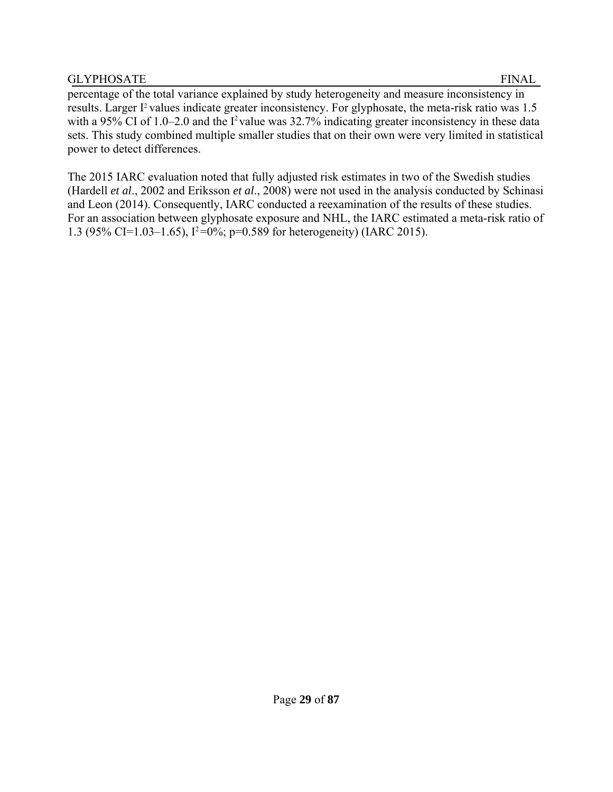percentage of the total variance explained by study heterogeneity and measure inconsistency in results. Larger I<sup>2</sup> values indicate greater inconsistency. For glyphosate, the meta-risk ratio was 1.5 with a 95% CI of 1.0–2.0 and the I<sup>2</sup> value was  $32.7\%$  indicating greater inconsistency in these data sets. This study combined multiple smaller studies that on their own were very limited in statistical power to detect differences.

The 2015 IARC evaluation noted that fully adjusted risk estimates in two of the Swedish studies (Hardell *et al*., 2002 and Eriksson *et al*., 2008) were not used in the analysis conducted by Schinasi and Leon (2014). Consequently, IARC conducted a reexamination of the results of these studies. For an association between glyphosate exposure and NHL, the IARC estimated a meta-risk ratio of 1.3 (95% CI=1.03–1.65),  $I^2=0\%$ ; p=0.589 for heterogeneity) (IARC 2015).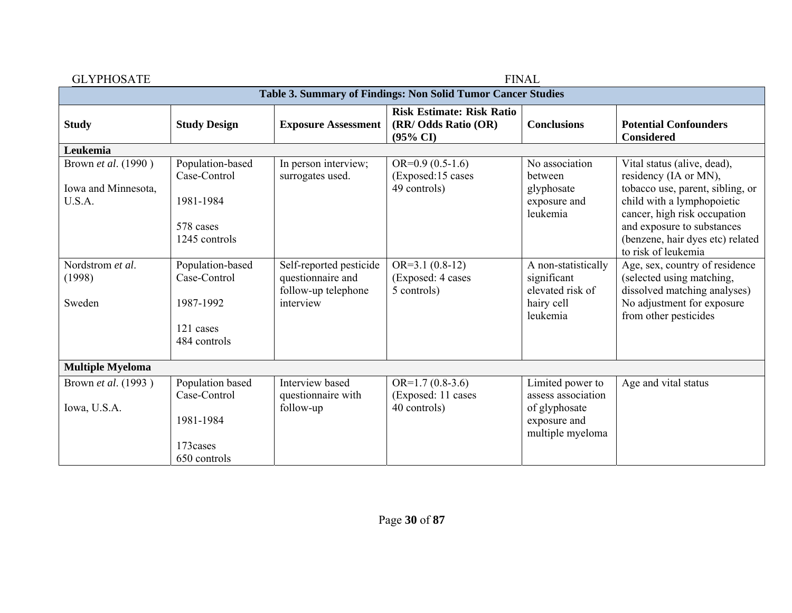| <b>GLYPHOSATE</b>                                            |                                  |                                                                     |                                                                                 | <b>FINAL</b>                                           |                                                                                                |  |  |  |  |
|--------------------------------------------------------------|----------------------------------|---------------------------------------------------------------------|---------------------------------------------------------------------------------|--------------------------------------------------------|------------------------------------------------------------------------------------------------|--|--|--|--|
| Table 3. Summary of Findings: Non Solid Tumor Cancer Studies |                                  |                                                                     |                                                                                 |                                                        |                                                                                                |  |  |  |  |
| <b>Study</b>                                                 | <b>Study Design</b>              | <b>Exposure Assessment</b>                                          | <b>Risk Estimate: Risk Ratio</b><br>(RR/ Odds Ratio (OR)<br>$(95\% \text{ CI})$ | <b>Conclusions</b>                                     | <b>Potential Confounders</b><br><b>Considered</b>                                              |  |  |  |  |
| Leukemia                                                     |                                  |                                                                     |                                                                                 |                                                        |                                                                                                |  |  |  |  |
| Brown et al. (1990)                                          | Population-based<br>Case-Control | In person interview;<br>surrogates used.                            | $OR=0.9(0.5-1.6)$<br>(Exposed:15 cases                                          | No association<br>between                              | Vital status (alive, dead),<br>residency (IA or MN),                                           |  |  |  |  |
| Iowa and Minnesota,<br>U.S.A.                                | 1981-1984                        |                                                                     | 49 controls)                                                                    | glyphosate<br>exposure and<br>leukemia                 | tobacco use, parent, sibling, or<br>child with a lymphopoietic<br>cancer, high risk occupation |  |  |  |  |
|                                                              | 578 cases<br>1245 controls       |                                                                     |                                                                                 |                                                        | and exposure to substances<br>(benzene, hair dyes etc) related<br>to risk of leukemia          |  |  |  |  |
| Nordstrom et al.<br>(1998)                                   | Population-based<br>Case-Control | Self-reported pesticide<br>questionnaire and<br>follow-up telephone | $OR=3.1(0.8-12)$<br>(Exposed: 4 cases<br>5 controls)                            | A non-statistically<br>significant<br>elevated risk of | Age, sex, country of residence<br>(selected using matching,<br>dissolved matching analyses)    |  |  |  |  |
| Sweden                                                       | 1987-1992                        | interview                                                           |                                                                                 | hairy cell<br>leukemia                                 | No adjustment for exposure<br>from other pesticides                                            |  |  |  |  |
|                                                              | 121 cases<br>484 controls        |                                                                     |                                                                                 |                                                        |                                                                                                |  |  |  |  |
| <b>Multiple Myeloma</b>                                      |                                  |                                                                     |                                                                                 |                                                        |                                                                                                |  |  |  |  |
| Brown et al. (1993)                                          | Population based<br>Case-Control | Interview based<br>questionnaire with                               | $OR=1.7(0.8-3.6)$<br>(Exposed: 11 cases                                         | Limited power to<br>assess association                 | Age and vital status                                                                           |  |  |  |  |
| Iowa, U.S.A.                                                 | 1981-1984                        | follow-up                                                           | 40 controls)                                                                    | of glyphosate<br>exposure and<br>multiple myeloma      |                                                                                                |  |  |  |  |
|                                                              | 173cases<br>650 controls         |                                                                     |                                                                                 |                                                        |                                                                                                |  |  |  |  |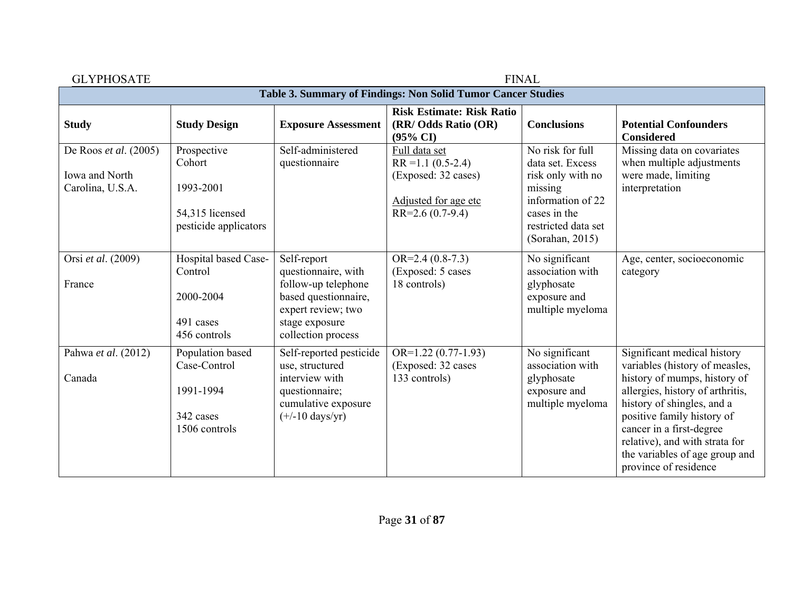| <b>GLYPHOSATE</b>                                             |                                                                                |                                                                                                                                                 | <b>FINAL</b>                                                                                                |                                                                                                                                                     |                                                                                                                                                                                                                                                                                                                        |  |  |
|---------------------------------------------------------------|--------------------------------------------------------------------------------|-------------------------------------------------------------------------------------------------------------------------------------------------|-------------------------------------------------------------------------------------------------------------|-----------------------------------------------------------------------------------------------------------------------------------------------------|------------------------------------------------------------------------------------------------------------------------------------------------------------------------------------------------------------------------------------------------------------------------------------------------------------------------|--|--|
| Table 3. Summary of Findings: Non Solid Tumor Cancer Studies  |                                                                                |                                                                                                                                                 |                                                                                                             |                                                                                                                                                     |                                                                                                                                                                                                                                                                                                                        |  |  |
| <b>Study</b>                                                  | <b>Study Design</b>                                                            | <b>Exposure Assessment</b>                                                                                                                      | <b>Risk Estimate: Risk Ratio</b><br>(RR/ Odds Ratio (OR)<br>$(95\% \text{ CI})$                             | <b>Conclusions</b>                                                                                                                                  | <b>Potential Confounders</b><br><b>Considered</b>                                                                                                                                                                                                                                                                      |  |  |
| De Roos et al. $(2005)$<br>Iowa and North<br>Carolina, U.S.A. | Prospective<br>Cohort<br>1993-2001<br>54,315 licensed<br>pesticide applicators | Self-administered<br>questionnaire                                                                                                              | Full data set<br>$RR = 1.1 (0.5 - 2.4)$<br>(Exposed: 32 cases)<br>Adjusted for age etc<br>$RR=2.6(0.7-9.4)$ | No risk for full<br>data set. Excess<br>risk only with no<br>missing<br>information of 22<br>cases in the<br>restricted data set<br>(Sorahan, 2015) | Missing data on covariates<br>when multiple adjustments<br>were made, limiting<br>interpretation                                                                                                                                                                                                                       |  |  |
| Orsi et al. (2009)<br>France                                  | Hospital based Case-<br>Control<br>2000-2004<br>491 cases<br>456 controls      | Self-report<br>questionnaire, with<br>follow-up telephone<br>based questionnaire,<br>expert review; two<br>stage exposure<br>collection process | $OR=2.4(0.8-7.3)$<br>(Exposed: 5 cases)<br>18 controls)                                                     | No significant<br>association with<br>glyphosate<br>exposure and<br>multiple myeloma                                                                | Age, center, socioeconomic<br>category                                                                                                                                                                                                                                                                                 |  |  |
| Pahwa et al. (2012)<br>Canada                                 | Population based<br>Case-Control<br>1991-1994<br>342 cases<br>1506 controls    | Self-reported pesticide<br>use, structured<br>interview with<br>questionnaire;<br>cumulative exposure<br>$(+/-10 \text{ days/yr})$              | $OR=1.22(0.77-1.93)$<br>(Exposed: 32 cases<br>133 controls)                                                 | No significant<br>association with<br>glyphosate<br>exposure and<br>multiple myeloma                                                                | Significant medical history<br>variables (history of measles,<br>history of mumps, history of<br>allergies, history of arthritis,<br>history of shingles, and a<br>positive family history of<br>cancer in a first-degree<br>relative), and with strata for<br>the variables of age group and<br>province of residence |  |  |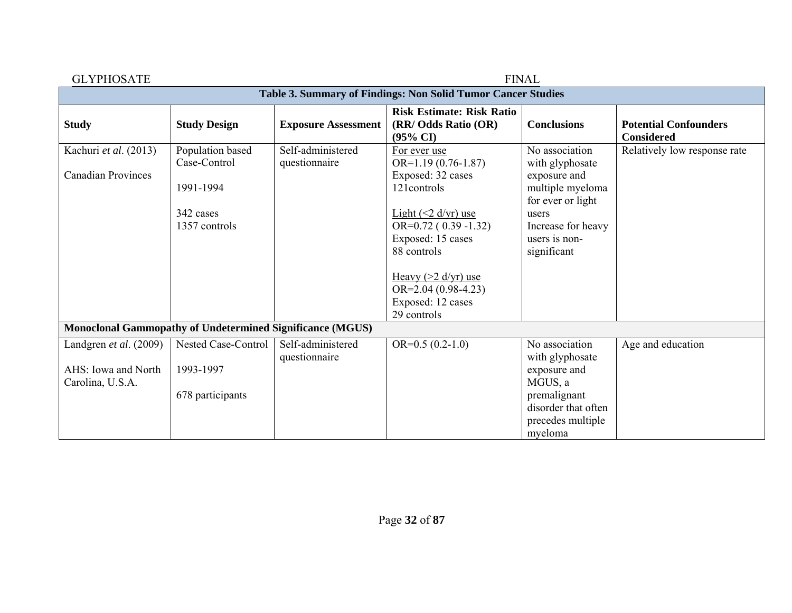| <b>GLYPHOSATE</b>                                                | <b>FINAL</b>                     |                                    |                                                                                           |                                                   |                                                   |  |
|------------------------------------------------------------------|----------------------------------|------------------------------------|-------------------------------------------------------------------------------------------|---------------------------------------------------|---------------------------------------------------|--|
| Table 3. Summary of Findings: Non Solid Tumor Cancer Studies     |                                  |                                    |                                                                                           |                                                   |                                                   |  |
| <b>Study</b>                                                     | <b>Study Design</b>              | <b>Exposure Assessment</b>         | <b>Risk Estimate: Risk Ratio</b><br>(RR/ Odds Ratio (OR)<br>$(95\% \text{ CI})$           | <b>Conclusions</b>                                | <b>Potential Confounders</b><br><b>Considered</b> |  |
| Kachuri et al. (2013)<br><b>Canadian Provinces</b>               | Population based<br>Case-Control | Self-administered<br>questionnaire | For ever use<br>$OR=1.19(0.76-1.87)$<br>Exposed: 32 cases                                 | No association<br>with glyphosate<br>exposure and | Relatively low response rate                      |  |
|                                                                  | 1991-1994                        |                                    | 121 controls                                                                              | multiple myeloma<br>for ever or light             |                                                   |  |
|                                                                  | 342 cases<br>1357 controls       |                                    | Light $(2 d/yr)$ use<br>$OR=0.72(0.39-1.32)$                                              | users<br>Increase for heavy                       |                                                   |  |
|                                                                  |                                  |                                    | Exposed: 15 cases                                                                         | users is non-                                     |                                                   |  |
|                                                                  |                                  |                                    | 88 controls                                                                               | significant                                       |                                                   |  |
|                                                                  |                                  |                                    | Heavy $(>2 \frac{d}{yr})$ use<br>$OR=2.04(0.98-4.23)$<br>Exposed: 12 cases<br>29 controls |                                                   |                                                   |  |
| <b>Monoclonal Gammopathy of Undetermined Significance (MGUS)</b> |                                  |                                    |                                                                                           |                                                   |                                                   |  |
| Landgren et al. (2009)                                           | Nested Case-Control              | Self-administered<br>questionnaire | $OR=0.5(0.2-1.0)$                                                                         | No association<br>with glyphosate                 | Age and education                                 |  |
| AHS: Iowa and North                                              | 1993-1997                        |                                    |                                                                                           | exposure and                                      |                                                   |  |
| Carolina, U.S.A.                                                 |                                  |                                    |                                                                                           | MGUS, a                                           |                                                   |  |
|                                                                  | 678 participants                 |                                    |                                                                                           | premalignant                                      |                                                   |  |
|                                                                  |                                  |                                    |                                                                                           | disorder that often                               |                                                   |  |
|                                                                  |                                  |                                    |                                                                                           | precedes multiple<br>myeloma                      |                                                   |  |
|                                                                  |                                  |                                    |                                                                                           |                                                   |                                                   |  |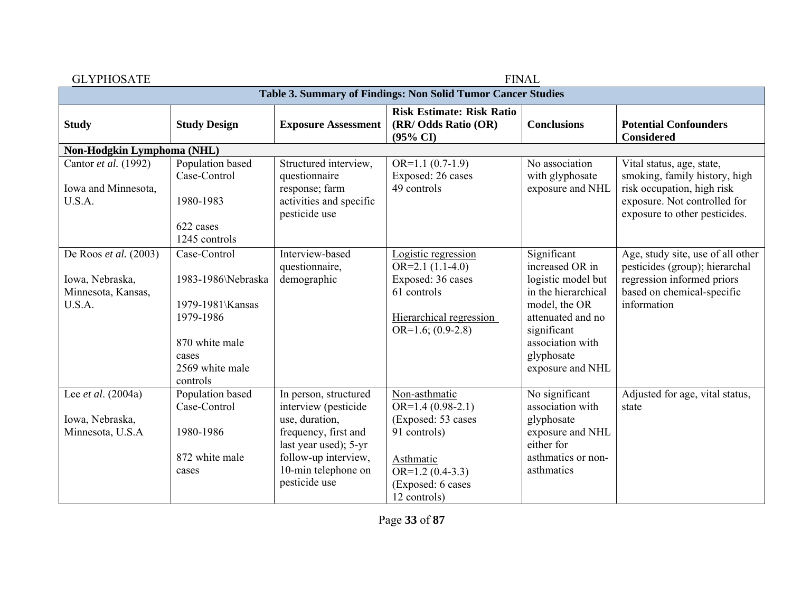| <b>GLYPHOSATE</b>                                                        |                                                                                                                               |                                                                                                                                                                                  |                                                                                                                                                   | <b>FINAL</b>                                                                                                                                                                           |                                                                                                                                                |  |
|--------------------------------------------------------------------------|-------------------------------------------------------------------------------------------------------------------------------|----------------------------------------------------------------------------------------------------------------------------------------------------------------------------------|---------------------------------------------------------------------------------------------------------------------------------------------------|----------------------------------------------------------------------------------------------------------------------------------------------------------------------------------------|------------------------------------------------------------------------------------------------------------------------------------------------|--|
| Table 3. Summary of Findings: Non Solid Tumor Cancer Studies             |                                                                                                                               |                                                                                                                                                                                  |                                                                                                                                                   |                                                                                                                                                                                        |                                                                                                                                                |  |
| <b>Study</b>                                                             | <b>Study Design</b>                                                                                                           | <b>Exposure Assessment</b>                                                                                                                                                       | <b>Risk Estimate: Risk Ratio</b><br>(RR/ Odds Ratio (OR)<br>$(95\% \text{ CI})$                                                                   | <b>Conclusions</b>                                                                                                                                                                     | <b>Potential Confounders</b><br><b>Considered</b>                                                                                              |  |
| Non-Hodgkin Lymphoma (NHL)                                               |                                                                                                                               |                                                                                                                                                                                  |                                                                                                                                                   |                                                                                                                                                                                        |                                                                                                                                                |  |
| Cantor et al. (1992)<br>Iowa and Minnesota,<br>U.S.A.                    | Population based<br>Case-Control<br>1980-1983                                                                                 | Structured interview,<br>questionnaire<br>response; farm<br>activities and specific                                                                                              | $OR=1.1(0.7-1.9)$<br>Exposed: 26 cases<br>49 controls                                                                                             | No association<br>with glyphosate<br>exposure and NHL                                                                                                                                  | Vital status, age, state,<br>smoking, family history, high<br>risk occupation, high risk<br>exposure. Not controlled for                       |  |
|                                                                          | 622 cases<br>1245 controls                                                                                                    | pesticide use                                                                                                                                                                    |                                                                                                                                                   |                                                                                                                                                                                        | exposure to other pesticides.                                                                                                                  |  |
| De Roos et al. (2003)<br>Iowa, Nebraska,<br>Minnesota, Kansas,<br>U.S.A. | Case-Control<br>1983-1986\Nebraska<br>1979-1981\Kansas<br>1979-1986<br>870 white male<br>cases<br>2569 white male<br>controls | Interview-based<br>questionnaire,<br>demographic                                                                                                                                 | Logistic regression<br>$OR=2.1(1.1-4.0)$<br>Exposed: 36 cases<br>61 controls<br>Hierarchical regression<br>$OR=1.6$ ; $(0.9-2.8)$                 | Significant<br>increased OR in<br>logistic model but<br>in the hierarchical<br>model, the OR<br>attenuated and no<br>significant<br>association with<br>glyphosate<br>exposure and NHL | Age, study site, use of all other<br>pesticides (group); hierarchal<br>regression informed priors<br>based on chemical-specific<br>information |  |
| Lee et al. (2004a)<br>Iowa, Nebraska,<br>Minnesota, U.S.A                | Population based<br>Case-Control<br>1980-1986<br>872 white male<br>cases                                                      | In person, structured<br>interview (pesticide<br>use, duration,<br>frequency, first and<br>last year used); 5-yr<br>follow-up interview,<br>10-min telephone on<br>pesticide use | Non-asthmatic<br>$OR=1.4(0.98-2.1)$<br>(Exposed: 53 cases)<br>91 controls)<br>Asthmatic<br>$OR=1.2(0.4-3.3)$<br>(Exposed: 6 cases<br>12 controls) | No significant<br>association with<br>glyphosate<br>exposure and NHL<br>either for<br>asthmatics or non-<br>asthmatics                                                                 | Adjusted for age, vital status,<br>state                                                                                                       |  |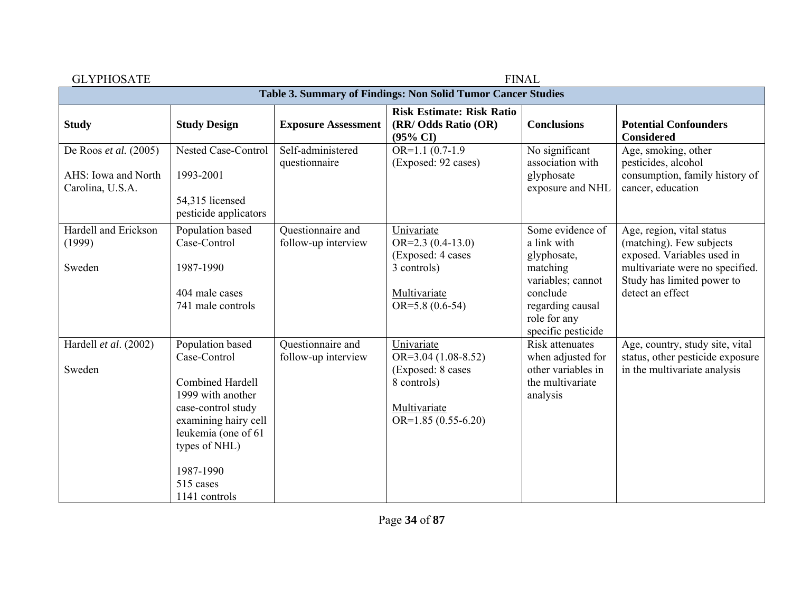| <b>GLYPHOSATE</b>                                                |                                                                                                                                                                                                                   |                                          |                                                                                                                 | <b>FINAL</b>                                                                                                                                          |                                                                                                                                                                          |  |  |
|------------------------------------------------------------------|-------------------------------------------------------------------------------------------------------------------------------------------------------------------------------------------------------------------|------------------------------------------|-----------------------------------------------------------------------------------------------------------------|-------------------------------------------------------------------------------------------------------------------------------------------------------|--------------------------------------------------------------------------------------------------------------------------------------------------------------------------|--|--|
| Table 3. Summary of Findings: Non Solid Tumor Cancer Studies     |                                                                                                                                                                                                                   |                                          |                                                                                                                 |                                                                                                                                                       |                                                                                                                                                                          |  |  |
| <b>Study</b>                                                     | <b>Study Design</b>                                                                                                                                                                                               | <b>Exposure Assessment</b>               | <b>Risk Estimate: Risk Ratio</b><br>(RR/ Odds Ratio (OR)<br>$(95\% \text{ CI})$                                 | <b>Conclusions</b>                                                                                                                                    | <b>Potential Confounders</b><br><b>Considered</b>                                                                                                                        |  |  |
| De Roos et al. (2005)<br>AHS: Iowa and North<br>Carolina, U.S.A. | Nested Case-Control<br>1993-2001<br>54,315 licensed<br>pesticide applicators                                                                                                                                      | Self-administered<br>questionnaire       | $OR=1.1(0.7-1.9)$<br>(Exposed: 92 cases)                                                                        | No significant<br>association with<br>glyphosate<br>exposure and NHL                                                                                  | Age, smoking, other<br>pesticides, alcohol<br>consumption, family history of<br>cancer, education                                                                        |  |  |
| Hardell and Erickson<br>(1999)<br>Sweden                         | Population based<br>Case-Control<br>1987-1990<br>404 male cases<br>741 male controls                                                                                                                              | Questionnaire and<br>follow-up interview | Univariate<br>$OR=2.3(0.4-13.0)$<br>(Exposed: 4 cases<br>3 controls)<br>Multivariate<br>$OR=5.8(0.6-54)$        | Some evidence of<br>a link with<br>glyphosate,<br>matching<br>variables; cannot<br>conclude<br>regarding causal<br>role for any<br>specific pesticide | Age, region, vital status<br>(matching). Few subjects<br>exposed. Variables used in<br>multivariate were no specified.<br>Study has limited power to<br>detect an effect |  |  |
| Hardell et al. (2002)<br>Sweden                                  | Population based<br>Case-Control<br><b>Combined Hardell</b><br>1999 with another<br>case-control study<br>examining hairy cell<br>leukemia (one of 61<br>types of NHL)<br>1987-1990<br>515 cases<br>1141 controls | Questionnaire and<br>follow-up interview | Univariate<br>$OR=3.04(1.08-8.52)$<br>(Exposed: 8 cases<br>8 controls)<br>Multivariate<br>OR= $1.85(0.55-6.20)$ | <b>Risk attenuates</b><br>when adjusted for<br>other variables in<br>the multivariate<br>analysis                                                     | Age, country, study site, vital<br>status, other pesticide exposure<br>in the multivariate analysis                                                                      |  |  |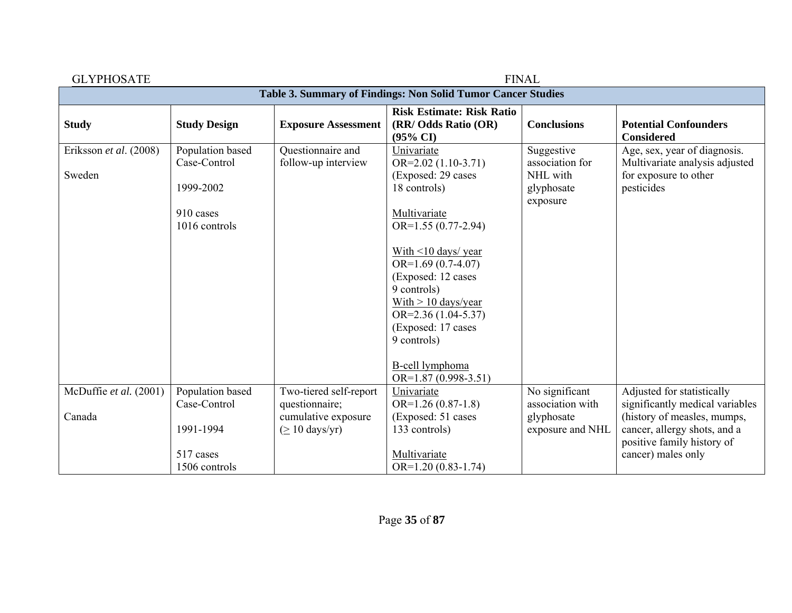| <b>GLYPHOSATE</b>                                            | <b>FINAL</b>                                  |                                                     |                                                                                 |                                                                     |                                                                                                       |  |  |
|--------------------------------------------------------------|-----------------------------------------------|-----------------------------------------------------|---------------------------------------------------------------------------------|---------------------------------------------------------------------|-------------------------------------------------------------------------------------------------------|--|--|
| Table 3. Summary of Findings: Non Solid Tumor Cancer Studies |                                               |                                                     |                                                                                 |                                                                     |                                                                                                       |  |  |
| <b>Study</b>                                                 | <b>Study Design</b>                           | <b>Exposure Assessment</b>                          | <b>Risk Estimate: Risk Ratio</b><br>(RR/ Odds Ratio (OR)<br>$(95\% \text{ CI})$ | <b>Conclusions</b>                                                  | <b>Potential Confounders</b><br><b>Considered</b>                                                     |  |  |
| Eriksson et al. (2008)<br>Sweden                             | Population based<br>Case-Control<br>1999-2002 | Questionnaire and<br>follow-up interview            | Univariate<br>$OR=2.02(1.10-3.71)$<br>(Exposed: 29 cases)<br>18 controls)       | Suggestive<br>association for<br>NHL with<br>glyphosate<br>exposure | Age, sex, year of diagnosis.<br>Multivariate analysis adjusted<br>for exposure to other<br>pesticides |  |  |
|                                                              | 910 cases<br>1016 controls                    |                                                     | Multivariate<br>$OR=1.55(0.77-2.94)$                                            |                                                                     |                                                                                                       |  |  |
|                                                              |                                               |                                                     | With $\leq$ 10 days/ year<br>$OR=1.69(0.7-4.07)$<br>(Exposed: 12 cases          |                                                                     |                                                                                                       |  |  |
|                                                              |                                               |                                                     | 9 controls)<br>With $> 10$ days/year<br>$OR = 2.36(1.04 - 5.37)$                |                                                                     |                                                                                                       |  |  |
|                                                              |                                               |                                                     | (Exposed: 17 cases<br>9 controls)                                               |                                                                     |                                                                                                       |  |  |
|                                                              |                                               |                                                     | <b>B-cell</b> lymphoma<br>OR= $1.87(0.998-3.51)$                                |                                                                     |                                                                                                       |  |  |
| McDuffie et al. (2001)                                       | Population based<br>Case-Control              | Two-tiered self-report<br>questionnaire;            | Univariate<br>$OR=1.26(0.87-1.8)$                                               | No significant<br>association with                                  | Adjusted for statistically<br>significantly medical variables                                         |  |  |
| Canada                                                       | 1991-1994                                     | cumulative exposure<br>$( \geq 10 \text{ days/yr})$ | (Exposed: 51 cases)<br>133 controls)                                            | glyphosate<br>exposure and NHL                                      | (history of measles, mumps,<br>cancer, allergy shots, and a<br>positive family history of             |  |  |
|                                                              | 517 cases<br>1506 controls                    |                                                     | Multivariate<br>$OR=1.20(0.83-1.74)$                                            |                                                                     | cancer) males only                                                                                    |  |  |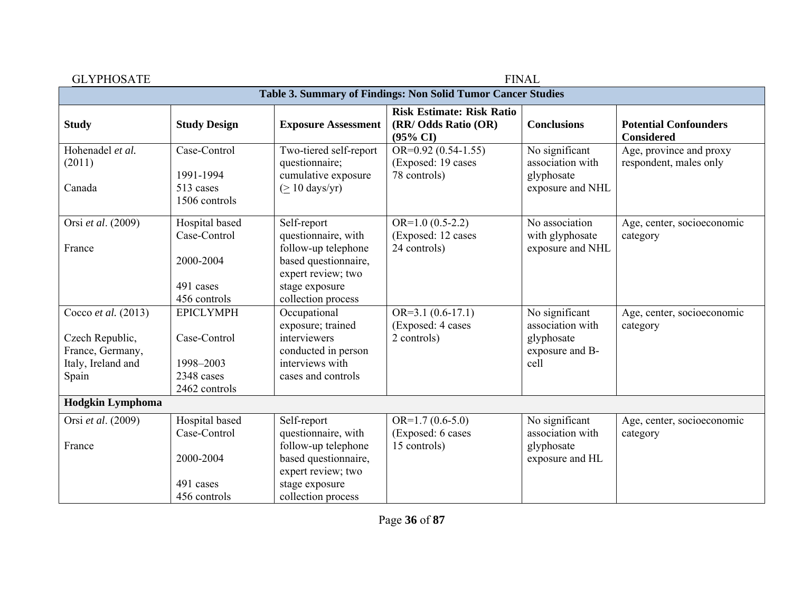| Table 3. Summary of Findings: Non Solid Tumor Cancer Studies                 |                                                                                                                                                 |                                                                                 |                                                                             |                                                   |  |  |
|------------------------------------------------------------------------------|-------------------------------------------------------------------------------------------------------------------------------------------------|---------------------------------------------------------------------------------|-----------------------------------------------------------------------------|---------------------------------------------------|--|--|
| <b>Study Design</b>                                                          | <b>Exposure Assessment</b>                                                                                                                      | <b>Risk Estimate: Risk Ratio</b><br>(RR/ Odds Ratio (OR)<br>$(95\% \text{ CI})$ | <b>Conclusions</b>                                                          | <b>Potential Confounders</b><br><b>Considered</b> |  |  |
| Case-Control<br>1991-1994<br>513 cases<br>1506 controls                      | Two-tiered self-report<br>questionnaire;<br>cumulative exposure<br>$( \geq 10 \text{ days/yr})$                                                 | OR= $0.92$ (0.54-1.55)<br>(Exposed: 19 cases<br>78 controls)                    | No significant<br>association with<br>glyphosate<br>exposure and NHL        | Age, province and proxy<br>respondent, males only |  |  |
| Hospital based<br>Case-Control<br>2000-2004<br>491 cases<br>456 controls     | Self-report<br>questionnaire, with<br>follow-up telephone<br>based questionnaire,<br>expert review; two<br>stage exposure<br>collection process | $OR=1.0(0.5-2.2)$<br>(Exposed: 12 cases<br>24 controls)                         | No association<br>with glyphosate<br>exposure and NHL                       | Age, center, socioeconomic<br>category            |  |  |
| <b>EPICLYMPH</b><br>Case-Control<br>1998-2003<br>2348 cases<br>2462 controls | Occupational<br>exposure; trained<br>interviewers<br>conducted in person<br>interviews with<br>cases and controls                               | $OR=3.1(0.6-17.1)$<br>(Exposed: 4 cases<br>2 controls)                          | No significant<br>association with<br>glyphosate<br>exposure and B-<br>cell | Age, center, socioeconomic<br>category            |  |  |
|                                                                              |                                                                                                                                                 |                                                                                 |                                                                             |                                                   |  |  |
| Case-Control<br>2000-2004<br>491 cases                                       | questionnaire, with<br>follow-up telephone<br>based questionnaire,<br>expert review; two<br>stage exposure                                      | (Exposed: 6 cases<br>15 controls)                                               | association with<br>glyphosate<br>exposure and HL                           | Age, center, socioeconomic<br>category            |  |  |
|                                                                              | Hospital based<br>456 controls                                                                                                                  | Self-report<br>collection process                                               | $OR=1.7(0.6-5.0)$                                                           | No significant                                    |  |  |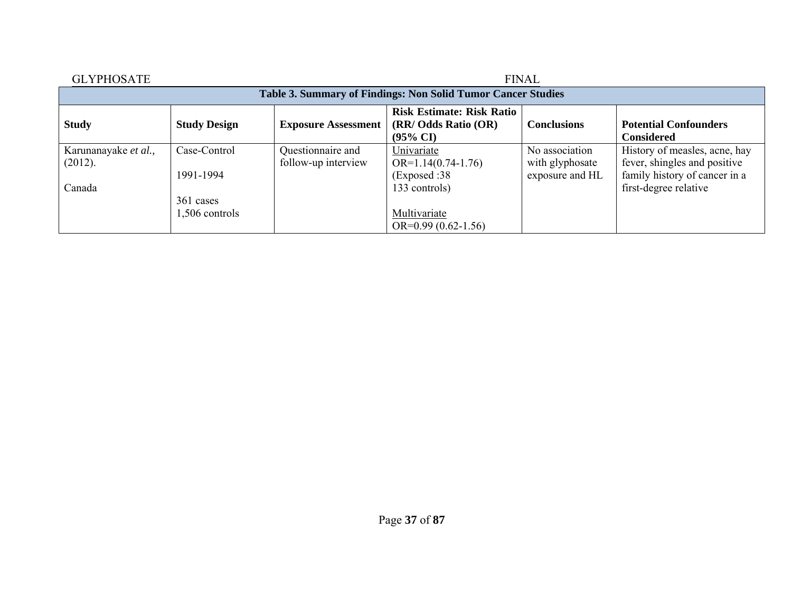| <b>GLYPHOSATE</b>                                            | <b>FINAL</b>                |                                          |                                                                                 |                                                      |                                                                                                |  |  |  |
|--------------------------------------------------------------|-----------------------------|------------------------------------------|---------------------------------------------------------------------------------|------------------------------------------------------|------------------------------------------------------------------------------------------------|--|--|--|
| Table 3. Summary of Findings: Non Solid Tumor Cancer Studies |                             |                                          |                                                                                 |                                                      |                                                                                                |  |  |  |
| <b>Study</b>                                                 | <b>Study Design</b>         | <b>Exposure Assessment</b>               | <b>Risk Estimate: Risk Ratio</b><br>(RR/ Odds Ratio (OR)<br>$(95\% \text{ CI})$ | <b>Conclusions</b>                                   | <b>Potential Confounders</b><br><b>Considered</b>                                              |  |  |  |
| Karunanayake et al.,<br>(2012).                              | Case-Control<br>1991-1994   | Questionnaire and<br>follow-up interview | Univariate<br>$OR=1.14(0.74-1.76)$<br>(Exposed :38)                             | No association<br>with glyphosate<br>exposure and HL | History of measles, acne, hay<br>fever, shingles and positive<br>family history of cancer in a |  |  |  |
| Canada                                                       | 361 cases<br>1,506 controls |                                          | 133 controls)<br>Multivariate<br>$OR=0.99(0.62-1.56)$                           |                                                      | first-degree relative                                                                          |  |  |  |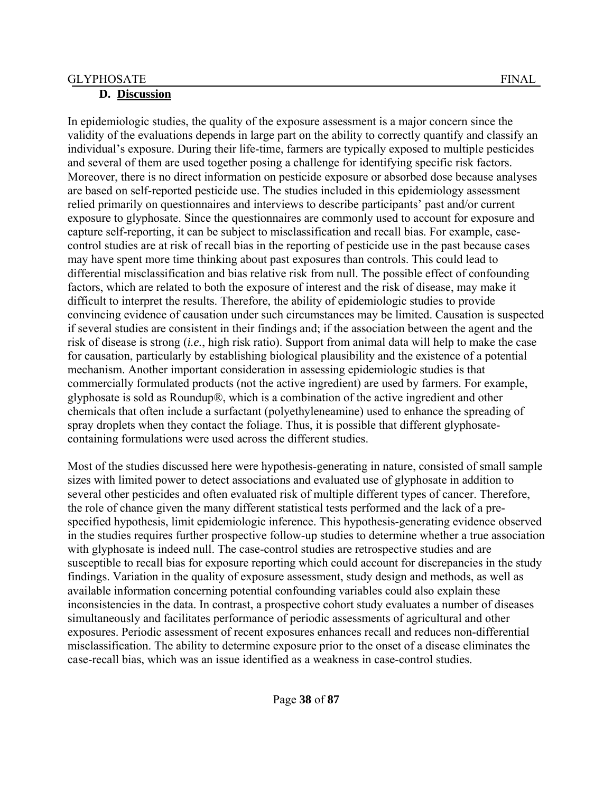In epidemiologic studies, the quality of the exposure assessment is a major concern since the validity of the evaluations depends in large part on the ability to correctly quantify and classify an individual's exposure. During their life-time, farmers are typically exposed to multiple pesticides and several of them are used together posing a challenge for identifying specific risk factors. Moreover, there is no direct information on pesticide exposure or absorbed dose because analyses are based on self-reported pesticide use. The studies included in this epidemiology assessment relied primarily on questionnaires and interviews to describe participants' past and/or current exposure to glyphosate. Since the questionnaires are commonly used to account for exposure and capture self-reporting, it can be subject to misclassification and recall bias. For example, casecontrol studies are at risk of recall bias in the reporting of pesticide use in the past because cases may have spent more time thinking about past exposures than controls. This could lead to differential misclassification and bias relative risk from null. The possible effect of confounding factors, which are related to both the exposure of interest and the risk of disease, may make it difficult to interpret the results. Therefore, the ability of epidemiologic studies to provide convincing evidence of causation under such circumstances may be limited. Causation is suspected if several studies are consistent in their findings and; if the association between the agent and the risk of disease is strong (*i.e.*, high risk ratio). Support from animal data will help to make the case for causation, particularly by establishing biological plausibility and the existence of a potential mechanism. Another important consideration in assessing epidemiologic studies is that commercially formulated products (not the active ingredient) are used by farmers. For example, glyphosate is sold as Roundup®, which is a combination of the active ingredient and other chemicals that often include a surfactant (polyethyleneamine) used to enhance the spreading of spray droplets when they contact the foliage. Thus, it is possible that different glyphosatecontaining formulations were used across the different studies.

Most of the studies discussed here were hypothesis-generating in nature, consisted of small sample sizes with limited power to detect associations and evaluated use of glyphosate in addition to several other pesticides and often evaluated risk of multiple different types of cancer. Therefore, the role of chance given the many different statistical tests performed and the lack of a prespecified hypothesis, limit epidemiologic inference. This hypothesis-generating evidence observed in the studies requires further prospective follow-up studies to determine whether a true association with glyphosate is indeed null. The case-control studies are retrospective studies and are susceptible to recall bias for exposure reporting which could account for discrepancies in the study findings. Variation in the quality of exposure assessment, study design and methods, as well as available information concerning potential confounding variables could also explain these inconsistencies in the data. In contrast, a prospective cohort study evaluates a number of diseases simultaneously and facilitates performance of periodic assessments of agricultural and other exposures. Periodic assessment of recent exposures enhances recall and reduces non-differential misclassification. The ability to determine exposure prior to the onset of a disease eliminates the case-recall bias, which was an issue identified as a weakness in case-control studies.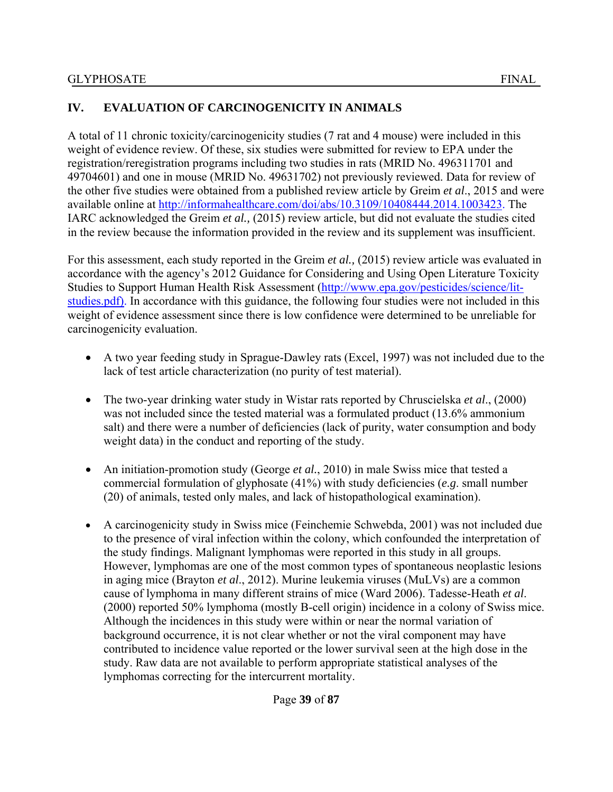# **IV. EVALUATION OF CARCINOGENICITY IN ANIMALS**

A total of 11 chronic toxicity/carcinogenicity studies (7 rat and 4 mouse) were included in this weight of evidence review. Of these, six studies were submitted for review to EPA under the registration/reregistration programs including two studies in rats (MRID No. 496311701 and 49704601) and one in mouse (MRID No. 49631702) not previously reviewed. Data for review of the other five studies were obtained from a published review article by Greim *et al*., 2015 and were available online at http://informahealthcare.com/doi/abs/10.3109/10408444.2014.1003423. The IARC acknowledged the Greim *et al.,* (2015) review article, but did not evaluate the studies cited in the review because the information provided in the review and its supplement was insufficient.

For this assessment, each study reported in the Greim *et al.,* (2015) review article was evaluated in accordance with the agency's 2012 Guidance for Considering and Using Open Literature Toxicity Studies to Support Human Health Risk Assessment (http://www.epa.gov/pesticides/science/litstudies.pdf). In accordance with this guidance, the following four studies were not included in this weight of evidence assessment since there is low confidence were determined to be unreliable for carcinogenicity evaluation.

- A two year feeding study in Sprague-Dawley rats (Excel, 1997) was not included due to the lack of test article characterization (no purity of test material).
- The two-year drinking water study in Wistar rats reported by Chruscielska *et al*., (2000) was not included since the tested material was a formulated product (13.6% ammonium salt) and there were a number of deficiencies (lack of purity, water consumption and body weight data) in the conduct and reporting of the study.
- An initiation-promotion study (George *et al.*, 2010) in male Swiss mice that tested a commercial formulation of glyphosate (41%) with study deficiencies (*e.g*. small number (20) of animals, tested only males, and lack of histopathological examination).
- A carcinogenicity study in Swiss mice (Feinchemie Schwebda, 2001) was not included due to the presence of viral infection within the colony, which confounded the interpretation of the study findings. Malignant lymphomas were reported in this study in all groups. However, lymphomas are one of the most common types of spontaneous neoplastic lesions in aging mice (Brayton *et al*., 2012). Murine leukemia viruses (MuLVs) are a common cause of lymphoma in many different strains of mice (Ward 2006). Tadesse-Heath *et al*. (2000) reported 50% lymphoma (mostly B-cell origin) incidence in a colony of Swiss mice. Although the incidences in this study were within or near the normal variation of background occurrence, it is not clear whether or not the viral component may have contributed to incidence value reported or the lower survival seen at the high dose in the study. Raw data are not available to perform appropriate statistical analyses of the lymphomas correcting for the intercurrent mortality.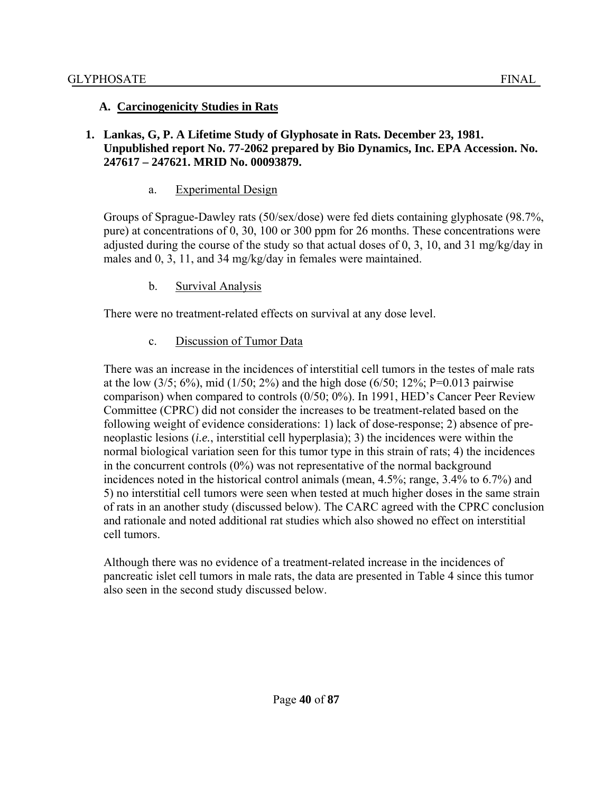#### **A. Carcinogenicity Studies in Rats**

#### **1. Lankas, G, P. A Lifetime Study of Glyphosate in Rats. December 23, 1981. Unpublished report No. 77-2062 prepared by Bio Dynamics, Inc. EPA Accession. No. 247617 – 247621. MRID No. 00093879.**

#### a. Experimental Design

Groups of Sprague-Dawley rats (50/sex/dose) were fed diets containing glyphosate (98.7%, pure) at concentrations of 0, 30, 100 or 300 ppm for 26 months. These concentrations were adjusted during the course of the study so that actual doses of 0, 3, 10, and 31 mg/kg/day in males and 0, 3, 11, and 34 mg/kg/day in females were maintained.

#### b. Survival Analysis

There were no treatment-related effects on survival at any dose level.

#### c. Discussion of Tumor Data

There was an increase in the incidences of interstitial cell tumors in the testes of male rats at the low  $(3/5; 6\%)$ , mid  $(1/50; 2\%)$  and the high dose  $(6/50; 12\%; P=0.013$  pairwise comparison) when compared to controls (0/50; 0%). In 1991, HED's Cancer Peer Review Committee (CPRC) did not consider the increases to be treatment-related based on the following weight of evidence considerations: 1) lack of dose-response; 2) absence of preneoplastic lesions (*i.e.*, interstitial cell hyperplasia); 3) the incidences were within the normal biological variation seen for this tumor type in this strain of rats; 4) the incidences in the concurrent controls (0%) was not representative of the normal background incidences noted in the historical control animals (mean, 4.5%; range, 3.4% to 6.7%) and 5) no interstitial cell tumors were seen when tested at much higher doses in the same strain of rats in an another study (discussed below). The CARC agreed with the CPRC conclusion and rationale and noted additional rat studies which also showed no effect on interstitial cell tumors.

Although there was no evidence of a treatment-related increase in the incidences of pancreatic islet cell tumors in male rats, the data are presented in Table 4 since this tumor also seen in the second study discussed below.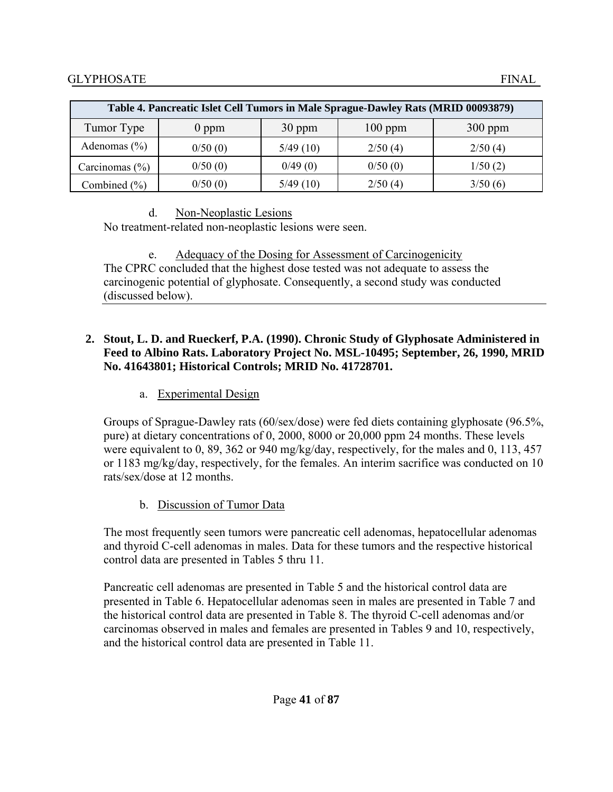| Table 4. Pancreatic Islet Cell Tumors in Male Sprague-Dawley Rats (MRID 00093879) |         |          |           |           |  |  |
|-----------------------------------------------------------------------------------|---------|----------|-----------|-----------|--|--|
| Tumor Type                                                                        | $0$ ppm | 30 ppm   | $100$ ppm | $300$ ppm |  |  |
| Adenomas $(\% )$                                                                  | 0/50(0) | 5/49(10) | 2/50(4)   | 2/50(4)   |  |  |
| Carcinomas $(\% )$                                                                | 0/50(0) | 0/49(0)  | 0/50(0)   | 1/50(2)   |  |  |
| Combined $(\% )$                                                                  | 0/50(0) | 5/49(10) | 2/50(4)   | 3/50(6)   |  |  |

## d. Non-Neoplastic Lesions

No treatment-related non-neoplastic lesions were seen.

e. Adequacy of the Dosing for Assessment of Carcinogenicity The CPRC concluded that the highest dose tested was not adequate to assess the carcinogenic potential of glyphosate. Consequently, a second study was conducted (discussed below).

## **2. Stout, L. D. and Rueckerf, P.A. (1990). Chronic Study of Glyphosate Administered in Feed to Albino Rats. Laboratory Project No. MSL-10495; September, 26, 1990, MRID No. 41643801; Historical Controls; MRID No. 41728701.**

# a. Experimental Design

Groups of Sprague-Dawley rats (60/sex/dose) were fed diets containing glyphosate (96.5%, pure) at dietary concentrations of 0, 2000, 8000 or 20,000 ppm 24 months. These levels were equivalent to 0, 89, 362 or 940 mg/kg/day, respectively, for the males and 0, 113, 457 or 1183 mg/kg/day, respectively, for the females. An interim sacrifice was conducted on 10 rats/sex/dose at 12 months.

# b. Discussion of Tumor Data

The most frequently seen tumors were pancreatic cell adenomas, hepatocellular adenomas and thyroid C-cell adenomas in males. Data for these tumors and the respective historical control data are presented in Tables 5 thru 11.

Pancreatic cell adenomas are presented in Table 5 and the historical control data are presented in Table 6. Hepatocellular adenomas seen in males are presented in Table 7 and the historical control data are presented in Table 8. The thyroid C-cell adenomas and/or carcinomas observed in males and females are presented in Tables 9 and 10, respectively, and the historical control data are presented in Table 11.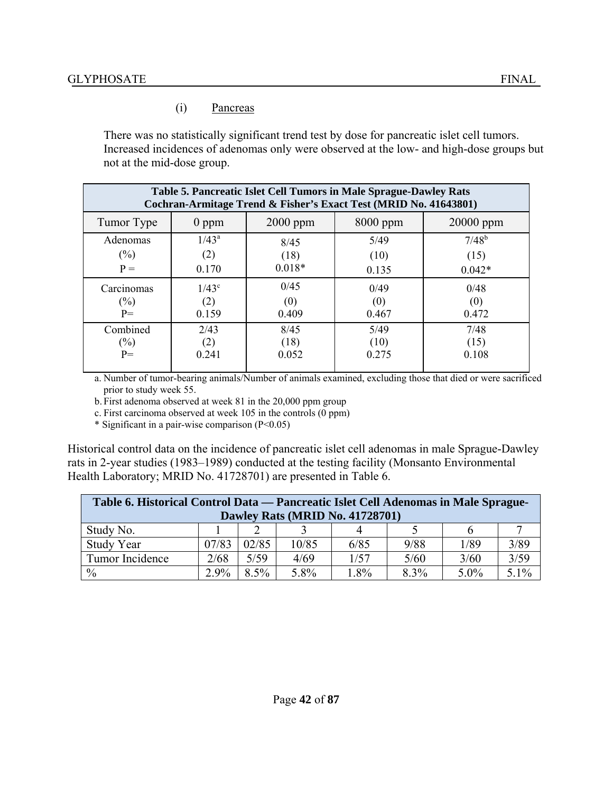### (i) Pancreas

There was no statistically significant trend test by dose for pancreatic islet cell tumors. Increased incidences of adenomas only were observed at the low- and high-dose groups but not at the mid-dose group.

| Table 5. Pancreatic Islet Cell Tumors in Male Sprague-Dawley Rats<br>Cochran-Armitage Trend & Fisher's Exact Test (MRID No. 41643801) |          |            |            |             |  |  |
|---------------------------------------------------------------------------------------------------------------------------------------|----------|------------|------------|-------------|--|--|
| Tumor Type                                                                                                                            | $0$ ppm  | $2000$ ppm | $8000$ ppm | $20000$ ppm |  |  |
| Adenomas                                                                                                                              | $1/43^a$ | 8/45       | 5/49       | $7/48^{b}$  |  |  |
| $(\%)$                                                                                                                                | (2)      | (18)       | (10)       | (15)        |  |  |
| $P =$                                                                                                                                 | 0.170    | $0.018*$   | 0.135      | $0.042*$    |  |  |
| Carcinomas                                                                                                                            | $1/43^c$ | 0/45       | 0/49       | 0/48        |  |  |
| $(\%)$                                                                                                                                | (2)      | (0)        | (0)        | (0)         |  |  |
| $P=$                                                                                                                                  | 0.159    | 0.409      | 0.467      | 0.472       |  |  |
| Combined                                                                                                                              | 2/43     | 8/45       | 5/49       | 7/48        |  |  |
| $(\%)$                                                                                                                                | (2)      | (18)       | (10)       | (15)        |  |  |
| $P=$                                                                                                                                  | 0.241    | 0.052      | 0.275      | 0.108       |  |  |
|                                                                                                                                       |          |            |            |             |  |  |

a. Number of tumor-bearing animals/Number of animals examined, excluding those that died or were sacrificed prior to study week 55.

b. First adenoma observed at week 81 in the 20,000 ppm group

c. First carcinoma observed at week 105 in the controls (0 ppm)

\* Significant in a pair-wise comparison (P<0.05)

Historical control data on the incidence of pancreatic islet cell adenomas in male Sprague-Dawley rats in 2-year studies (1983–1989) conducted at the testing facility (Monsanto Environmental Health Laboratory; MRID No. 41728701) are presented in Table 6.

| Table 6. Historical Control Data — Pancreatic Islet Cell Adenomas in Male Sprague-<br>Dawley Rats (MRID No. 41728701) |       |         |       |      |      |         |         |
|-----------------------------------------------------------------------------------------------------------------------|-------|---------|-------|------|------|---------|---------|
| Study No.                                                                                                             |       |         |       |      |      |         |         |
| Study Year                                                                                                            | 07/83 | 02/85   | 10/85 | 6/85 | 9/88 | 1/89    | 3/89    |
| Tumor Incidence                                                                                                       | 2/68  | 5/59    | 4/69  | 1/57 | 5/60 | 3/60    | 3/59    |
| $\frac{0}{0}$                                                                                                         | 2.9%  | $8.5\%$ | 5.8%  | 1.8% | 8.3% | $5.0\%$ | $5.1\%$ |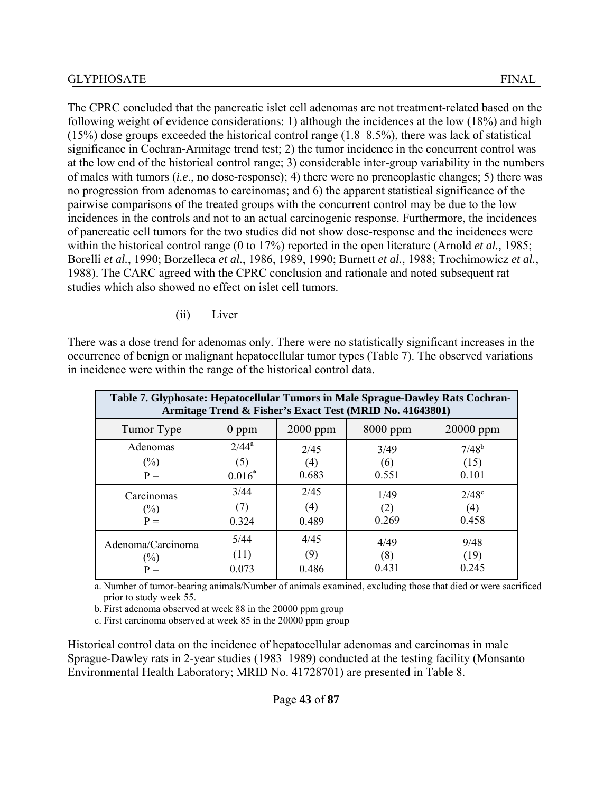The CPRC concluded that the pancreatic islet cell adenomas are not treatment-related based on the following weight of evidence considerations: 1) although the incidences at the low (18%) and high (15%) dose groups exceeded the historical control range (1.8–8.5%), there was lack of statistical significance in Cochran-Armitage trend test; 2) the tumor incidence in the concurrent control was at the low end of the historical control range; 3) considerable inter-group variability in the numbers of males with tumors (*i.e*., no dose-response); 4) there were no preneoplastic changes; 5) there was no progression from adenomas to carcinomas; and 6) the apparent statistical significance of the pairwise comparisons of the treated groups with the concurrent control may be due to the low incidences in the controls and not to an actual carcinogenic response. Furthermore, the incidences of pancreatic cell tumors for the two studies did not show dose-response and the incidences were within the historical control range (0 to 17%) reported in the open literature (Arnold *et al.,* 1985; Borelli *et al.*, 1990; Borzelleca *et al.*, 1986, 1989, 1990; Burnett *et al.*, 1988; Trochimowicz *et al.*, 1988). The CARC agreed with the CPRC conclusion and rationale and noted subsequent rat studies which also showed no effect on islet cell tumors.

#### (ii) Liver

There was a dose trend for adenomas only. There were no statistically significant increases in the occurrence of benign or malignant hepatocellular tumor types (Table 7). The observed variations in incidence were within the range of the historical control data.

| Table 7. Glyphosate: Hepatocellular Tumors in Male Sprague-Dawley Rats Cochran-<br>Armitage Trend & Fisher's Exact Test (MRID No. 41643801) |          |            |            |              |  |  |
|---------------------------------------------------------------------------------------------------------------------------------------------|----------|------------|------------|--------------|--|--|
| Tumor Type                                                                                                                                  | $0$ ppm  | $2000$ ppm | $8000$ ppm | $20000$ ppm  |  |  |
| Adenomas                                                                                                                                    | $2/44^a$ | 2/45       | 3/49       | $7/48^{b}$   |  |  |
| $(\%)$                                                                                                                                      | (5)      | (4)        | (6)        | (15)         |  |  |
| $P =$                                                                                                                                       | $0.016*$ | 0.683      | 0.551      | 0.101        |  |  |
| Carcinomas                                                                                                                                  | 3/44     | 2/45       | 1/49       | $2/48^\circ$ |  |  |
| $(\%)$                                                                                                                                      | (7)      | (4)        | (2)        | (4)          |  |  |
| $P =$                                                                                                                                       | 0.324    | 0.489      | 0.269      | 0.458        |  |  |
| Adenoma/Carcinoma                                                                                                                           | 5/44     | 4/45       | 4/49       | 9/48         |  |  |
| $(\%)$                                                                                                                                      | (11)     | (9)        | (8)        | (19)         |  |  |
| $P =$                                                                                                                                       | 0.073    | 0.486      | 0.431      | 0 2 4 5      |  |  |

a. Number of tumor-bearing animals/Number of animals examined, excluding those that died or were sacrificed prior to study week 55.

b. First adenoma observed at week 88 in the 20000 ppm group

c. First carcinoma observed at week 85 in the 20000 ppm group

Historical control data on the incidence of hepatocellular adenomas and carcinomas in male Sprague-Dawley rats in 2-year studies (1983–1989) conducted at the testing facility (Monsanto Environmental Health Laboratory; MRID No. 41728701) are presented in Table 8.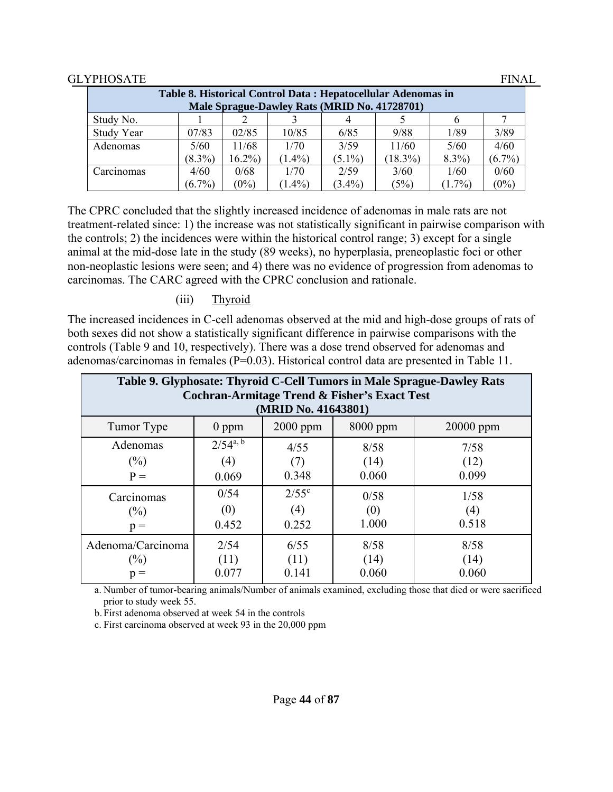| Table 8. Historical Control Data: Hepatocellular Adenomas in |           |          |                                              |           |            |           |           |
|--------------------------------------------------------------|-----------|----------|----------------------------------------------|-----------|------------|-----------|-----------|
|                                                              |           |          | Male Sprague-Dawley Rats (MRID No. 41728701) |           |            |           |           |
| Study No.                                                    |           |          |                                              |           |            |           |           |
| Study Year                                                   | 07/83     | 02/85    | 10/85                                        | 6/85      | 9/88       | 1/89      | 3/89      |
| Adenomas                                                     | 5/60      | 11/68    | 1/70                                         | 3/59      | 11/60      | 5/60      | 4/60      |
|                                                              | $(8.3\%)$ | $16.2\%$ | $(1.4\%)$                                    | $(5.1\%)$ | $(18.3\%)$ | $8.3\%$   | $(6.7\%)$ |
| Carcinomas                                                   | 4/60      | 0/68     | 1/70                                         | 2/59      | 3/60       | 1/60      | 0/60      |
|                                                              | $(6.7\%)$ | $(0\%)$  | $(1.4\%)$                                    | $(3.4\%)$ | (5%)       | $(1.7\%)$ | $(0\%)$   |

The CPRC concluded that the slightly increased incidence of adenomas in male rats are not treatment-related since: 1) the increase was not statistically significant in pairwise comparison with the controls; 2) the incidences were within the historical control range; 3) except for a single animal at the mid-dose late in the study (89 weeks), no hyperplasia, preneoplastic foci or other non-neoplastic lesions were seen; and 4) there was no evidence of progression from adenomas to carcinomas. The CARC agreed with the CPRC conclusion and rationale.

### (iii) Thyroid

The increased incidences in C-cell adenomas observed at the mid and high-dose groups of rats of both sexes did not show a statistically significant difference in pairwise comparisons with the controls (Table 9 and 10, respectively). There was a dose trend observed for adenomas and adenomas/carcinomas in females (P=0.03). Historical control data are presented in Table 11.

| Table 9. Glyphosate: Thyroid C-Cell Tumors in Male Sprague-Dawley Rats<br><b>Cochran-Armitage Trend &amp; Fisher's Exact Test</b><br>(MRID No. 41643801) |                               |                                |                       |                       |  |  |
|----------------------------------------------------------------------------------------------------------------------------------------------------------|-------------------------------|--------------------------------|-----------------------|-----------------------|--|--|
| Tumor Type                                                                                                                                               | $0$ ppm                       | 2000 ppm                       | $8000$ ppm            | $20000$ ppm           |  |  |
| Adenomas<br>$(\%)$<br>$P =$                                                                                                                              | $2/54^{a, b}$<br>(4)<br>0.069 | 4/55<br>0.348                  | 8/58<br>(14)<br>0.060 | 7/58<br>(12)<br>0.099 |  |  |
| Carcinomas<br>$(\%)$<br>$p =$                                                                                                                            | 0/54<br>(0)<br>0.452          | $2/55^{\circ}$<br>(4)<br>0.252 | 0/58<br>(0)<br>1.000  | 1/58<br>(4)<br>0.518  |  |  |
| Adenoma/Carcinoma<br>$(\%)$<br>$p =$                                                                                                                     | 2/54<br>(11)<br>0.077         | 6/55<br>(11)<br>0.141          | 8/58<br>(14)<br>0.060 | 8/58<br>(14)<br>0.060 |  |  |

a. Number of tumor-bearing animals/Number of animals examined, excluding those that died or were sacrificed prior to study week 55.

b. First adenoma observed at week 54 in the controls

c. First carcinoma observed at week 93 in the 20,000 ppm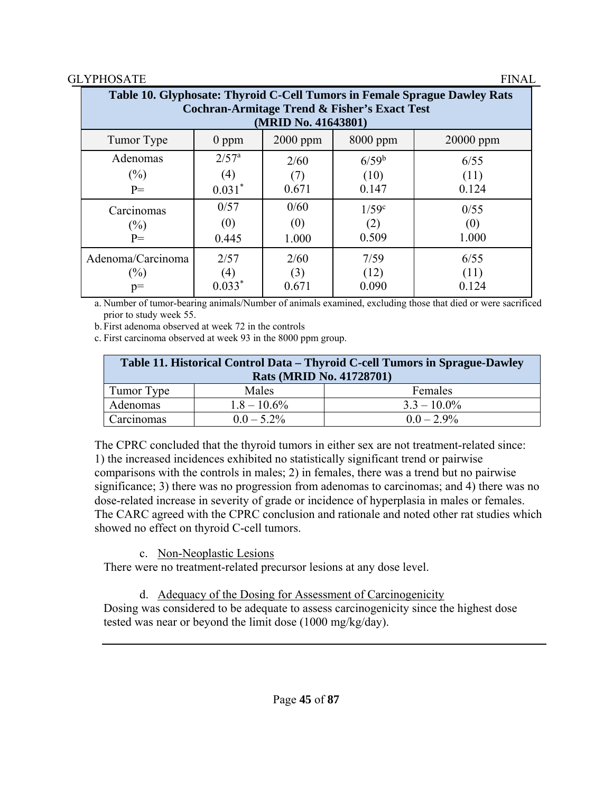| Table 10. Glyphosate: Thyroid C-Cell Tumors in Female Sprague Dawley Rats<br><b>Cochran-Armitage Trend &amp; Fisher's Exact Test</b><br>(MRID No. 41643801) |                  |            |                     |           |  |  |
|-------------------------------------------------------------------------------------------------------------------------------------------------------------|------------------|------------|---------------------|-----------|--|--|
| Tumor Type                                                                                                                                                  | $0$ ppm          | $2000$ ppm | 8000 ppm            | 20000 ppm |  |  |
| Adenomas                                                                                                                                                    | $2/57^{\rm a}$   | 2/60       | $6/59^{b}$          | 6/55      |  |  |
| $(\%)$                                                                                                                                                      | (4)              | (7)        | (10)                | (11)      |  |  |
| $P=$                                                                                                                                                        | $0.031*$         | 0.671      | 0.147               | 0.124     |  |  |
| Carcinomas                                                                                                                                                  | 0/57             | 0/60       | $1/59$ <sup>c</sup> | 0/55      |  |  |
| $(\%)$                                                                                                                                                      | (0)              | (0)        | (2)                 | (0)       |  |  |
| $P=$                                                                                                                                                        | 0.445            | 1.000      | 0.509               | 1.000     |  |  |
| Adenoma/Carcinoma                                                                                                                                           | 2/57             | 2/60       | 7/59                | 6/55      |  |  |
| $(\%)$                                                                                                                                                      | $\left(4\right)$ | (3)        | (12)                | (11)      |  |  |
| $p=$                                                                                                                                                        | $0.033*$         | 0.671      | 0.090               | 0.124     |  |  |

a. Number of tumor-bearing animals/Number of animals examined, excluding those that died or were sacrificed prior to study week 55.

b. First adenoma observed at week 72 in the controls

c. First carcinoma observed at week 93 in the 8000 ppm group.

| Table 11. Historical Control Data – Thyroid C-cell Tumors in Sprague-Dawley<br><b>Rats (MRID No. 41728701)</b> |                |                |  |  |  |
|----------------------------------------------------------------------------------------------------------------|----------------|----------------|--|--|--|
| Tumor Type                                                                                                     | Males          | Females        |  |  |  |
| Adenomas                                                                                                       | $1.8 - 10.6\%$ | $3.3 - 10.0\%$ |  |  |  |
| Carcinomas                                                                                                     | $0.0 - 5.2\%$  | $0.0 - 2.9\%$  |  |  |  |

The CPRC concluded that the thyroid tumors in either sex are not treatment-related since: 1) the increased incidences exhibited no statistically significant trend or pairwise comparisons with the controls in males; 2) in females, there was a trend but no pairwise significance; 3) there was no progression from adenomas to carcinomas; and 4) there was no dose-related increase in severity of grade or incidence of hyperplasia in males or females. The CARC agreed with the CPRC conclusion and rationale and noted other rat studies which showed no effect on thyroid C-cell tumors.

# c. Non-Neoplastic Lesions

There were no treatment-related precursor lesions at any dose level.

# d. Adequacy of the Dosing for Assessment of Carcinogenicity

Dosing was considered to be adequate to assess carcinogenicity since the highest dose tested was near or beyond the limit dose (1000 mg/kg/day).

Page **45** of **87**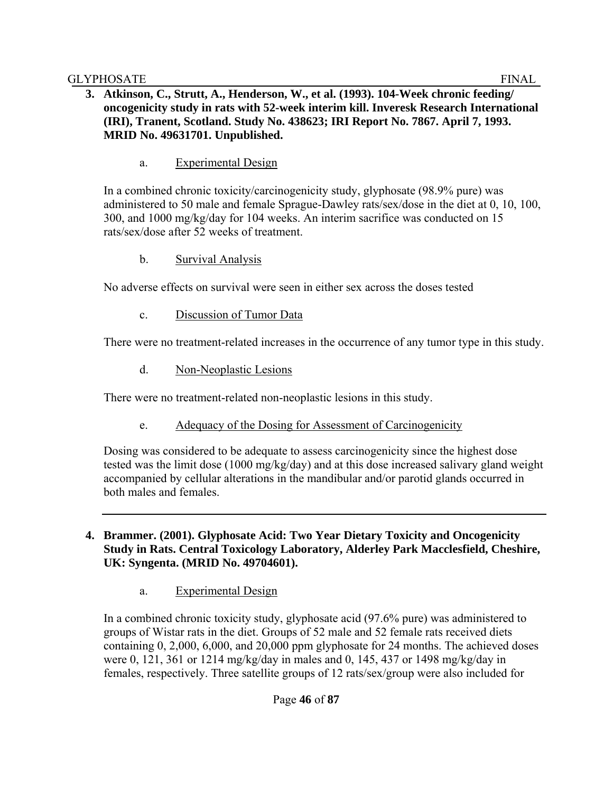## **3. Atkinson, C., Strutt, A., Henderson, W., et al. (1993). 104-Week chronic feeding/ oncogenicity study in rats with 52-week interim kill. Inveresk Research International (IRI), Tranent, Scotland. Study No. 438623; IRI Report No. 7867. April 7, 1993. MRID No. 49631701. Unpublished.**

a. Experimental Design

In a combined chronic toxicity/carcinogenicity study, glyphosate (98.9% pure) was administered to 50 male and female Sprague-Dawley rats/sex/dose in the diet at 0, 10, 100, 300, and 1000 mg/kg/day for 104 weeks. An interim sacrifice was conducted on 15 rats/sex/dose after 52 weeks of treatment.

b. Survival Analysis

No adverse effects on survival were seen in either sex across the doses tested

c. Discussion of Tumor Data

There were no treatment-related increases in the occurrence of any tumor type in this study.

d. Non-Neoplastic Lesions

There were no treatment-related non-neoplastic lesions in this study.

e. Adequacy of the Dosing for Assessment of Carcinogenicity

Dosing was considered to be adequate to assess carcinogenicity since the highest dose tested was the limit dose (1000 mg/kg/day) and at this dose increased salivary gland weight accompanied by cellular alterations in the mandibular and/or parotid glands occurred in both males and females.

- **4. Brammer. (2001). Glyphosate Acid: Two Year Dietary Toxicity and Oncogenicity Study in Rats. Central Toxicology Laboratory, Alderley Park Macclesfield, Cheshire, UK: Syngenta. (MRID No. 49704601).** 
	- a. Experimental Design

In a combined chronic toxicity study, glyphosate acid (97.6% pure) was administered to groups of Wistar rats in the diet. Groups of 52 male and 52 female rats received diets containing 0, 2,000, 6,000, and 20,000 ppm glyphosate for 24 months. The achieved doses were 0, 121, 361 or 1214 mg/kg/day in males and 0, 145, 437 or 1498 mg/kg/day in females, respectively. Three satellite groups of 12 rats/sex/group were also included for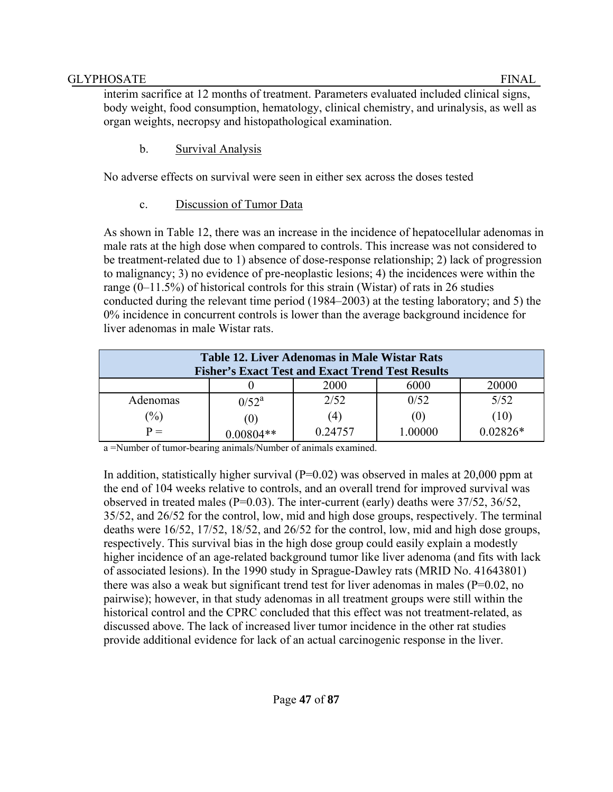interim sacrifice at 12 months of treatment. Parameters evaluated included clinical signs, body weight, food consumption, hematology, clinical chemistry, and urinalysis, as well as organ weights, necropsy and histopathological examination.

b. Survival Analysis

No adverse effects on survival were seen in either sex across the doses tested

c. Discussion of Tumor Data

As shown in Table 12, there was an increase in the incidence of hepatocellular adenomas in male rats at the high dose when compared to controls. This increase was not considered to be treatment-related due to 1) absence of dose-response relationship; 2) lack of progression to malignancy; 3) no evidence of pre-neoplastic lesions; 4) the incidences were within the range (0–11.5%) of historical controls for this strain (Wistar) of rats in 26 studies conducted during the relevant time period (1984–2003) at the testing laboratory; and 5) the 0% incidence in concurrent controls is lower than the average background incidence for liver adenomas in male Wistar rats.

| <b>Table 12. Liver Adenomas in Male Wistar Rats</b><br><b>Fisher's Exact Test and Exact Trend Test Results</b> |          |         |       |            |  |
|----------------------------------------------------------------------------------------------------------------|----------|---------|-------|------------|--|
|                                                                                                                |          | 2000    | 6000  | 20000      |  |
| <b>Adenomas</b>                                                                                                | $0/52^a$ | 2/52    | 0/52  | 5/52       |  |
| $\frac{1}{2}$                                                                                                  |          | (4)     | (U)   | (10)       |  |
| $P =$                                                                                                          |          | 0.24757 | 00000 | $0.02826*$ |  |

a =Number of tumor-bearing animals/Number of animals examined.

In addition, statistically higher survival  $(P=0.02)$  was observed in males at 20,000 ppm at the end of 104 weeks relative to controls, and an overall trend for improved survival was observed in treated males (P=0.03). The inter-current (early) deaths were 37/52, 36/52, 35/52, and 26/52 for the control, low, mid and high dose groups, respectively. The terminal deaths were 16/52, 17/52, 18/52, and 26/52 for the control, low, mid and high dose groups, respectively. This survival bias in the high dose group could easily explain a modestly higher incidence of an age-related background tumor like liver adenoma (and fits with lack of associated lesions). In the 1990 study in Sprague-Dawley rats (MRID No. 41643801) there was also a weak but significant trend test for liver adenomas in males ( $P=0.02$ , no pairwise); however, in that study adenomas in all treatment groups were still within the historical control and the CPRC concluded that this effect was not treatment-related, as discussed above. The lack of increased liver tumor incidence in the other rat studies provide additional evidence for lack of an actual carcinogenic response in the liver.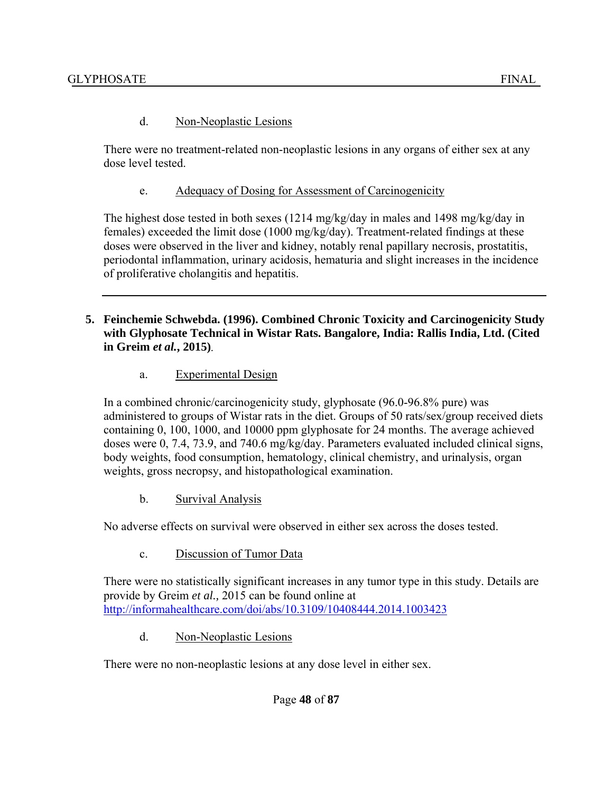#### d. Non-Neoplastic Lesions

There were no treatment-related non-neoplastic lesions in any organs of either sex at any dose level tested.

e. Adequacy of Dosing for Assessment of Carcinogenicity

The highest dose tested in both sexes (1214 mg/kg/day in males and 1498 mg/kg/day in females) exceeded the limit dose (1000 mg/kg/day). Treatment-related findings at these doses were observed in the liver and kidney, notably renal papillary necrosis, prostatitis, periodontal inflammation, urinary acidosis, hematuria and slight increases in the incidence of proliferative cholangitis and hepatitis.

- **5. Feinchemie Schwebda. (1996). Combined Chronic Toxicity and Carcinogenicity Study with Glyphosate Technical in Wistar Rats. Bangalore, India: Rallis India, Ltd. (Cited in Greim** *et al.***, 2015)**.
	- a. Experimental Design

In a combined chronic/carcinogenicity study, glyphosate (96.0-96.8% pure) was administered to groups of Wistar rats in the diet. Groups of 50 rats/sex/group received diets containing 0, 100, 1000, and 10000 ppm glyphosate for 24 months. The average achieved doses were 0, 7.4, 73.9, and 740.6 mg/kg/day. Parameters evaluated included clinical signs, body weights, food consumption, hematology, clinical chemistry, and urinalysis, organ weights, gross necropsy, and histopathological examination.

b. Survival Analysis

No adverse effects on survival were observed in either sex across the doses tested.

c. Discussion of Tumor Data

There were no statistically significant increases in any tumor type in this study. Details are provide by Greim *et al.,* 2015 can be found online at http://informahealthcare.com/doi/abs/10.3109/10408444.2014.1003423

d. Non-Neoplastic Lesions

There were no non-neoplastic lesions at any dose level in either sex.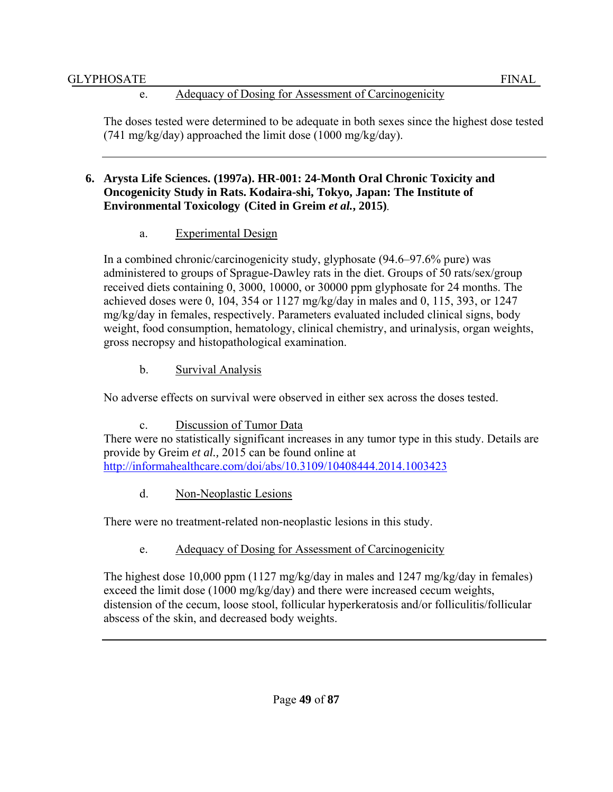# e. Adequacy of Dosing for Assessment of Carcinogenicity

The doses tested were determined to be adequate in both sexes since the highest dose tested (741 mg/kg/day) approached the limit dose (1000 mg/kg/day).

## **6. Arysta Life Sciences. (1997a). HR-001: 24-Month Oral Chronic Toxicity and Oncogenicity Study in Rats. Kodaira-shi, Tokyo, Japan: The Institute of Environmental Toxicology (Cited in Greim** *et al.***, 2015)**.

a. Experimental Design

In a combined chronic/carcinogenicity study, glyphosate (94.6–97.6% pure) was administered to groups of Sprague-Dawley rats in the diet. Groups of 50 rats/sex/group received diets containing 0, 3000, 10000, or 30000 ppm glyphosate for 24 months. The achieved doses were 0, 104, 354 or 1127 mg/kg/day in males and 0, 115, 393, or 1247 mg/kg/day in females, respectively. Parameters evaluated included clinical signs, body weight, food consumption, hematology, clinical chemistry, and urinalysis, organ weights, gross necropsy and histopathological examination.

b. Survival Analysis

No adverse effects on survival were observed in either sex across the doses tested.

c. Discussion of Tumor Data

There were no statistically significant increases in any tumor type in this study. Details are provide by Greim *et al.,* 2015 can be found online at http://informahealthcare.com/doi/abs/10.3109/10408444.2014.1003423

d. Non-Neoplastic Lesions

There were no treatment-related non-neoplastic lesions in this study.

e. Adequacy of Dosing for Assessment of Carcinogenicity

The highest dose 10,000 ppm (1127 mg/kg/day in males and 1247 mg/kg/day in females) exceed the limit dose (1000 mg/kg/day) and there were increased cecum weights, distension of the cecum, loose stool, follicular hyperkeratosis and/or folliculitis/follicular abscess of the skin, and decreased body weights.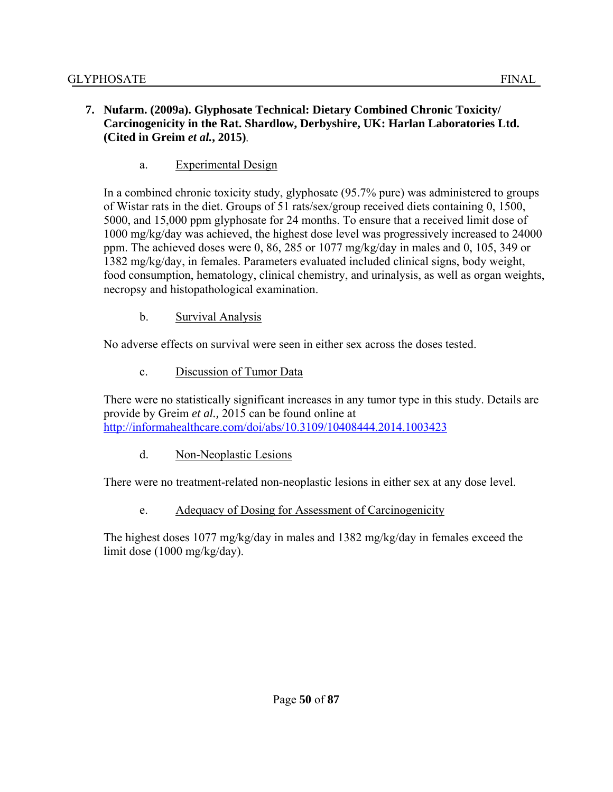### **7. Nufarm. (2009a). Glyphosate Technical: Dietary Combined Chronic Toxicity/ Carcinogenicity in the Rat. Shardlow, Derbyshire, UK: Harlan Laboratories Ltd. (Cited in Greim** *et al.***, 2015)**.

a. Experimental Design

In a combined chronic toxicity study, glyphosate (95.7% pure) was administered to groups of Wistar rats in the diet. Groups of 51 rats/sex/group received diets containing 0, 1500, 5000, and 15,000 ppm glyphosate for 24 months. To ensure that a received limit dose of 1000 mg/kg/day was achieved, the highest dose level was progressively increased to 24000 ppm. The achieved doses were 0, 86, 285 or 1077 mg/kg/day in males and 0, 105, 349 or 1382 mg/kg/day, in females. Parameters evaluated included clinical signs, body weight, food consumption, hematology, clinical chemistry, and urinalysis, as well as organ weights, necropsy and histopathological examination.

b. Survival Analysis

No adverse effects on survival were seen in either sex across the doses tested.

c. Discussion of Tumor Data

There were no statistically significant increases in any tumor type in this study. Details are provide by Greim *et al.,* 2015 can be found online at http://informahealthcare.com/doi/abs/10.3109/10408444.2014.1003423

d. Non-Neoplastic Lesions

There were no treatment-related non-neoplastic lesions in either sex at any dose level.

e. Adequacy of Dosing for Assessment of Carcinogenicity

The highest doses 1077 mg/kg/day in males and 1382 mg/kg/day in females exceed the limit dose (1000 mg/kg/day).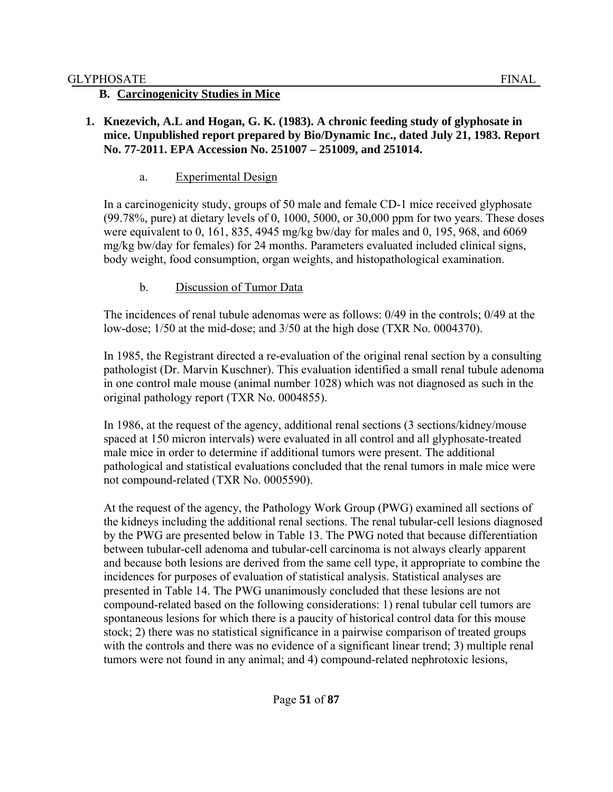### **B. Carcinogenicity Studies in Mice**

#### **1. Knezevich, A.L and Hogan, G. K. (1983). A chronic feeding study of glyphosate in mice. Unpublished report prepared by Bio/Dynamic Inc., dated July 21, 1983. Report No. 77-2011. EPA Accession No. 251007 – 251009, and 251014.**

#### a. Experimental Design

In a carcinogenicity study, groups of 50 male and female CD-1 mice received glyphosate (99.78%, pure) at dietary levels of 0, 1000, 5000, or 30,000 ppm for two years. These doses were equivalent to 0, 161, 835, 4945 mg/kg bw/day for males and 0, 195, 968, and 6069 mg/kg bw/day for females) for 24 months. Parameters evaluated included clinical signs, body weight, food consumption, organ weights, and histopathological examination.

### b. Discussion of Tumor Data

The incidences of renal tubule adenomas were as follows: 0/49 in the controls; 0/49 at the low-dose; 1/50 at the mid-dose; and 3/50 at the high dose (TXR No. 0004370).

In 1985, the Registrant directed a re-evaluation of the original renal section by a consulting pathologist (Dr. Marvin Kuschner). This evaluation identified a small renal tubule adenoma in one control male mouse (animal number 1028) which was not diagnosed as such in the original pathology report (TXR No. 0004855).

In 1986, at the request of the agency, additional renal sections (3 sections/kidney/mouse spaced at 150 micron intervals) were evaluated in all control and all glyphosate-treated male mice in order to determine if additional tumors were present. The additional pathological and statistical evaluations concluded that the renal tumors in male mice were not compound-related (TXR No. 0005590).

At the request of the agency, the Pathology Work Group (PWG) examined all sections of the kidneys including the additional renal sections. The renal tubular-cell lesions diagnosed by the PWG are presented below in Table 13. The PWG noted that because differentiation between tubular-cell adenoma and tubular-cell carcinoma is not always clearly apparent and because both lesions are derived from the same cell type, it appropriate to combine the incidences for purposes of evaluation of statistical analysis. Statistical analyses are presented in Table 14. The PWG unanimously concluded that these lesions are not compound-related based on the following considerations: 1) renal tubular cell tumors are spontaneous lesions for which there is a paucity of historical control data for this mouse stock; 2) there was no statistical significance in a pairwise comparison of treated groups with the controls and there was no evidence of a significant linear trend; 3) multiple renal tumors were not found in any animal; and 4) compound-related nephrotoxic lesions,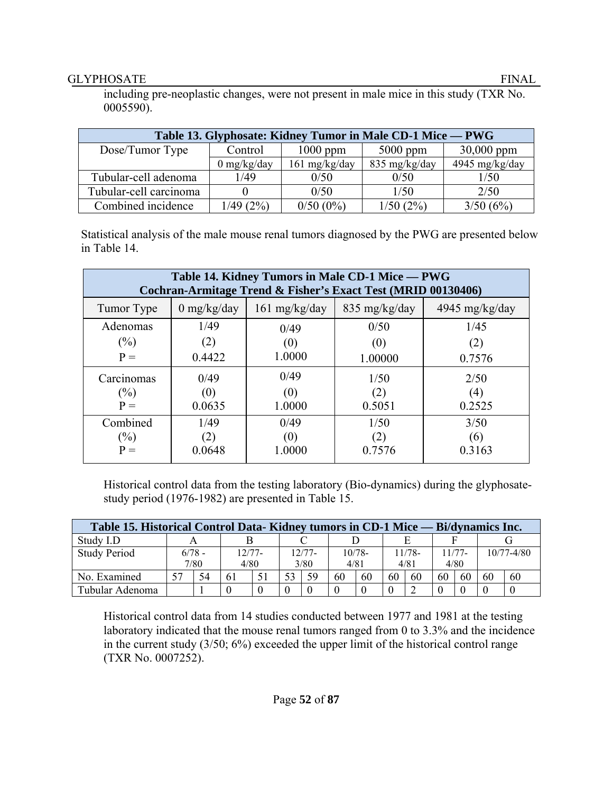including pre-neoplastic changes, were not present in male mice in this study (TXR No. 0005590).

| Table 13. Glyphosate: Kidney Tumor in Male CD-1 Mice — PWG |               |               |               |                |  |  |
|------------------------------------------------------------|---------------|---------------|---------------|----------------|--|--|
| Dose/Tumor Type                                            | Control       | $1000$ ppm    | $5000$ ppm    | $30,000$ ppm   |  |  |
|                                                            | $0$ mg/kg/day | 161 mg/kg/day | 835 mg/kg/day | 4945 mg/kg/day |  |  |
| Tubular-cell adenoma                                       | 1/49          | 0/50          | 0/50          | 1/50           |  |  |
| Tubular-cell carcinoma                                     |               | 0/50          | 1/50          | 2/50           |  |  |
| Combined incidence                                         | 1/49(2%)      | $0/50(0\%)$   | 1/50(2%)      | 3/50(6%)       |  |  |

 Statistical analysis of the male mouse renal tumors diagnosed by the PWG are presented below in Table 14.

| Table 14. Kidney Tumors in Male CD-1 Mice - PWG<br>Cochran-Armitage Trend & Fisher's Exact Test (MRID 00130406) |             |                         |                         |                  |  |  |
|-----------------------------------------------------------------------------------------------------------------|-------------|-------------------------|-------------------------|------------------|--|--|
| Tumor Type                                                                                                      | 0 mg/kg/day | $161 \text{ mg/kg/day}$ | $835 \text{ mg/kg/day}$ | 4945 mg/kg/day   |  |  |
| Adenomas                                                                                                        | 1/49        | 0/49                    | 0/50                    | 1/45             |  |  |
| $(\%)$                                                                                                          | (2)         | (0)                     | (0)                     | (2)              |  |  |
| $P =$                                                                                                           | 0.4422      | 1.0000                  | 1.00000                 | 0.7576           |  |  |
| Carcinomas                                                                                                      | 0/49        | 0/49                    | 1/50                    | 2/50             |  |  |
| $(\%)$                                                                                                          | (0)         | (0)                     | (2)                     | $\left(4\right)$ |  |  |
| $P =$                                                                                                           | 0.0635      | 1.0000                  | 0.5051                  | 0.2525           |  |  |
| Combined                                                                                                        | 1/49        | 0/49                    | 1/50                    | 3/50             |  |  |
| $(\%)$                                                                                                          |             | (0)                     |                         | (6)              |  |  |
| $P =$                                                                                                           | 0.0648      | 1.0000                  | 0.7576                  | 0.3163           |  |  |

Historical control data from the testing laboratory (Bio-dynamics) during the glyphosatestudy period (1976-1982) are presented in Table 15.

| Table 15. Historical Control Data-Kidney tumors in CD-1 Mice — Bi/dynamics Inc. |          |      |          |    |          |          |      |           |    |        |      |          |    |                |
|---------------------------------------------------------------------------------|----------|------|----------|----|----------|----------|------|-----------|----|--------|------|----------|----|----------------|
| Study I.D                                                                       |          |      |          |    |          |          |      |           |    |        |      |          |    |                |
| <b>Study Period</b>                                                             | $6/78 -$ |      | $12/77-$ |    |          | $12/77-$ |      | $10/78 -$ |    | 11/78- |      | $11/77-$ |    | $10/77 - 4/80$ |
|                                                                                 |          | 7/80 | 4/80     |    |          | 3/80     | 4/81 |           |    | 4/81   | 4/80 |          |    |                |
| No. Examined                                                                    | 57       | 54   | 61       | 51 | 53       | 59       | 60   | 60        | 60 | 60     | 60   | 60       | 60 | 60             |
| Tubular Adenoma                                                                 |          |      |          |    | $\theta$ |          |      |           |    |        |      |          |    |                |

Historical control data from 14 studies conducted between 1977 and 1981 at the testing laboratory indicated that the mouse renal tumors ranged from 0 to 3.3% and the incidence in the current study (3/50; 6%) exceeded the upper limit of the historical control range (TXR No. 0007252).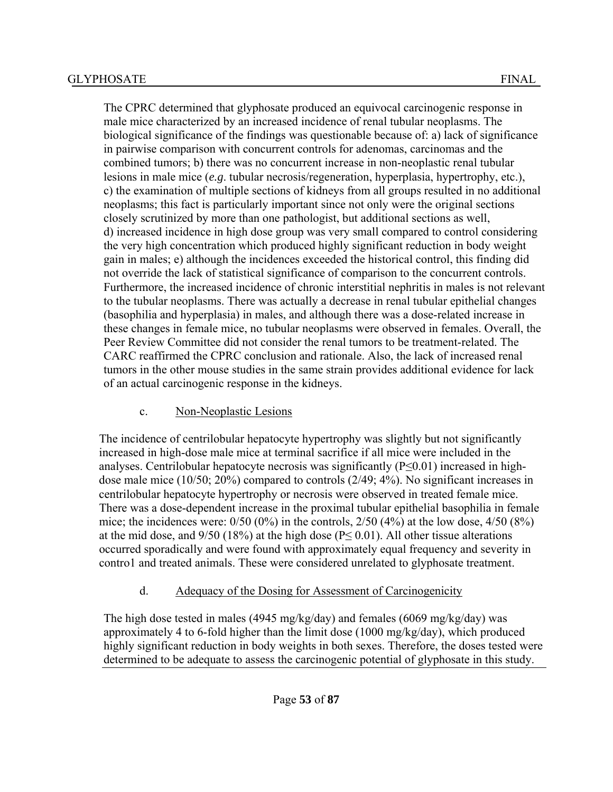The CPRC determined that glyphosate produced an equivocal carcinogenic response in male mice characterized by an increased incidence of renal tubular neoplasms. The biological significance of the findings was questionable because of: a) lack of significance in pairwise comparison with concurrent controls for adenomas, carcinomas and the combined tumors; b) there was no concurrent increase in non-neoplastic renal tubular lesions in male mice (*e.g*. tubular necrosis/regeneration, hyperplasia, hypertrophy, etc.), c) the examination of multiple sections of kidneys from all groups resulted in no additional neoplasms; this fact is particularly important since not only were the original sections closely scrutinized by more than one pathologist, but additional sections as well, d) increased incidence in high dose group was very small compared to control considering the very high concentration which produced highly significant reduction in body weight gain in males; e) although the incidences exceeded the historical control, this finding did not override the lack of statistical significance of comparison to the concurrent controls. Furthermore, the increased incidence of chronic interstitial nephritis in males is not relevant to the tubular neoplasms. There was actually a decrease in renal tubular epithelial changes (basophilia and hyperplasia) in males, and although there was a dose-related increase in these changes in female mice, no tubular neoplasms were observed in females. Overall, the Peer Review Committee did not consider the renal tumors to be treatment-related. The CARC reaffirmed the CPRC conclusion and rationale. Also, the lack of increased renal tumors in the other mouse studies in the same strain provides additional evidence for lack of an actual carcinogenic response in the kidneys.

## c. Non-Neoplastic Lesions

The incidence of centrilobular hepatocyte hypertrophy was slightly but not significantly increased in high-dose male mice at terminal sacrifice if all mice were included in the analyses. Centrilobular hepatocyte necrosis was significantly  $(P \le 0.01)$  increased in highdose male mice (10/50; 20%) compared to controls (2/49; 4%). No significant increases in centrilobular hepatocyte hypertrophy or necrosis were observed in treated female mice. There was a dose-dependent increase in the proximal tubular epithelial basophilia in female mice; the incidences were:  $0/50$  (0%) in the controls,  $2/50$  (4%) at the low dose,  $4/50$  (8%) at the mid dose, and  $9/50$  (18%) at the high dose (P $\leq$  0.01). All other tissue alterations occurred sporadically and were found with approximately equal frequency and severity in contro1 and treated animals. These were considered unrelated to glyphosate treatment.

# d. Adequacy of the Dosing for Assessment of Carcinogenicity

The high dose tested in males (4945 mg/kg/day) and females (6069 mg/kg/day) was approximately 4 to 6-fold higher than the limit dose (1000 mg/kg/day), which produced highly significant reduction in body weights in both sexes. Therefore, the doses tested were determined to be adequate to assess the carcinogenic potential of glyphosate in this study.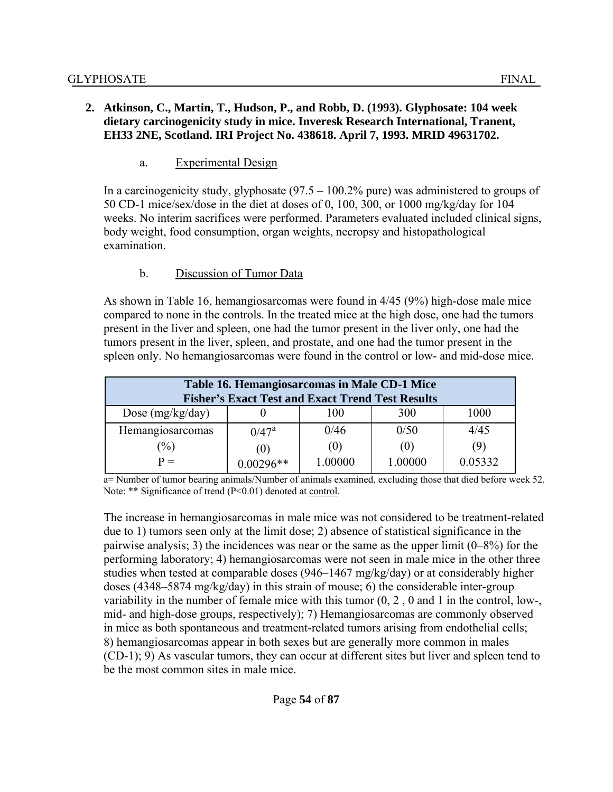### **2. Atkinson, C., Martin, T., Hudson, P., and Robb, D. (1993). Glyphosate: 104 week dietary carcinogenicity study in mice. Inveresk Research International, Tranent, EH33 2NE, Scotland. IRI Project No. 438618. April 7, 1993. MRID 49631702.**

#### a. Experimental Design

In a carcinogenicity study, glyphosate (97.5 – 100.2% pure) was administered to groups of 50 CD-1 mice/sex/dose in the diet at doses of 0, 100, 300, or 1000 mg/kg/day for 104 weeks. No interim sacrifices were performed. Parameters evaluated included clinical signs, body weight, food consumption, organ weights, necropsy and histopathological examination.

#### b. Discussion of Tumor Data

As shown in Table 16, hemangiosarcomas were found in 4/45 (9%) high-dose male mice compared to none in the controls. In the treated mice at the high dose, one had the tumors present in the liver and spleen, one had the tumor present in the liver only, one had the tumors present in the liver, spleen, and prostate, and one had the tumor present in the spleen only. No hemangiosarcomas were found in the control or low- and mid-dose mice.

| Table 16. Hemangiosarcomas in Male CD-1 Mice<br><b>Fisher's Exact Test and Exact Trend Test Results</b> |             |         |         |         |  |  |  |
|---------------------------------------------------------------------------------------------------------|-------------|---------|---------|---------|--|--|--|
| Dose $(mg/kg/day)$                                                                                      |             | 100     | 300     | 1000    |  |  |  |
| Hemangiosarcomas                                                                                        | $0/47^a$    | 0/46    | 0/50    | 4/45    |  |  |  |
| $\frac{0}{0}$                                                                                           | (0)         | (0)     | (0)     | (9)     |  |  |  |
| $P =$                                                                                                   | $0.00296**$ | 1.00000 | 1.00000 | 0.05332 |  |  |  |

a= Number of tumor bearing animals/Number of animals examined, excluding those that died before week 52. Note: \*\* Significance of trend (P<0.01) denoted at control.

The increase in hemangiosarcomas in male mice was not considered to be treatment-related due to 1) tumors seen only at the limit dose; 2) absence of statistical significance in the pairwise analysis; 3) the incidences was near or the same as the upper limit (0–8%) for the performing laboratory; 4) hemangiosarcomas were not seen in male mice in the other three studies when tested at comparable doses (946–1467 mg/kg/day) or at considerably higher doses (4348–5874 mg/kg/day) in this strain of mouse; 6) the considerable inter-group variability in the number of female mice with this tumor (0, 2 , 0 and 1 in the control, low-, mid- and high-dose groups, respectively); 7) Hemangiosarcomas are commonly observed in mice as both spontaneous and treatment-related tumors arising from endothelial cells; 8) hemangiosarcomas appear in both sexes but are generally more common in males (CD-1); 9) As vascular tumors, they can occur at different sites but liver and spleen tend to be the most common sites in male mice.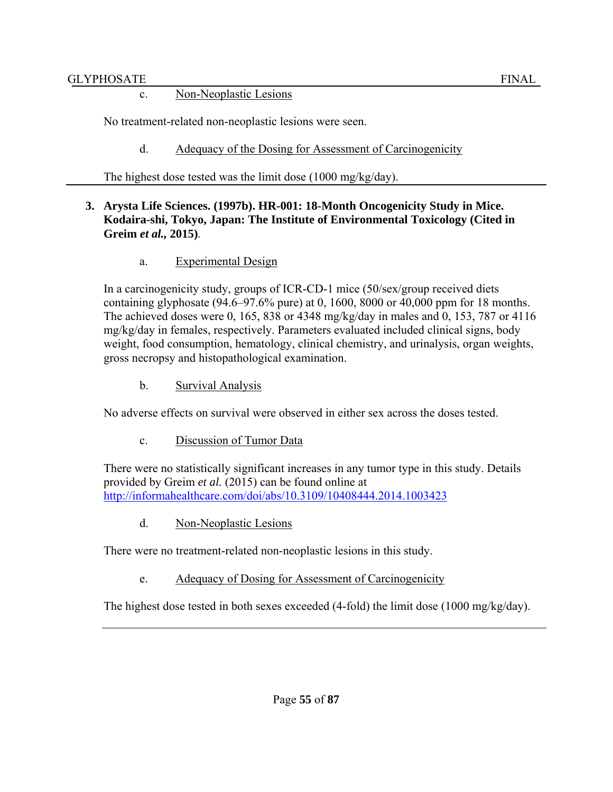#### c. Non-Neoplastic Lesions

No treatment-related non-neoplastic lesions were seen.

d. Adequacy of the Dosing for Assessment of Carcinogenicity

The highest dose tested was the limit dose (1000 mg/kg/day).

### **3. Arysta Life Sciences. (1997b). HR-001: 18-Month Oncogenicity Study in Mice. Kodaira-shi, Tokyo, Japan: The Institute of Environmental Toxicology (Cited in Greim** *et al.,* **2015)**.

### a. Experimental Design

In a carcinogenicity study, groups of ICR-CD-1 mice (50/sex/group received diets containing glyphosate (94.6–97.6% pure) at 0, 1600, 8000 or 40,000 ppm for 18 months. The achieved doses were 0, 165, 838 or 4348 mg/kg/day in males and 0, 153, 787 or 4116 mg/kg/day in females, respectively. Parameters evaluated included clinical signs, body weight, food consumption, hematology, clinical chemistry, and urinalysis, organ weights, gross necropsy and histopathological examination.

b. Survival Analysis

No adverse effects on survival were observed in either sex across the doses tested.

c. Discussion of Tumor Data

There were no statistically significant increases in any tumor type in this study. Details provided by Greim *et al.* (2015) can be found online at http://informahealthcare.com/doi/abs/10.3109/10408444.2014.1003423

d. Non-Neoplastic Lesions

There were no treatment-related non-neoplastic lesions in this study.

e. Adequacy of Dosing for Assessment of Carcinogenicity

The highest dose tested in both sexes exceeded (4-fold) the limit dose (1000 mg/kg/day).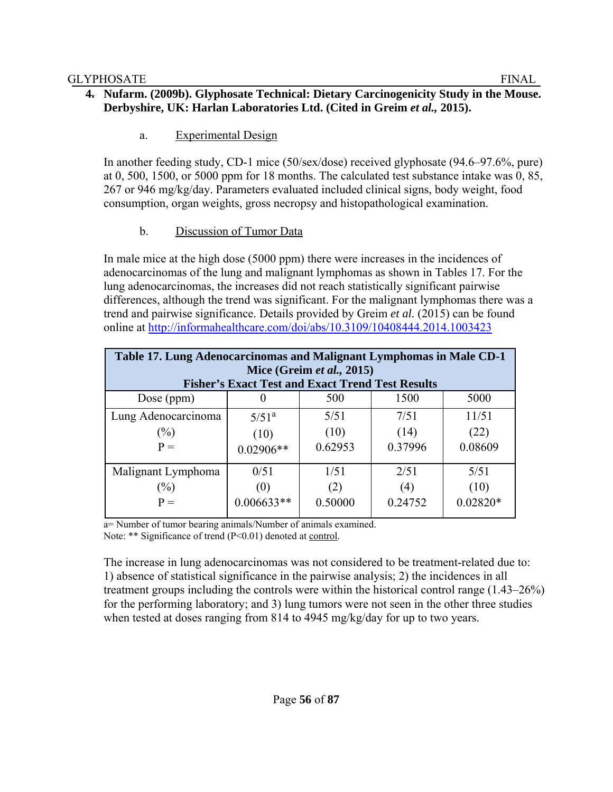### **4. Nufarm. (2009b). Glyphosate Technical: Dietary Carcinogenicity Study in the Mouse. Derbyshire, UK: Harlan Laboratories Ltd. (Cited in Greim** *et al.,* **2015).**

# a. Experimental Design

In another feeding study, CD-1 mice (50/sex/dose) received glyphosate (94.6–97.6%, pure) at 0, 500, 1500, or 5000 ppm for 18 months. The calculated test substance intake was 0, 85, 267 or 946 mg/kg/day. Parameters evaluated included clinical signs, body weight, food consumption, organ weights, gross necropsy and histopathological examination.

# b. Discussion of Tumor Data

In male mice at the high dose (5000 ppm) there were increases in the incidences of adenocarcinomas of the lung and malignant lymphomas as shown in Tables 17. For the lung adenocarcinomas, the increases did not reach statistically significant pairwise differences, although the trend was significant. For the malignant lymphomas there was a trend and pairwise significance. Details provided by Greim *et al.* (2015) can be found online at http://informahealthcare.com/doi/abs/10.3109/10408444.2014.1003423

| Table 17. Lung Adenocarcinomas and Malignant Lymphomas in Male CD-1<br>Mice (Greim et al., 2015) |              |         |         |            |  |  |  |  |
|--------------------------------------------------------------------------------------------------|--------------|---------|---------|------------|--|--|--|--|
| <b>Fisher's Exact Test and Exact Trend Test Results</b><br>1500                                  |              |         |         |            |  |  |  |  |
| Dose (ppm)                                                                                       |              | 500     |         | 5000       |  |  |  |  |
| Lung Adenocarcinoma                                                                              | $5/51^a$     | 5/51    | 7/51    | 11/51      |  |  |  |  |
| $(\%)$                                                                                           | (10)         | (10)    | (14)    | (22)       |  |  |  |  |
| $P =$                                                                                            | $0.02906**$  | 0.62953 | 0.37996 | 0.08609    |  |  |  |  |
| Malignant Lymphoma                                                                               | 0/51         | 1/51    | 2/51    | 5/51       |  |  |  |  |
| $(\%)$                                                                                           | (0)          | (2)     | (4)     | (10)       |  |  |  |  |
| $P =$                                                                                            | $0.006633**$ | 0.50000 | 0.24752 | $0.02820*$ |  |  |  |  |

a= Number of tumor bearing animals/Number of animals examined. Note: \*\* Significance of trend (P<0.01) denoted at control.

The increase in lung adenocarcinomas was not considered to be treatment-related due to: 1) absence of statistical significance in the pairwise analysis; 2) the incidences in all treatment groups including the controls were within the historical control range (1.43–26%) for the performing laboratory; and 3) lung tumors were not seen in the other three studies when tested at doses ranging from 814 to 4945 mg/kg/day for up to two years.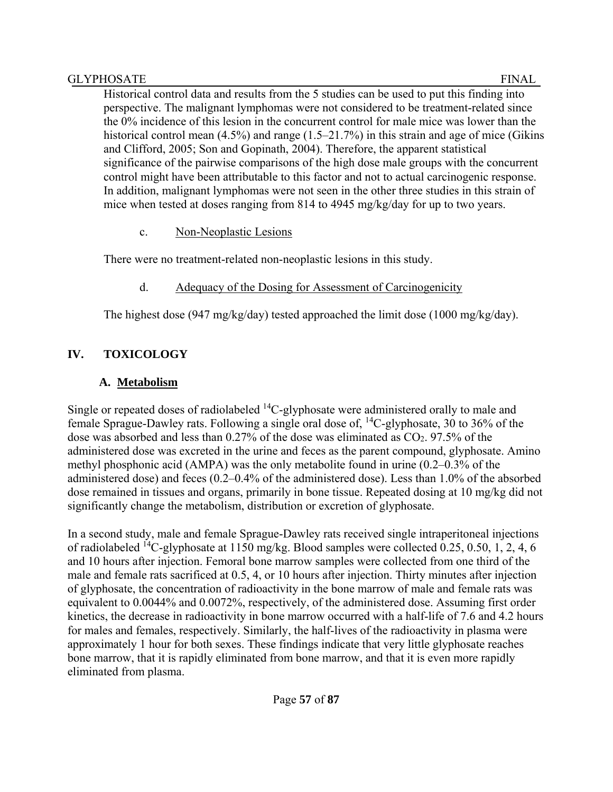Historical control data and results from the 5 studies can be used to put this finding into perspective. The malignant lymphomas were not considered to be treatment-related since the 0% incidence of this lesion in the concurrent control for male mice was lower than the historical control mean (4.5%) and range (1.5–21.7%) in this strain and age of mice (Gikins and Clifford, 2005; Son and Gopinath, 2004). Therefore, the apparent statistical significance of the pairwise comparisons of the high dose male groups with the concurrent control might have been attributable to this factor and not to actual carcinogenic response. In addition, malignant lymphomas were not seen in the other three studies in this strain of mice when tested at doses ranging from 814 to 4945 mg/kg/day for up to two years.

### c. Non-Neoplastic Lesions

There were no treatment-related non-neoplastic lesions in this study.

## d. Adequacy of the Dosing for Assessment of Carcinogenicity

The highest dose (947 mg/kg/day) tested approached the limit dose (1000 mg/kg/day).

# **IV. TOXICOLOGY**

# **A. Metabolism**

Single or repeated doses of radiolabeled <sup>14</sup>C-glyphosate were administered orally to male and female Sprague-Dawley rats. Following a single oral dose of, 14C-glyphosate, 30 to 36% of the dose was absorbed and less than 0.27% of the dose was eliminated as  $CO<sub>2</sub>$ . 97.5% of the administered dose was excreted in the urine and feces as the parent compound, glyphosate. Amino methyl phosphonic acid (AMPA) was the only metabolite found in urine (0.2–0.3% of the administered dose) and feces (0.2–0.4% of the administered dose). Less than 1.0% of the absorbed dose remained in tissues and organs, primarily in bone tissue. Repeated dosing at 10 mg/kg did not significantly change the metabolism, distribution or excretion of glyphosate.

In a second study, male and female Sprague-Dawley rats received single intraperitoneal injections of radiolabeled 14C-glyphosate at 1150 mg/kg. Blood samples were collected 0.25, 0.50, 1, 2, 4, 6 and 10 hours after injection. Femoral bone marrow samples were collected from one third of the male and female rats sacrificed at 0.5, 4, or 10 hours after injection. Thirty minutes after injection of glyphosate, the concentration of radioactivity in the bone marrow of male and female rats was equivalent to 0.0044% and 0.0072%, respectively, of the administered dose. Assuming first order kinetics, the decrease in radioactivity in bone marrow occurred with a half-life of 7.6 and 4.2 hours for males and females, respectively. Similarly, the half-lives of the radioactivity in plasma were approximately 1 hour for both sexes. These findings indicate that very little glyphosate reaches bone marrow, that it is rapidly eliminated from bone marrow, and that it is even more rapidly eliminated from plasma.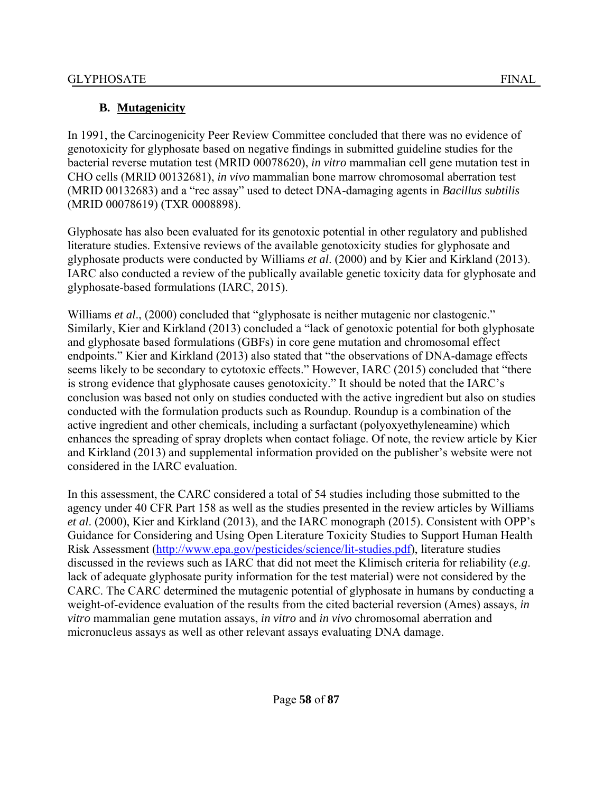# **B. Mutagenicity**

In 1991, the Carcinogenicity Peer Review Committee concluded that there was no evidence of genotoxicity for glyphosate based on negative findings in submitted guideline studies for the bacterial reverse mutation test (MRID 00078620), *in vitro* mammalian cell gene mutation test in CHO cells (MRID 00132681), *in vivo* mammalian bone marrow chromosomal aberration test (MRID 00132683) and a "rec assay" used to detect DNA-damaging agents in *Bacillus subtilis* (MRID 00078619) (TXR 0008898).

Glyphosate has also been evaluated for its genotoxic potential in other regulatory and published literature studies. Extensive reviews of the available genotoxicity studies for glyphosate and glyphosate products were conducted by Williams *et al*. (2000) and by Kier and Kirkland (2013). IARC also conducted a review of the publically available genetic toxicity data for glyphosate and glyphosate-based formulations (IARC, 2015).

Williams *et al.*, (2000) concluded that "glyphosate is neither mutagenic nor clastogenic." Similarly, Kier and Kirkland (2013) concluded a "lack of genotoxic potential for both glyphosate and glyphosate based formulations (GBFs) in core gene mutation and chromosomal effect endpoints." Kier and Kirkland (2013) also stated that "the observations of DNA-damage effects seems likely to be secondary to cytotoxic effects." However, IARC (2015) concluded that "there is strong evidence that glyphosate causes genotoxicity." It should be noted that the IARC's conclusion was based not only on studies conducted with the active ingredient but also on studies conducted with the formulation products such as Roundup. Roundup is a combination of the active ingredient and other chemicals, including a surfactant (polyoxyethyleneamine) which enhances the spreading of spray droplets when contact foliage. Of note, the review article by Kier and Kirkland (2013) and supplemental information provided on the publisher's website were not considered in the IARC evaluation.

In this assessment, the CARC considered a total of 54 studies including those submitted to the agency under 40 CFR Part 158 as well as the studies presented in the review articles by Williams *et al*. (2000), Kier and Kirkland (2013), and the IARC monograph (2015). Consistent with OPP's Guidance for Considering and Using Open Literature Toxicity Studies to Support Human Health Risk Assessment (http://www.epa.gov/pesticides/science/lit-studies.pdf), literature studies discussed in the reviews such as IARC that did not meet the Klimisch criteria for reliability (*e.g*. lack of adequate glyphosate purity information for the test material) were not considered by the CARC. The CARC determined the mutagenic potential of glyphosate in humans by conducting a weight-of-evidence evaluation of the results from the cited bacterial reversion (Ames) assays, *in vitro* mammalian gene mutation assays, *in vitro* and *in vivo* chromosomal aberration and micronucleus assays as well as other relevant assays evaluating DNA damage.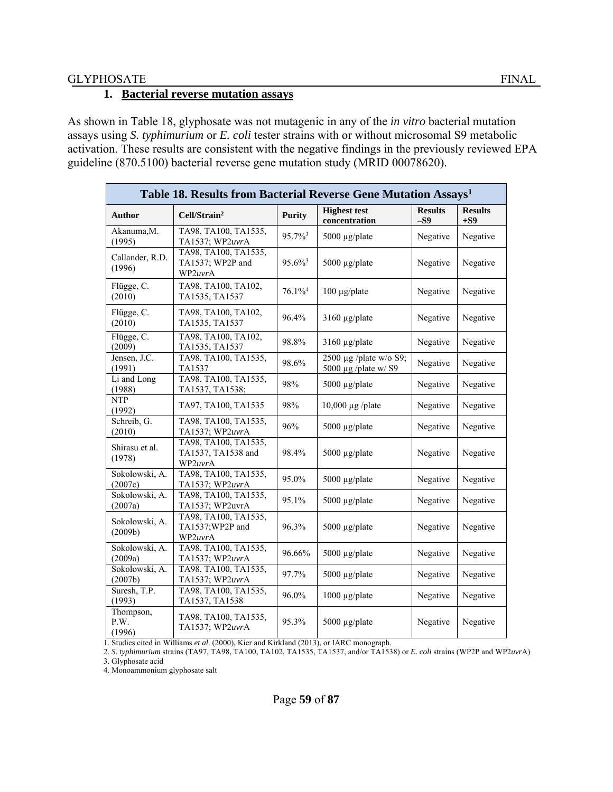#### **1. Bacterial reverse mutation assays**

As shown in Table 18, glyphosate was not mutagenic in any of the *in vitro* bacterial mutation assays using *S. typhimurium* or *E. coli* tester strains with or without microsomal S9 metabolic activation. These results are consistent with the negative findings in the previously reviewed EPA guideline (870.5100) bacterial reverse gene mutation study (MRID 00078620).

| Table 18. Results from Bacterial Reverse Gene Mutation Assays <sup>1</sup> |                                                       |                       |                                                |                         |                         |  |  |  |
|----------------------------------------------------------------------------|-------------------------------------------------------|-----------------------|------------------------------------------------|-------------------------|-------------------------|--|--|--|
| <b>Author</b>                                                              | Cell/Strain <sup>2</sup>                              | <b>Purity</b>         | <b>Highest test</b><br>concentration           | <b>Results</b><br>$-S9$ | <b>Results</b><br>$+S9$ |  |  |  |
| Akanuma, M.<br>(1995)                                                      | TA98, TA100, TA1535,<br>TA1537; WP2uvrA               | $95.7\%$ <sup>3</sup> | 5000 µg/plate                                  | Negative                | Negative                |  |  |  |
| Callander, R.D.<br>(1996)                                                  | TA98, TA100, TA1535,<br>TA1537; WP2P and<br>WP2uvrA   | $95.6\%$ <sup>3</sup> | 5000 $\mu$ g/plate                             | Negative                | Negative                |  |  |  |
| Flügge, C.<br>(2010)                                                       | TA98, TA100, TA102,<br>TA1535, TA1537                 | $76.1\%$ <sup>4</sup> | 100 µg/plate                                   | Negative                | Negative                |  |  |  |
| Flügge, C.<br>(2010)                                                       | TA98, TA100, TA102,<br>TA1535, TA1537                 | 96.4%                 | $3160 \mu g$ plate                             | Negative                | Negative                |  |  |  |
| Flügge, C.<br>(2009)                                                       | TA98, TA100, TA102,<br>TA1535, TA1537                 | 98.8%                 | $3160 \mu g$ plate                             | Negative                | Negative                |  |  |  |
| Jensen, J.C.<br>(1991)                                                     | TA98, TA100, TA1535,<br>TA1537                        | 98.6%                 | 2500 µg /plate w/o S9;<br>5000 µg /plate w/ S9 | Negative                | Negative                |  |  |  |
| $\overline{\text{Li}}$ and Long<br>(1988)                                  | TA98, TA100, TA1535,<br>TA1537, TA1538;               | 98%                   | 5000 µg/plate                                  | Negative                | Negative                |  |  |  |
| <b>NTP</b><br>(1992)                                                       | TA97, TA100, TA1535                                   | 98%                   | $10,000 \mu g$ /plate                          | Negative                | Negative                |  |  |  |
| Schreib, G.<br>(2010)                                                      | TA98, TA100, TA1535,<br>TA1537; WP2uvrA               | 96%                   | 5000 µg/plate                                  | Negative                | Negative                |  |  |  |
| Shirasu et al.<br>(1978)                                                   | TA98, TA100, TA1535,<br>TA1537, TA1538 and<br>WP2uvrA | 98.4%                 | 5000 µg/plate                                  | Negative                | Negative                |  |  |  |
| Sokolowski, A.<br>(2007c)                                                  | TA98, TA100, TA1535,<br>TA1537; WP2uvrA               | 95.0%                 | 5000 µg/plate                                  | Negative                | Negative                |  |  |  |
| Sokolowski, A.<br>(2007a)                                                  | TA98, TA100, TA1535,<br>TA1537; WP2uvrA               | 95.1%                 | 5000 µg/plate                                  | Negative                | Negative                |  |  |  |
| Sokolowski, A.<br>(2009b)                                                  | TA98, TA100, TA1535,<br>TA1537;WP2P and<br>WP2uvrA    | 96.3%                 | 5000 $\mu$ g/plate                             | Negative                | Negative                |  |  |  |
| Sokolowski, A.<br>(2009a)                                                  | TA98, TA100, TA1535,<br>TA1537; WP2uvrA               | 96.66%                | 5000 µg/plate                                  | Negative                | Negative                |  |  |  |
| Sokolowski, A.<br>(2007b)                                                  | TA98, TA100, TA1535,<br>TA1537; WP2uvrA               | 97.7%                 | 5000 µg/plate                                  | Negative                | Negative                |  |  |  |
| Suresh, T.P.<br>(1993)                                                     | TA98, TA100, TA1535,<br>TA1537, TA1538                | 96.0%                 | 1000 µg/plate                                  | Negative                | Negative                |  |  |  |
| Thompson,<br>P.W.<br>(1996)                                                | TA98, TA100, TA1535,<br>TA1537; WP2uvrA               | 95.3%                 | 5000 µg/plate                                  | Negative                | Negative                |  |  |  |

1. Studies cited in Williams *et al*. (2000), Kier and Kirkland (2013), or IARC monograph.

2. *S. typhimurium* strains (TA97, TA98, TA100, TA102, TA1535, TA1537, and/or TA1538) or *E. coli* strains (WP2P and WP2*uvr*A) 3. Glyphosate acid

4. Monoammonium glyphosate salt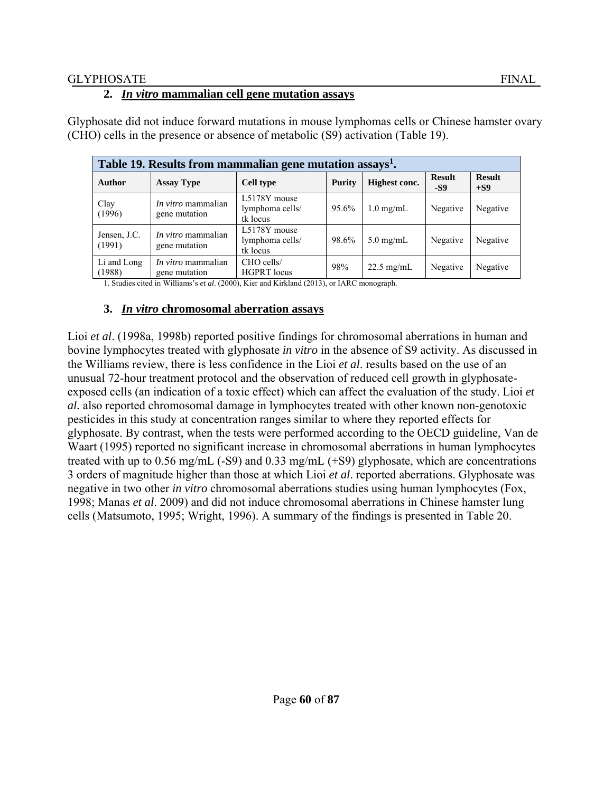## **2.** *In vitro* **mammalian cell gene mutation assays**

| Table 19. Results from mammalian gene mutation assays <sup>1</sup> . |                                            |                                             |               |                      |                      |                        |  |  |  |
|----------------------------------------------------------------------|--------------------------------------------|---------------------------------------------|---------------|----------------------|----------------------|------------------------|--|--|--|
| <b>Author</b>                                                        | <b>Assay Type</b>                          | <b>Cell type</b>                            | <b>Purity</b> | Highest conc.        | <b>Result</b><br>-S9 | <b>Result</b><br>$+S9$ |  |  |  |
| Clay<br>(1996)                                                       | <i>In vitro</i> mammalian<br>gene mutation | L5178Y mouse<br>lymphoma cells/<br>tk locus | 95.6%         | $1.0 \text{ mg/mL}$  | Negative             | Negative               |  |  |  |
| Jensen, J.C.<br>(1991)                                               | <i>In vitro</i> mammalian<br>gene mutation | L5178Y mouse<br>lymphoma cells/<br>tk locus | 98.6%         | $5.0 \text{ mg/mL}$  | Negative             | Negative               |  |  |  |
| Li and Long<br>(1988)                                                | <i>In vitro</i> mammalian<br>gene mutation | CHO cells/<br><b>HGPRT</b> locus            | 98%           | $22.5 \text{ mg/mL}$ | Negative             | Negative               |  |  |  |

Glyphosate did not induce forward mutations in mouse lymphomas cells or Chinese hamster ovary (CHO) cells in the presence or absence of metabolic (S9) activation (Table 19).

1. Studies cited in Williams's *et al*. (2000), Kier and Kirkland (2013), or IARC monograph.

### **3.** *In vitro* **chromosomal aberration assays**

Lioi *et al.* (1998a, 1998b) reported positive findings for chromosomal aberrations in human and bovine lymphocytes treated with glyphosate *in vitro* in the absence of S9 activity. As discussed in the Williams review, there is less confidence in the Lioi *et al*. results based on the use of an unusual 72-hour treatment protocol and the observation of reduced cell growth in glyphosateexposed cells (an indication of a toxic effect) which can affect the evaluation of the study. Lioi *et al.* also reported chromosomal damage in lymphocytes treated with other known non-genotoxic pesticides in this study at concentration ranges similar to where they reported effects for glyphosate. By contrast, when the tests were performed according to the OECD guideline, Van de Waart (1995) reported no significant increase in chromosomal aberrations in human lymphocytes treated with up to 0.56 mg/mL (-S9) and 0.33 mg/mL (+S9) glyphosate, which are concentrations 3 orders of magnitude higher than those at which Lioi *et al*. reported aberrations. Glyphosate was negative in two other *in vitro* chromosomal aberrations studies using human lymphocytes (Fox, 1998; Manas *et al*. 2009) and did not induce chromosomal aberrations in Chinese hamster lung cells (Matsumoto, 1995; Wright, 1996). A summary of the findings is presented in Table 20.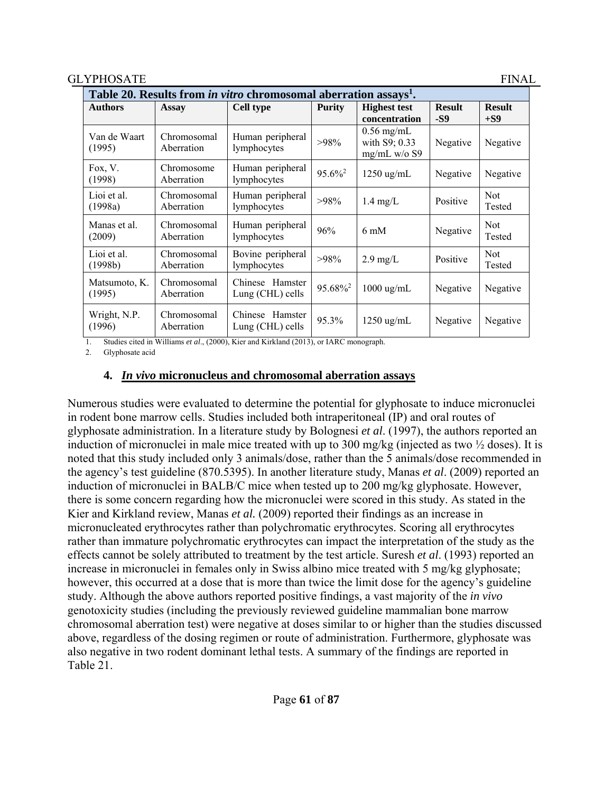| Table 20. Results from in vitro chromosomal aberration assays <sup>1</sup> . |                           |                                        |                       |                                               |                      |                        |  |  |  |
|------------------------------------------------------------------------------|---------------------------|----------------------------------------|-----------------------|-----------------------------------------------|----------------------|------------------------|--|--|--|
| <b>Authors</b>                                                               | Assay                     | <b>Cell type</b>                       | <b>Purity</b>         | <b>Highest test</b><br>concentration          | <b>Result</b><br>-S9 | <b>Result</b><br>$+S9$ |  |  |  |
| Van de Waart<br>(1995)                                                       | Chromosomal<br>Aberration | Human peripheral<br>lymphocytes        | >98%                  | $0.56$ mg/mL<br>with S9; 0.33<br>mg/mL w/o S9 | Negative             | Negative               |  |  |  |
| Fox, V.<br>(1998)                                                            | Chromosome<br>Aberration  | Human peripheral<br>lymphocytes        | $95.6\%$ <sup>2</sup> | $1250 \text{ ug/mL}$                          | Negative             | Negative               |  |  |  |
| Lioi et al.<br>(1998a)                                                       | Chromosomal<br>Aberration | Human peripheral<br>lymphocytes        | $>98\%$               | $1.4$ mg/L                                    | Positive             | <b>Not</b><br>Tested   |  |  |  |
| Manas et al.<br>(2009)                                                       | Chromosomal<br>Aberration | Human peripheral<br>lymphocytes        | 96%                   | $6 \text{ mM}$                                | Negative             | <b>Not</b><br>Tested   |  |  |  |
| Lioi et al.<br>(1998b)                                                       | Chromosomal<br>Aberration | Bovine peripheral<br>lymphocytes       | >98%                  | $2.9 \text{ mg/L}$                            | Positive             | <b>Not</b><br>Tested   |  |  |  |
| Matsumoto, K.<br>(1995)                                                      | Chromosomal<br>Aberration | Chinese Hamster<br>Lung (CHL) cells    | 95.68% <sup>2</sup>   | $1000 \text{ ug/mL}$                          | Negative             | Negative               |  |  |  |
| Wright, N.P.<br>(1996)                                                       | Chromosomal<br>Aberration | Hamster<br>Chinese<br>Lung (CHL) cells | 95.3%                 | $1250 \text{ ug/mL}$                          | Negative             | Negative               |  |  |  |

1. Studies cited in Williams *et al*., (2000), Kier and Kirkland (2013), or IARC monograph.

2. Glyphosate acid

### **4.** *In vivo* **micronucleus and chromosomal aberration assays**

Numerous studies were evaluated to determine the potential for glyphosate to induce micronuclei in rodent bone marrow cells. Studies included both intraperitoneal (IP) and oral routes of glyphosate administration. In a literature study by Bolognesi *et al*. (1997), the authors reported an induction of micronuclei in male mice treated with up to 300 mg/kg (injected as two  $\frac{1}{2}$  doses). It is noted that this study included only 3 animals/dose, rather than the 5 animals/dose recommended in the agency's test guideline (870.5395). In another literature study, Manas *et al*. (2009) reported an induction of micronuclei in BALB/C mice when tested up to 200 mg/kg glyphosate. However, there is some concern regarding how the micronuclei were scored in this study. As stated in the Kier and Kirkland review, Manas *et al.* (2009) reported their findings as an increase in micronucleated erythrocytes rather than polychromatic erythrocytes. Scoring all erythrocytes rather than immature polychromatic erythrocytes can impact the interpretation of the study as the effects cannot be solely attributed to treatment by the test article. Suresh *et al*. (1993) reported an increase in micronuclei in females only in Swiss albino mice treated with 5 mg/kg glyphosate; however, this occurred at a dose that is more than twice the limit dose for the agency's guideline study. Although the above authors reported positive findings, a vast majority of the *in vivo* genotoxicity studies (including the previously reviewed guideline mammalian bone marrow chromosomal aberration test) were negative at doses similar to or higher than the studies discussed above, regardless of the dosing regimen or route of administration. Furthermore, glyphosate was also negative in two rodent dominant lethal tests. A summary of the findings are reported in Table 21.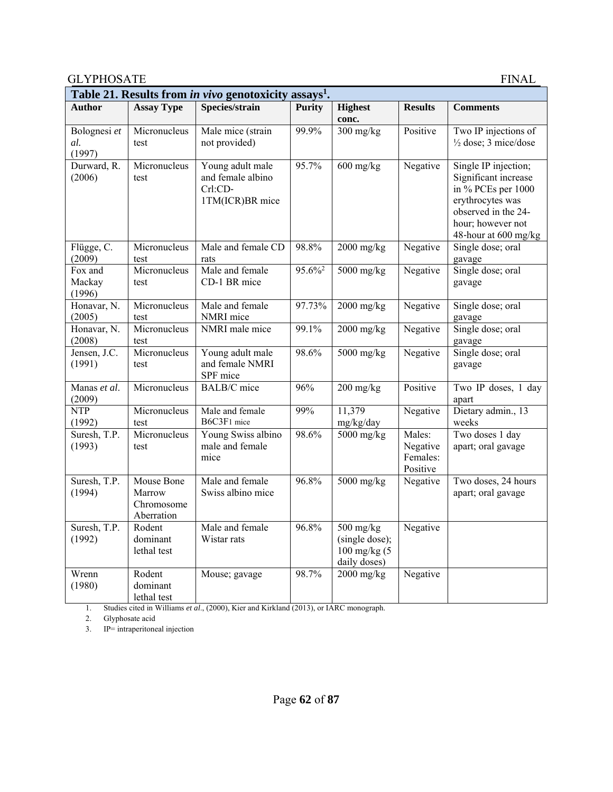| Table 21. Results from in vivo genotoxicity assays <sup>1</sup> . |                                                  |                                                                     |                       |                                                                    |                                            |                                                                                                                                                            |  |  |  |
|-------------------------------------------------------------------|--------------------------------------------------|---------------------------------------------------------------------|-----------------------|--------------------------------------------------------------------|--------------------------------------------|------------------------------------------------------------------------------------------------------------------------------------------------------------|--|--|--|
| <b>Author</b>                                                     | <b>Assay Type</b>                                | Species/strain                                                      | <b>Purity</b>         | <b>Highest</b><br>conc.                                            | <b>Results</b>                             | <b>Comments</b>                                                                                                                                            |  |  |  |
| Bolognesi et<br>al.<br>(1997)                                     | Micronucleus<br>test                             | Male mice (strain<br>not provided)                                  | 99.9%                 | $300$ mg/kg                                                        | Positive                                   | Two IP injections of<br>$\frac{1}{2}$ dose; 3 mice/dose                                                                                                    |  |  |  |
| Durward, R.<br>(2006)                                             | Micronucleus<br>test                             | Young adult male<br>and female albino<br>Crl:CD-<br>1TM(ICR)BR mice | 95.7%                 | $600$ mg/kg                                                        | Negative                                   | Single IP injection;<br>Significant increase<br>in % PCEs per 1000<br>erythrocytes was<br>observed in the 24-<br>hour; however not<br>48-hour at 600 mg/kg |  |  |  |
| Flügge, C.<br>(2009)                                              | Micronucleus<br>test                             | Male and female CD<br>rats                                          | 98.8%                 | $2000$ mg/kg                                                       | Negative                                   | Single dose; oral<br>gavage                                                                                                                                |  |  |  |
| Fox and<br>Mackay<br>(1996)                                       | Micronucleus<br>test                             | Male and female<br>CD-1 BR mice                                     | $95.6\%$ <sup>2</sup> | 5000 mg/kg                                                         | Negative                                   | Single dose; oral<br>gavage                                                                                                                                |  |  |  |
| Honavar, N.<br>(2005)                                             | Micronucleus<br>test                             | Male and female<br>NMRI mice                                        | 97.73%                | $2000$ mg/kg                                                       | Negative                                   | Single dose; oral<br>gavage                                                                                                                                |  |  |  |
| Honavar, N.<br>(2008)                                             | Micronucleus<br>test                             | NMRI male mice                                                      | 99.1%                 | $2000$ mg/kg                                                       | Negative                                   | Single dose; oral<br>gavage                                                                                                                                |  |  |  |
| Jensen, J.C.<br>(1991)                                            | Micronucleus<br>test                             | Young adult male<br>and female NMRI<br>SPF mice                     | 98.6%                 | $5000$ mg/kg                                                       | Negative                                   | Single dose; oral<br>gavage                                                                                                                                |  |  |  |
| Manas et al.<br>(2009)                                            | Micronucleus                                     | <b>BALB/C</b> mice                                                  | 96%                   | $200$ mg/kg                                                        | Positive                                   | Two IP doses, 1 day<br>apart                                                                                                                               |  |  |  |
| <b>NTP</b><br>(1992)                                              | Micronucleus<br>test                             | Male and female<br>B6C3F1 mice                                      | 99%                   | 11,379<br>mg/kg/day                                                | Negative                                   | Dietary admin., 13<br>weeks                                                                                                                                |  |  |  |
| Suresh, T.P.<br>(1993)                                            | Micronucleus<br>test                             | Young Swiss albino<br>male and female<br>mice                       | 98.6%                 | 5000 mg/kg                                                         | Males:<br>Negative<br>Females:<br>Positive | Two doses 1 day<br>apart; oral gavage                                                                                                                      |  |  |  |
| Suresh, T.P.<br>(1994)                                            | Mouse Bone<br>Marrow<br>Chromosome<br>Aberration | Male and female<br>Swiss albino mice                                | 96.8%                 | $5000$ mg/kg                                                       | Negative                                   | Two doses, 24 hours<br>apart; oral gavage                                                                                                                  |  |  |  |
| Suresh, T.P.<br>(1992)                                            | Rodent<br>dominant<br>lethal test                | Male and female<br>Wistar rats                                      | 96.8%                 | $500$ mg/kg<br>(single dose);<br>$100$ mg/kg $(5)$<br>daily doses) | Negative                                   |                                                                                                                                                            |  |  |  |
| Wrenn<br>(1980)                                                   | Rodent<br>dominant<br>lethal test                | Mouse; gavage                                                       | 98.7%                 | $2000$ mg/kg                                                       | Negative                                   |                                                                                                                                                            |  |  |  |

1. Studies cited in Williams *et al*., (2000), Kier and Kirkland (2013), or IARC monograph.

2. Glyphosate acid

3. IP= intraperitoneal injection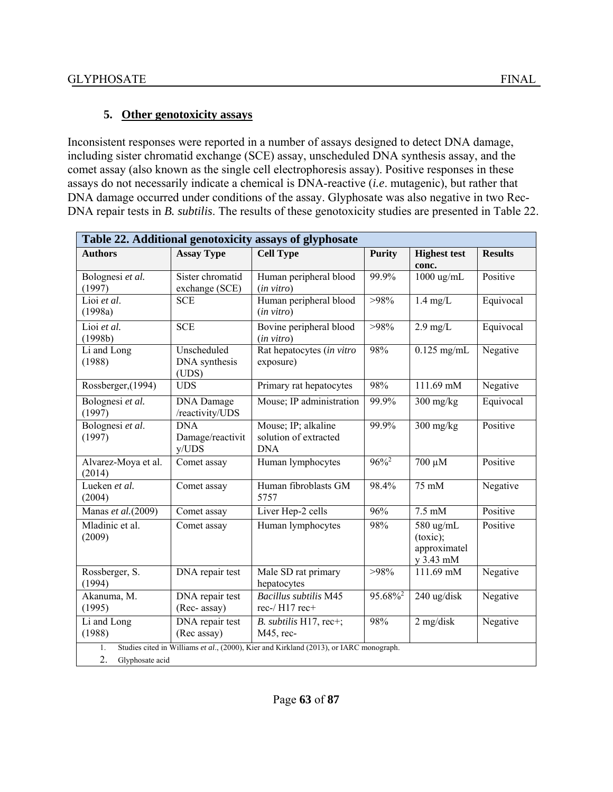# **5. Other genotoxicity assays**

Inconsistent responses were reported in a number of assays designed to detect DNA damage, including sister chromatid exchange (SCE) assay, unscheduled DNA synthesis assay, and the comet assay (also known as the single cell electrophoresis assay). Positive responses in these assays do not necessarily indicate a chemical is DNA-reactive (*i.e*. mutagenic), but rather that DNA damage occurred under conditions of the assay. Glyphosate was also negative in two Rec-DNA repair tests in *B. subtilis*. The results of these genotoxicity studies are presented in Table 22.

| Table 22. Additional genotoxicity assays of glyphosate |                                         |                                                                                        |                     |                                                    |                |  |  |  |
|--------------------------------------------------------|-----------------------------------------|----------------------------------------------------------------------------------------|---------------------|----------------------------------------------------|----------------|--|--|--|
| <b>Authors</b>                                         | <b>Assay Type</b>                       | <b>Cell Type</b>                                                                       | <b>Purity</b>       | <b>Highest test</b><br>conc.                       | <b>Results</b> |  |  |  |
| Bolognesi et al.<br>(1997)                             | Sister chromatid<br>exchange (SCE)      | Human peripheral blood<br>$(in \text{ vitro})$                                         | 99.9%               | 1000 ug/mL                                         | Positive       |  |  |  |
| Lioi et al.<br>(1998a)                                 | <b>SCE</b>                              | Human peripheral blood<br>$(in \, vitro)$                                              | >98%                | $1.4$ mg/L                                         | Equivocal      |  |  |  |
| Lioi et al.<br>(1998b)                                 | <b>SCE</b>                              | Bovine peripheral blood<br>(in vitro)                                                  | >98%                | $2.9$ mg/L                                         | Equivocal      |  |  |  |
| $\overline{Li}$ and Long<br>(1988)                     | Unscheduled<br>DNA synthesis<br>(UDS)   | Rat hepatocytes (in vitro<br>exposure)                                                 | 98%                 | $\overline{0.125}$ mg/mL                           | Negative       |  |  |  |
| Rossberger, (1994)                                     | <b>UDS</b>                              | Primary rat hepatocytes                                                                | 98%                 | 111.69 mM                                          | Negative       |  |  |  |
| Bolognesi et al.<br>(1997)                             | <b>DNA</b> Damage<br>/reactivity/UDS    | Mouse; IP administration                                                               | 99.9%               | $300$ mg/kg                                        | Equivocal      |  |  |  |
| Bolognesi et al.<br>(1997)                             | <b>DNA</b><br>Damage/reactivit<br>y/UDS | Mouse; IP; alkaline<br>solution of extracted<br><b>DNA</b>                             | 99.9%               | $300$ mg/kg                                        | Positive       |  |  |  |
| Alvarez-Moya et al.<br>(2014)                          | Comet assay                             | Human lymphocytes                                                                      | $96\%$ <sup>2</sup> | $700 \mu M$                                        | Positive       |  |  |  |
| Lueken et al.<br>(2004)                                | Comet assay                             | Human fibroblasts GM<br>5757                                                           | 98.4%               | 75 mM                                              | Negative       |  |  |  |
| Manas et al.(2009)                                     | Comet assay                             | Liver Hep-2 cells                                                                      | 96%                 | $7.5 \text{ mM}$                                   | Positive       |  |  |  |
| Mladinic et al.<br>(2009)                              | Comet assay                             | Human lymphocytes                                                                      | 98%                 | 580 ug/mL<br>(toxic);<br>approximatel<br>y 3.43 mM | Positive       |  |  |  |
| Rossberger, S.<br>(1994)                               | DNA repair test                         | Male SD rat primary<br>hepatocytes                                                     | >98%                | 111.69 mM                                          | Negative       |  |  |  |
| Akanuma, M.<br>(1995)                                  | DNA repair test<br>(Rec- assay)         | <b>Bacillus subtilis M45</b><br>rec-/H17 rec+                                          | 95.68% <sup>2</sup> | 240 ug/disk                                        | Negative       |  |  |  |
| Li and Long<br>(1988)                                  | DNA repair test<br>(Rec assay)          | B. subtilis H17, rec+;<br>M45, rec-                                                    | 98%                 | $2$ mg/disk                                        | Negative       |  |  |  |
| 1.<br>2.<br>Glyphosate acid                            |                                         | Studies cited in Williams et al., (2000), Kier and Kirkland (2013), or IARC monograph. |                     |                                                    |                |  |  |  |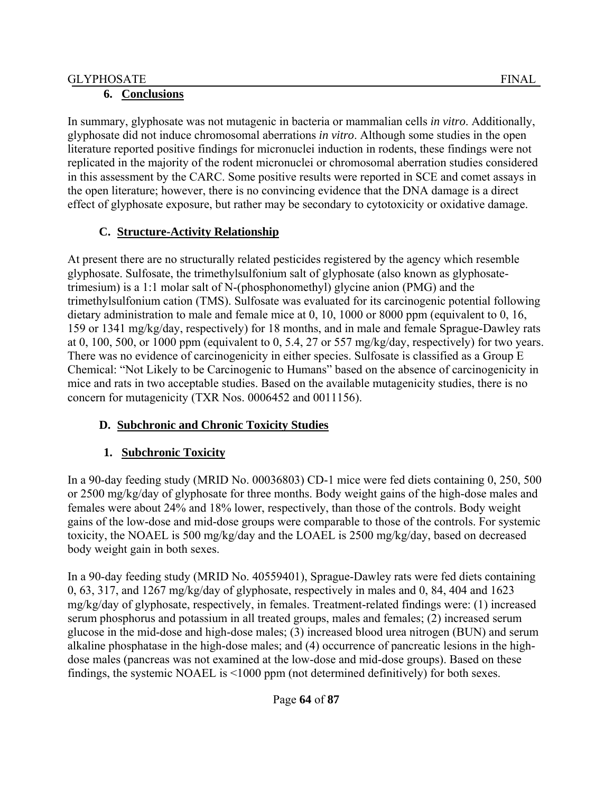# **6. Conclusions**

In summary, glyphosate was not mutagenic in bacteria or mammalian cells *in vitro*. Additionally, glyphosate did not induce chromosomal aberrations *in vitro*. Although some studies in the open literature reported positive findings for micronuclei induction in rodents, these findings were not replicated in the majority of the rodent micronuclei or chromosomal aberration studies considered in this assessment by the CARC. Some positive results were reported in SCE and comet assays in the open literature; however, there is no convincing evidence that the DNA damage is a direct effect of glyphosate exposure, but rather may be secondary to cytotoxicity or oxidative damage.

# **C. Structure-Activity Relationship**

At present there are no structurally related pesticides registered by the agency which resemble glyphosate. Sulfosate, the trimethylsulfonium salt of glyphosate (also known as glyphosatetrimesium) is a 1:1 molar salt of N-(phosphonomethyl) glycine anion (PMG) and the trimethylsulfonium cation (TMS). Sulfosate was evaluated for its carcinogenic potential following dietary administration to male and female mice at 0, 10, 1000 or 8000 ppm (equivalent to 0, 16, 159 or 1341 mg/kg/day, respectively) for 18 months, and in male and female Sprague-Dawley rats at 0, 100, 500, or 1000 ppm (equivalent to 0, 5.4, 27 or 557 mg/kg/day, respectively) for two years. There was no evidence of carcinogenicity in either species. Sulfosate is classified as a Group E Chemical: "Not Likely to be Carcinogenic to Humans" based on the absence of carcinogenicity in mice and rats in two acceptable studies. Based on the available mutagenicity studies, there is no concern for mutagenicity (TXR Nos. 0006452 and 0011156).

# **D. Subchronic and Chronic Toxicity Studies**

# **1. Subchronic Toxicity**

In a 90-day feeding study (MRID No. 00036803) CD-1 mice were fed diets containing 0, 250, 500 or 2500 mg/kg/day of glyphosate for three months. Body weight gains of the high-dose males and females were about 24% and 18% lower, respectively, than those of the controls. Body weight gains of the low-dose and mid-dose groups were comparable to those of the controls. For systemic toxicity, the NOAEL is 500 mg/kg/day and the LOAEL is 2500 mg/kg/day, based on decreased body weight gain in both sexes.

In a 90-day feeding study (MRID No. 40559401), Sprague-Dawley rats were fed diets containing 0, 63, 317, and 1267 mg/kg/day of glyphosate, respectively in males and 0, 84, 404 and 1623 mg/kg/day of glyphosate, respectively, in females. Treatment-related findings were: (1) increased serum phosphorus and potassium in all treated groups, males and females; (2) increased serum glucose in the mid-dose and high-dose males; (3) increased blood urea nitrogen (BUN) and serum alkaline phosphatase in the high-dose males; and (4) occurrence of pancreatic lesions in the highdose males (pancreas was not examined at the low-dose and mid-dose groups). Based on these findings, the systemic NOAEL is <1000 ppm (not determined definitively) for both sexes.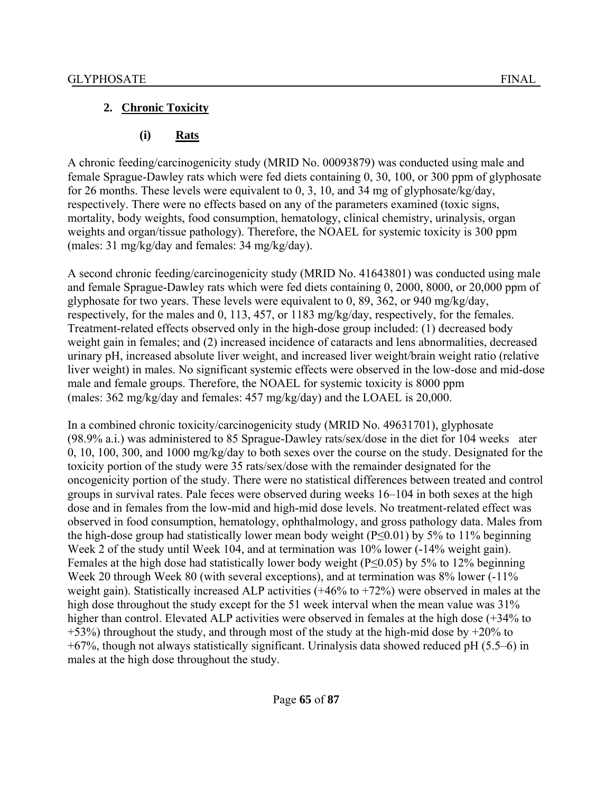# **2. Chronic Toxicity**

# **(i) Rats**

A chronic feeding/carcinogenicity study (MRID No. 00093879) was conducted using male and female Sprague-Dawley rats which were fed diets containing 0, 30, 100, or 300 ppm of glyphosate for 26 months. These levels were equivalent to 0, 3, 10, and 34 mg of glyphosate/kg/day, respectively. There were no effects based on any of the parameters examined (toxic signs, mortality, body weights, food consumption, hematology, clinical chemistry, urinalysis, organ weights and organ/tissue pathology). Therefore, the NOAEL for systemic toxicity is 300 ppm (males: 31 mg/kg/day and females: 34 mg/kg/day).

A second chronic feeding/carcinogenicity study (MRID No. 41643801) was conducted using male and female Sprague-Dawley rats which were fed diets containing 0, 2000, 8000, or 20,000 ppm of glyphosate for two years. These levels were equivalent to 0, 89, 362, or 940 mg/kg/day, respectively, for the males and 0, 113, 457, or 1183 mg/kg/day, respectively, for the females. Treatment-related effects observed only in the high-dose group included: (1) decreased body weight gain in females; and (2) increased incidence of cataracts and lens abnormalities, decreased urinary pH, increased absolute liver weight, and increased liver weight/brain weight ratio (relative liver weight) in males. No significant systemic effects were observed in the low-dose and mid-dose male and female groups. Therefore, the NOAEL for systemic toxicity is 8000 ppm (males: 362 mg/kg/day and females: 457 mg/kg/day) and the LOAEL is 20,000.

In a combined chronic toxicity/carcinogenicity study (MRID No. 49631701), glyphosate (98.9% a.i.) was administered to 85 Sprague-Dawley rats/sex/dose in the diet for 104 weeks ater 0, 10, 100, 300, and 1000 mg/kg/day to both sexes over the course on the study. Designated for the toxicity portion of the study were 35 rats/sex/dose with the remainder designated for the oncogenicity portion of the study. There were no statistical differences between treated and control groups in survival rates. Pale feces were observed during weeks 16–104 in both sexes at the high dose and in females from the low-mid and high-mid dose levels. No treatment-related effect was observed in food consumption, hematology, ophthalmology, and gross pathology data. Males from the high-dose group had statistically lower mean body weight ( $P \le 0.01$ ) by 5% to 11% beginning Week 2 of the study until Week 104, and at termination was 10% lower (-14% weight gain). Females at the high dose had statistically lower body weight (P≤0.05) by 5% to 12% beginning Week 20 through Week 80 (with several exceptions), and at termination was 8% lower (-11% weight gain). Statistically increased ALP activities (+46% to +72%) were observed in males at the high dose throughout the study except for the 51 week interval when the mean value was 31% higher than control. Elevated ALP activities were observed in females at the high dose (+34% to  $+53%$ ) throughout the study, and through most of the study at the high-mid dose by  $+20%$  to +67%, though not always statistically significant. Urinalysis data showed reduced pH (5.5–6) in males at the high dose throughout the study.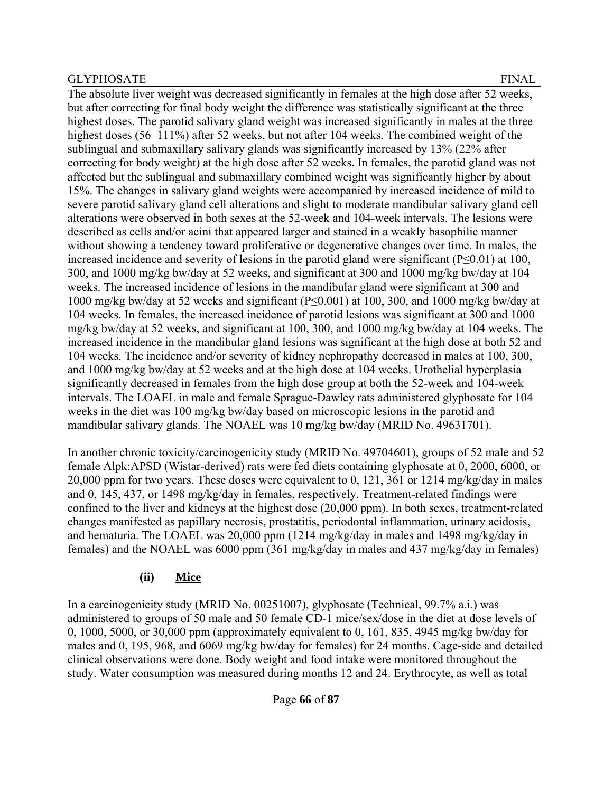The absolute liver weight was decreased significantly in females at the high dose after 52 weeks, but after correcting for final body weight the difference was statistically significant at the three highest doses. The parotid salivary gland weight was increased significantly in males at the three highest doses (56–111%) after 52 weeks, but not after 104 weeks. The combined weight of the sublingual and submaxillary salivary glands was significantly increased by 13% (22% after correcting for body weight) at the high dose after 52 weeks. In females, the parotid gland was not affected but the sublingual and submaxillary combined weight was significantly higher by about 15%. The changes in salivary gland weights were accompanied by increased incidence of mild to severe parotid salivary gland cell alterations and slight to moderate mandibular salivary gland cell alterations were observed in both sexes at the 52-week and 104-week intervals. The lesions were described as cells and/or acini that appeared larger and stained in a weakly basophilic manner without showing a tendency toward proliferative or degenerative changes over time. In males, the increased incidence and severity of lesions in the parotid gland were significant (P≤0.01) at 100, 300, and 1000 mg/kg bw/day at 52 weeks, and significant at 300 and 1000 mg/kg bw/day at 104 weeks. The increased incidence of lesions in the mandibular gland were significant at 300 and 1000 mg/kg bw/day at 52 weeks and significant (P≤0.001) at 100, 300, and 1000 mg/kg bw/day at 104 weeks. In females, the increased incidence of parotid lesions was significant at 300 and 1000 mg/kg bw/day at 52 weeks, and significant at 100, 300, and 1000 mg/kg bw/day at 104 weeks. The increased incidence in the mandibular gland lesions was significant at the high dose at both 52 and 104 weeks. The incidence and/or severity of kidney nephropathy decreased in males at 100, 300, and 1000 mg/kg bw/day at 52 weeks and at the high dose at 104 weeks. Urothelial hyperplasia significantly decreased in females from the high dose group at both the 52-week and 104-week intervals. The LOAEL in male and female Sprague-Dawley rats administered glyphosate for 104 weeks in the diet was 100 mg/kg bw/day based on microscopic lesions in the parotid and mandibular salivary glands. The NOAEL was 10 mg/kg bw/day (MRID No. 49631701).

In another chronic toxicity/carcinogenicity study (MRID No. 49704601), groups of 52 male and 52 female Alpk:APSD (Wistar-derived) rats were fed diets containing glyphosate at 0, 2000, 6000, or 20,000 ppm for two years. These doses were equivalent to 0, 121, 361 or 1214 mg/kg/day in males and 0, 145, 437, or 1498 mg/kg/day in females, respectively. Treatment-related findings were confined to the liver and kidneys at the highest dose (20,000 ppm). In both sexes, treatment-related changes manifested as papillary necrosis, prostatitis, periodontal inflammation, urinary acidosis, and hematuria. The LOAEL was 20,000 ppm (1214 mg/kg/day in males and 1498 mg/kg/day in females) and the NOAEL was 6000 ppm (361 mg/kg/day in males and 437 mg/kg/day in females)

# **(ii) Mice**

In a carcinogenicity study (MRID No. 00251007), glyphosate (Technical, 99.7% a.i.) was administered to groups of 50 male and 50 female CD-1 mice/sex/dose in the diet at dose levels of 0, 1000, 5000, or 30,000 ppm (approximately equivalent to 0, 161, 835, 4945 mg/kg bw/day for males and 0, 195, 968, and 6069 mg/kg bw/day for females) for 24 months. Cage-side and detailed clinical observations were done. Body weight and food intake were monitored throughout the study. Water consumption was measured during months 12 and 24. Erythrocyte, as well as total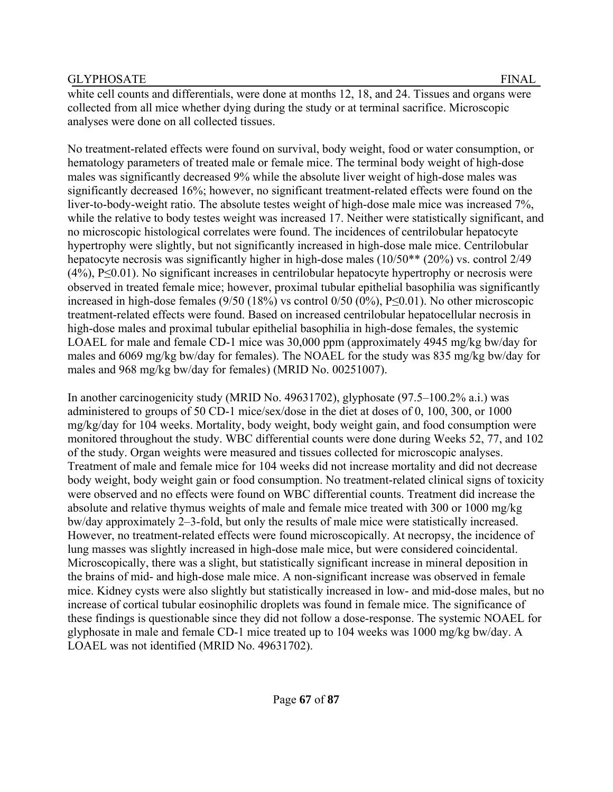white cell counts and differentials, were done at months 12, 18, and 24. Tissues and organs were collected from all mice whether dying during the study or at terminal sacrifice. Microscopic analyses were done on all collected tissues.

No treatment-related effects were found on survival, body weight, food or water consumption, or hematology parameters of treated male or female mice. The terminal body weight of high-dose males was significantly decreased 9% while the absolute liver weight of high-dose males was significantly decreased 16%; however, no significant treatment-related effects were found on the liver-to-body-weight ratio. The absolute testes weight of high-dose male mice was increased 7%, while the relative to body testes weight was increased 17. Neither were statistically significant, and no microscopic histological correlates were found. The incidences of centrilobular hepatocyte hypertrophy were slightly, but not significantly increased in high-dose male mice. Centrilobular hepatocyte necrosis was significantly higher in high-dose males (10/50<sup>\*\*</sup> (20%) vs. control 2/49 (4%), P≤0.01). No significant increases in centrilobular hepatocyte hypertrophy or necrosis were observed in treated female mice; however, proximal tubular epithelial basophilia was significantly increased in high-dose females (9/50 (18%) vs control 0/50 (0%), P≤0.01). No other microscopic treatment-related effects were found. Based on increased centrilobular hepatocellular necrosis in high-dose males and proximal tubular epithelial basophilia in high-dose females, the systemic LOAEL for male and female CD-1 mice was 30,000 ppm (approximately 4945 mg/kg bw/day for males and 6069 mg/kg bw/day for females). The NOAEL for the study was 835 mg/kg bw/day for males and 968 mg/kg bw/day for females) (MRID No. 00251007).

In another carcinogenicity study (MRID No. 49631702), glyphosate (97.5–100.2% a.i.) was administered to groups of 50 CD-1 mice/sex/dose in the diet at doses of 0, 100, 300, or 1000 mg/kg/day for 104 weeks. Mortality, body weight, body weight gain, and food consumption were monitored throughout the study. WBC differential counts were done during Weeks 52, 77, and 102 of the study. Organ weights were measured and tissues collected for microscopic analyses. Treatment of male and female mice for 104 weeks did not increase mortality and did not decrease body weight, body weight gain or food consumption. No treatment-related clinical signs of toxicity were observed and no effects were found on WBC differential counts. Treatment did increase the absolute and relative thymus weights of male and female mice treated with 300 or 1000 mg/kg bw/day approximately 2–3-fold, but only the results of male mice were statistically increased. However, no treatment-related effects were found microscopically. At necropsy, the incidence of lung masses was slightly increased in high-dose male mice, but were considered coincidental. Microscopically, there was a slight, but statistically significant increase in mineral deposition in the brains of mid- and high-dose male mice. A non-significant increase was observed in female mice. Kidney cysts were also slightly but statistically increased in low- and mid-dose males, but no increase of cortical tubular eosinophilic droplets was found in female mice. The significance of these findings is questionable since they did not follow a dose-response. The systemic NOAEL for glyphosate in male and female CD-1 mice treated up to 104 weeks was 1000 mg/kg bw/day. A LOAEL was not identified (MRID No. 49631702).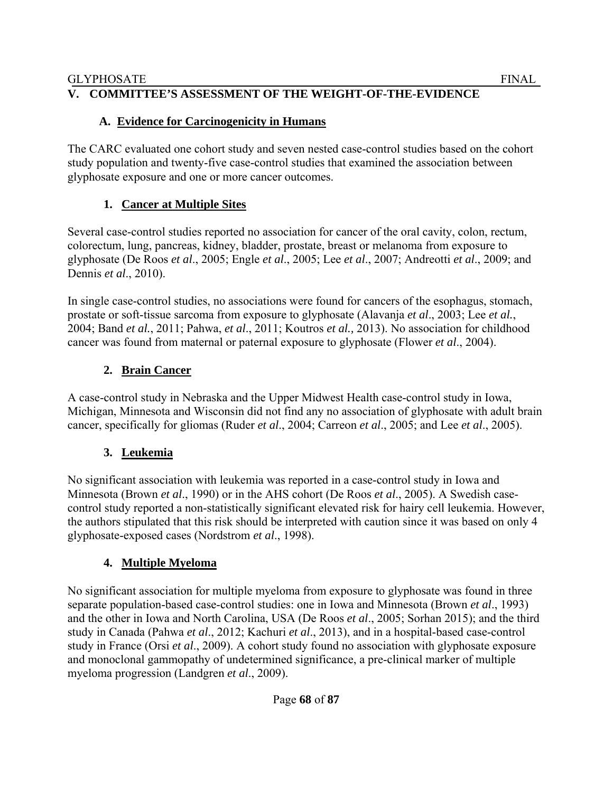## **V. COMMITTEE'S ASSESSMENT OF THE WEIGHT-OF-THE-EVIDENCE**

# **A. Evidence for Carcinogenicity in Humans**

The CARC evaluated one cohort study and seven nested case-control studies based on the cohort study population and twenty-five case-control studies that examined the association between glyphosate exposure and one or more cancer outcomes.

# **1. Cancer at Multiple Sites**

Several case-control studies reported no association for cancer of the oral cavity, colon, rectum, colorectum, lung, pancreas, kidney, bladder, prostate, breast or melanoma from exposure to glyphosate (De Roos *et al*., 2005; Engle *et al*., 2005; Lee *et al*., 2007; Andreotti *et al*., 2009; and Dennis *et al*., 2010).

In single case-control studies, no associations were found for cancers of the esophagus, stomach, prostate or soft-tissue sarcoma from exposure to glyphosate (Alavanja *et al*., 2003; Lee *et al.*, 2004; Band *et al.*, 2011; Pahwa, *et al*., 2011; Koutros *et al.,* 2013). No association for childhood cancer was found from maternal or paternal exposure to glyphosate (Flower *et al*., 2004).

# **2. Brain Cancer**

A case-control study in Nebraska and the Upper Midwest Health case-control study in Iowa, Michigan, Minnesota and Wisconsin did not find any no association of glyphosate with adult brain cancer, specifically for gliomas (Ruder *et al*., 2004; Carreon *et al*., 2005; and Lee *et al*., 2005).

# **3. Leukemia**

No significant association with leukemia was reported in a case-control study in Iowa and Minnesota (Brown *et al*., 1990) or in the AHS cohort (De Roos *et al*., 2005). A Swedish casecontrol study reported a non-statistically significant elevated risk for hairy cell leukemia. However, the authors stipulated that this risk should be interpreted with caution since it was based on only 4 glyphosate-exposed cases (Nordstrom *et al*., 1998).

# **4. Multiple Myeloma**

No significant association for multiple myeloma from exposure to glyphosate was found in three separate population-based case-control studies: one in Iowa and Minnesota (Brown *et al*., 1993) and the other in Iowa and North Carolina, USA (De Roos *et al*., 2005; Sorhan 2015); and the third study in Canada (Pahwa *et al*., 2012; Kachuri *et al*., 2013), and in a hospital-based case-control study in France (Orsi *et al*., 2009). A cohort study found no association with glyphosate exposure and monoclonal gammopathy of undetermined significance, a pre-clinical marker of multiple myeloma progression (Landgren *et al*., 2009).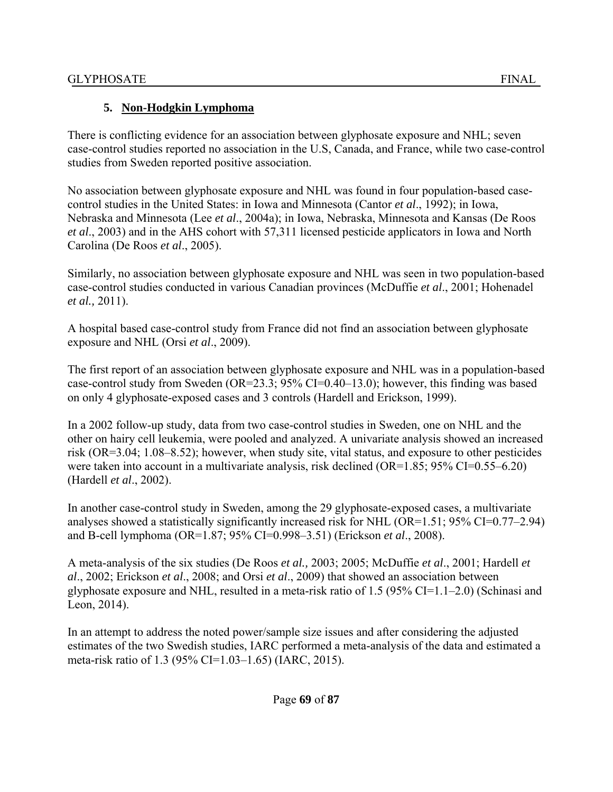# **5. Non-Hodgkin Lymphoma**

There is conflicting evidence for an association between glyphosate exposure and NHL; seven case-control studies reported no association in the U.S, Canada, and France, while two case-control studies from Sweden reported positive association.

No association between glyphosate exposure and NHL was found in four population-based casecontrol studies in the United States: in Iowa and Minnesota (Cantor *et al*., 1992); in Iowa, Nebraska and Minnesota (Lee *et al*., 2004a); in Iowa, Nebraska, Minnesota and Kansas (De Roos *et al*., 2003) and in the AHS cohort with 57,311 licensed pesticide applicators in Iowa and North Carolina (De Roos *et al*., 2005).

Similarly, no association between glyphosate exposure and NHL was seen in two population-based case-control studies conducted in various Canadian provinces (McDuffie *et al*., 2001; Hohenadel *et al.,* 2011).

A hospital based case-control study from France did not find an association between glyphosate exposure and NHL (Orsi *et al*., 2009).

The first report of an association between glyphosate exposure and NHL was in a population-based case-control study from Sweden (OR=23.3; 95% CI=0.40–13.0); however, this finding was based on only 4 glyphosate-exposed cases and 3 controls (Hardell and Erickson, 1999).

In a 2002 follow-up study, data from two case-control studies in Sweden, one on NHL and the other on hairy cell leukemia, were pooled and analyzed. A univariate analysis showed an increased risk (OR=3.04; 1.08–8.52); however, when study site, vital status, and exposure to other pesticides were taken into account in a multivariate analysis, risk declined (OR=1.85; 95% CI=0.55–6.20) (Hardell *et al*., 2002).

In another case-control study in Sweden, among the 29 glyphosate-exposed cases, a multivariate analyses showed a statistically significantly increased risk for NHL (OR=1.51; 95% CI=0.77–2.94) and B-cell lymphoma (OR=1.87; 95% CI=0.998–3.51) (Erickson *et al*., 2008).

A meta-analysis of the six studies (De Roos *et al.,* 2003; 2005; McDuffie *et al*., 2001; Hardell *et al*., 2002; Erickson *et al*., 2008; and Orsi *et al*., 2009) that showed an association between glyphosate exposure and NHL, resulted in a meta-risk ratio of 1.5 (95% CI=1.1–2.0) (Schinasi and Leon, 2014).

In an attempt to address the noted power/sample size issues and after considering the adjusted estimates of the two Swedish studies, IARC performed a meta-analysis of the data and estimated a meta-risk ratio of 1.3 (95% CI=1.03–1.65) (IARC, 2015).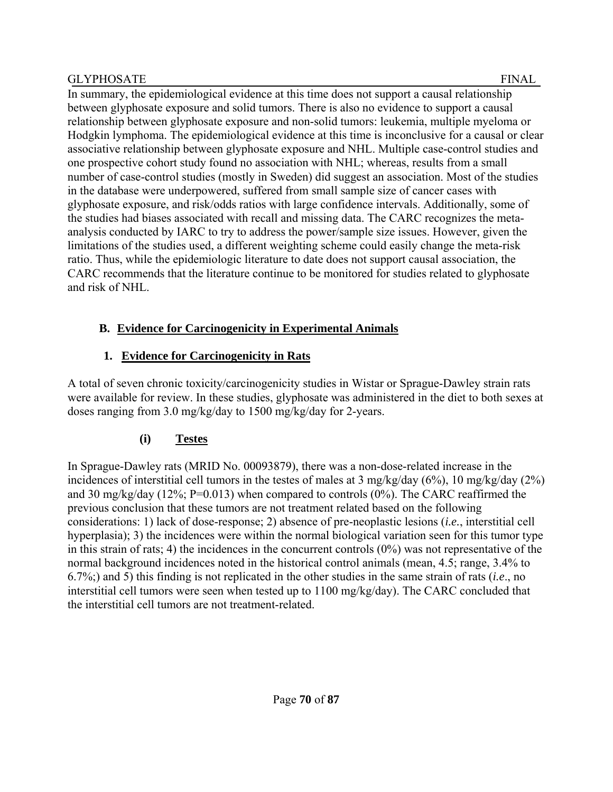In summary, the epidemiological evidence at this time does not support a causal relationship between glyphosate exposure and solid tumors. There is also no evidence to support a causal relationship between glyphosate exposure and non-solid tumors: leukemia, multiple myeloma or Hodgkin lymphoma. The epidemiological evidence at this time is inconclusive for a causal or clear associative relationship between glyphosate exposure and NHL. Multiple case-control studies and one prospective cohort study found no association with NHL; whereas, results from a small number of case-control studies (mostly in Sweden) did suggest an association. Most of the studies in the database were underpowered, suffered from small sample size of cancer cases with glyphosate exposure, and risk/odds ratios with large confidence intervals. Additionally, some of the studies had biases associated with recall and missing data. The CARC recognizes the metaanalysis conducted by IARC to try to address the power/sample size issues. However, given the limitations of the studies used, a different weighting scheme could easily change the meta-risk ratio. Thus, while the epidemiologic literature to date does not support causal association, the CARC recommends that the literature continue to be monitored for studies related to glyphosate and risk of NHL.

# **B. Evidence for Carcinogenicity in Experimental Animals**

# **1. Evidence for Carcinogenicity in Rats**

A total of seven chronic toxicity/carcinogenicity studies in Wistar or Sprague-Dawley strain rats were available for review. In these studies, glyphosate was administered in the diet to both sexes at doses ranging from 3.0 mg/kg/day to 1500 mg/kg/day for 2-years.

# **(i) Testes**

In Sprague-Dawley rats (MRID No. 00093879), there was a non-dose-related increase in the incidences of interstitial cell tumors in the testes of males at 3 mg/kg/day (6%), 10 mg/kg/day (2%) and 30 mg/kg/day (12%; P=0.013) when compared to controls (0%). The CARC reaffirmed the previous conclusion that these tumors are not treatment related based on the following considerations: 1) lack of dose-response; 2) absence of pre-neoplastic lesions (*i.e.*, interstitial cell hyperplasia); 3) the incidences were within the normal biological variation seen for this tumor type in this strain of rats; 4) the incidences in the concurrent controls (0%) was not representative of the normal background incidences noted in the historical control animals (mean, 4.5; range, 3.4% to 6.7%;) and 5) this finding is not replicated in the other studies in the same strain of rats (*i.e*., no interstitial cell tumors were seen when tested up to 1100 mg/kg/day). The CARC concluded that the interstitial cell tumors are not treatment-related.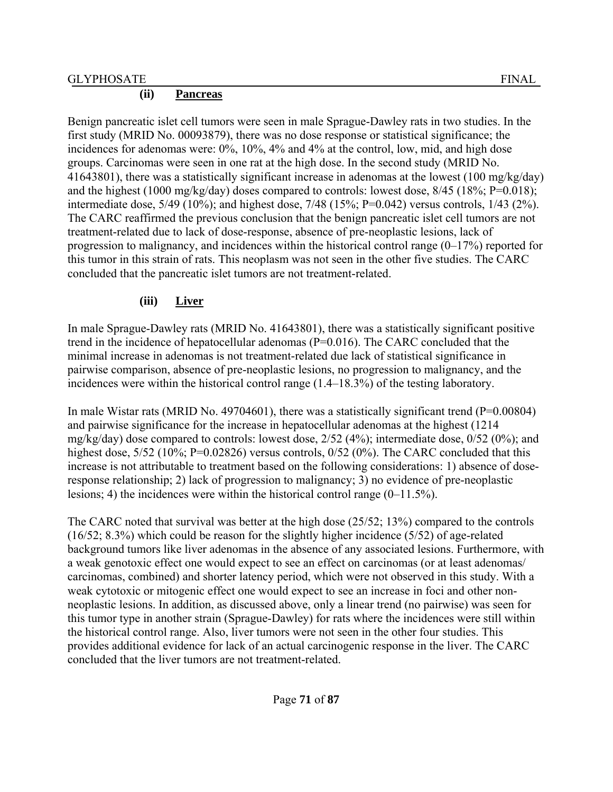#### **(ii) Pancreas**

Benign pancreatic islet cell tumors were seen in male Sprague-Dawley rats in two studies. In the first study (MRID No. 00093879), there was no dose response or statistical significance; the incidences for adenomas were: 0%, 10%, 4% and 4% at the control, low, mid, and high dose groups. Carcinomas were seen in one rat at the high dose. In the second study (MRID No. 41643801), there was a statistically significant increase in adenomas at the lowest (100 mg/kg/day) and the highest (1000 mg/kg/day) doses compared to controls: lowest dose, 8/45 (18%; P=0.018); intermediate dose, 5/49 (10%); and highest dose, 7/48 (15%; P=0.042) versus controls, 1/43 (2%). The CARC reaffirmed the previous conclusion that the benign pancreatic islet cell tumors are not treatment-related due to lack of dose-response, absence of pre-neoplastic lesions, lack of progression to malignancy, and incidences within the historical control range  $(0-17%)$  reported for this tumor in this strain of rats. This neoplasm was not seen in the other five studies. The CARC concluded that the pancreatic islet tumors are not treatment-related.

# **(iii) Liver**

In male Sprague-Dawley rats (MRID No. 41643801), there was a statistically significant positive trend in the incidence of hepatocellular adenomas  $(P=0.016)$ . The CARC concluded that the minimal increase in adenomas is not treatment-related due lack of statistical significance in pairwise comparison, absence of pre-neoplastic lesions, no progression to malignancy, and the incidences were within the historical control range (1.4–18.3%) of the testing laboratory.

In male Wistar rats (MRID No. 49704601), there was a statistically significant trend ( $P=0.00804$ ) and pairwise significance for the increase in hepatocellular adenomas at the highest (1214 mg/kg/day) dose compared to controls: lowest dose, 2/52 (4%); intermediate dose, 0/52 (0%); and highest dose, 5/52 (10%; P=0.02826) versus controls, 0/52 (0%). The CARC concluded that this increase is not attributable to treatment based on the following considerations: 1) absence of doseresponse relationship; 2) lack of progression to malignancy; 3) no evidence of pre-neoplastic lesions; 4) the incidences were within the historical control range (0–11.5%).

The CARC noted that survival was better at the high dose (25/52; 13%) compared to the controls (16/52; 8.3%) which could be reason for the slightly higher incidence (5/52) of age-related background tumors like liver adenomas in the absence of any associated lesions. Furthermore, with a weak genotoxic effect one would expect to see an effect on carcinomas (or at least adenomas/ carcinomas, combined) and shorter latency period, which were not observed in this study. With a weak cytotoxic or mitogenic effect one would expect to see an increase in foci and other nonneoplastic lesions. In addition, as discussed above, only a linear trend (no pairwise) was seen for this tumor type in another strain (Sprague-Dawley) for rats where the incidences were still within the historical control range. Also, liver tumors were not seen in the other four studies. This provides additional evidence for lack of an actual carcinogenic response in the liver. The CARC concluded that the liver tumors are not treatment-related.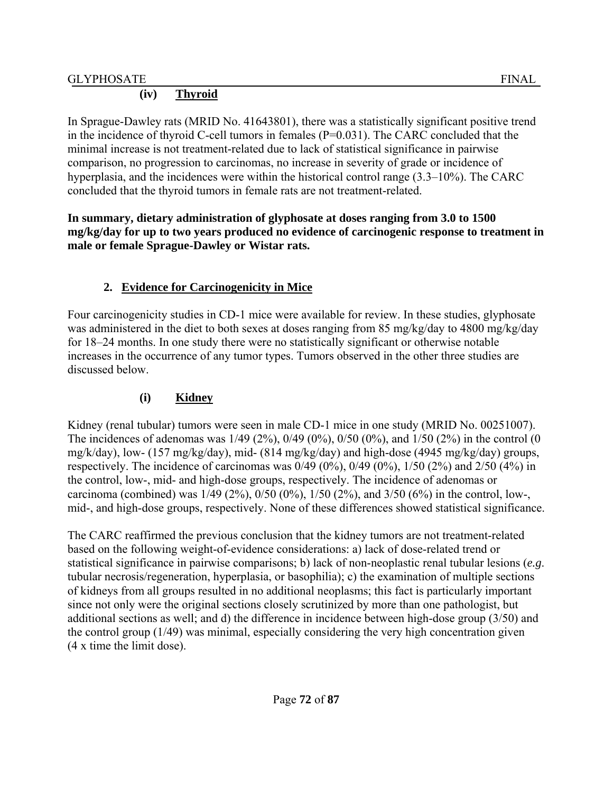## **(iv) Thyroid**

In Sprague-Dawley rats (MRID No. 41643801), there was a statistically significant positive trend in the incidence of thyroid C-cell tumors in females  $(P=0.031)$ . The CARC concluded that the minimal increase is not treatment-related due to lack of statistical significance in pairwise comparison, no progression to carcinomas, no increase in severity of grade or incidence of hyperplasia, and the incidences were within the historical control range (3.3–10%). The CARC concluded that the thyroid tumors in female rats are not treatment-related.

### **In summary, dietary administration of glyphosate at doses ranging from 3.0 to 1500 mg/kg/day for up to two years produced no evidence of carcinogenic response to treatment in male or female Sprague-Dawley or Wistar rats.**

# **2. Evidence for Carcinogenicity in Mice**

Four carcinogenicity studies in CD-1 mice were available for review. In these studies, glyphosate was administered in the diet to both sexes at doses ranging from 85 mg/kg/day to 4800 mg/kg/day for 18–24 months. In one study there were no statistically significant or otherwise notable increases in the occurrence of any tumor types. Tumors observed in the other three studies are discussed below.

# **(i) Kidney**

Kidney (renal tubular) tumors were seen in male CD-1 mice in one study (MRID No. 00251007). The incidences of adenomas was  $1/49$  ( $2\%$ ),  $0/49$  ( $0\%$ ),  $0/50$  ( $0\%$ ), and  $1/50$  ( $2\%$ ) in the control (0 mg/k/day), low- (157 mg/kg/day), mid- (814 mg/kg/day) and high-dose (4945 mg/kg/day) groups, respectively. The incidence of carcinomas was  $0/49 (0\%)$ ,  $0/49 (0\%)$ ,  $1/50 (2\%)$  and  $2/50 (4\%)$  in the control, low-, mid- and high-dose groups, respectively. The incidence of adenomas or carcinoma (combined) was 1/49 (2%), 0/50 (0%), 1/50 (2%), and 3/50 (6%) in the control, low-, mid-, and high-dose groups, respectively. None of these differences showed statistical significance.

The CARC reaffirmed the previous conclusion that the kidney tumors are not treatment-related based on the following weight-of-evidence considerations: a) lack of dose-related trend or statistical significance in pairwise comparisons; b) lack of non-neoplastic renal tubular lesions (*e.g*. tubular necrosis/regeneration, hyperplasia, or basophilia); c) the examination of multiple sections of kidneys from all groups resulted in no additional neoplasms; this fact is particularly important since not only were the original sections closely scrutinized by more than one pathologist, but additional sections as well; and d) the difference in incidence between high-dose group (3/50) and the control group (1/49) was minimal, especially considering the very high concentration given (4 x time the limit dose).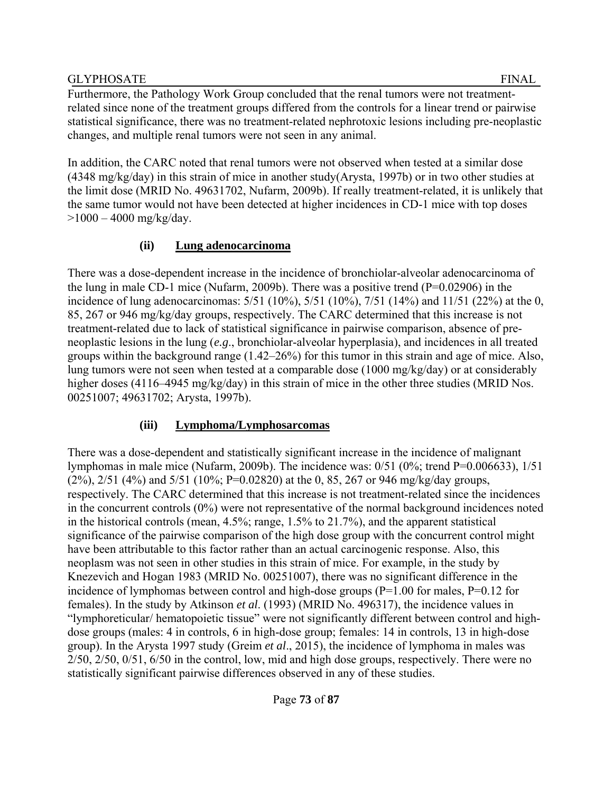Furthermore, the Pathology Work Group concluded that the renal tumors were not treatmentrelated since none of the treatment groups differed from the controls for a linear trend or pairwise statistical significance, there was no treatment-related nephrotoxic lesions including pre-neoplastic changes, and multiple renal tumors were not seen in any animal.

In addition, the CARC noted that renal tumors were not observed when tested at a similar dose (4348 mg/kg/day) in this strain of mice in another study(Arysta, 1997b) or in two other studies at the limit dose (MRID No. 49631702, Nufarm, 2009b). If really treatment-related, it is unlikely that the same tumor would not have been detected at higher incidences in CD-1 mice with top doses  $>1000 - 4000$  mg/kg/day.

### **(ii) Lung adenocarcinoma**

There was a dose-dependent increase in the incidence of bronchiolar-alveolar adenocarcinoma of the lung in male CD-1 mice (Nufarm, 2009b). There was a positive trend (P=0.02906) in the incidence of lung adenocarcinomas: 5/51 (10%), 5/51 (10%), 7/51 (14%) and 11/51 (22%) at the 0, 85, 267 or 946 mg/kg/day groups, respectively. The CARC determined that this increase is not treatment-related due to lack of statistical significance in pairwise comparison, absence of preneoplastic lesions in the lung (*e.g*., bronchiolar-alveolar hyperplasia), and incidences in all treated groups within the background range (1.42–26%) for this tumor in this strain and age of mice. Also, lung tumors were not seen when tested at a comparable dose (1000 mg/kg/day) or at considerably higher doses (4116–4945 mg/kg/day) in this strain of mice in the other three studies (MRID Nos. 00251007; 49631702; Arysta, 1997b).

# **(iii) Lymphoma/Lymphosarcomas**

There was a dose-dependent and statistically significant increase in the incidence of malignant lymphomas in male mice (Nufarm, 2009b). The incidence was: 0/51 (0%; trend P=0.006633), 1/51 (2%), 2/51 (4%) and 5/51 (10%; P=0.02820) at the 0, 85, 267 or 946 mg/kg/day groups, respectively. The CARC determined that this increase is not treatment-related since the incidences in the concurrent controls (0%) were not representative of the normal background incidences noted in the historical controls (mean, 4.5%; range, 1.5% to 21.7%), and the apparent statistical significance of the pairwise comparison of the high dose group with the concurrent control might have been attributable to this factor rather than an actual carcinogenic response. Also, this neoplasm was not seen in other studies in this strain of mice. For example, in the study by Knezevich and Hogan 1983 (MRID No. 00251007), there was no significant difference in the incidence of lymphomas between control and high-dose groups (P=1.00 for males, P=0.12 for females). In the study by Atkinson *et al*. (1993) (MRID No. 496317), the incidence values in "lymphoreticular/ hematopoietic tissue" were not significantly different between control and highdose groups (males: 4 in controls, 6 in high-dose group; females: 14 in controls, 13 in high-dose group). In the Arysta 1997 study (Greim *et al*., 2015), the incidence of lymphoma in males was 2/50, 2/50, 0/51, 6/50 in the control, low, mid and high dose groups, respectively. There were no statistically significant pairwise differences observed in any of these studies.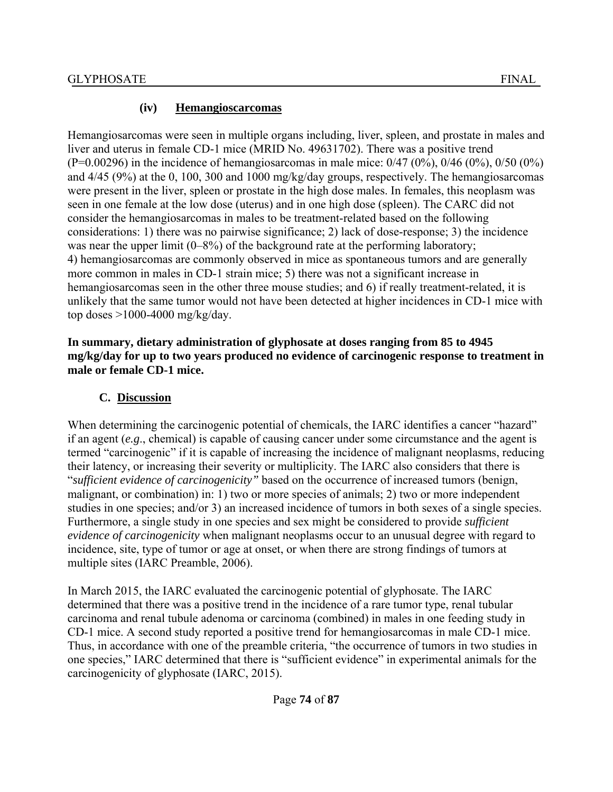#### **(iv) Hemangioscarcomas**

Hemangiosarcomas were seen in multiple organs including, liver, spleen, and prostate in males and liver and uterus in female CD-1 mice (MRID No. 49631702). There was a positive trend  $(P=0.00296)$  in the incidence of hemangiosarcomas in male mice:  $0/47$   $(0\%)$ ,  $0/46$   $(0\%)$ ,  $0/50$   $(0\%)$ and 4/45 (9%) at the 0, 100, 300 and 1000 mg/kg/day groups, respectively. The hemangiosarcomas were present in the liver, spleen or prostate in the high dose males. In females, this neoplasm was seen in one female at the low dose (uterus) and in one high dose (spleen). The CARC did not consider the hemangiosarcomas in males to be treatment-related based on the following considerations: 1) there was no pairwise significance; 2) lack of dose-response; 3) the incidence was near the upper limit (0–8%) of the background rate at the performing laboratory; 4) hemangiosarcomas are commonly observed in mice as spontaneous tumors and are generally more common in males in CD-1 strain mice; 5) there was not a significant increase in hemangiosarcomas seen in the other three mouse studies; and 6) if really treatment-related, it is unlikely that the same tumor would not have been detected at higher incidences in CD-1 mice with top doses  $>1000-4000$  mg/kg/day.

#### **In summary, dietary administration of glyphosate at doses ranging from 85 to 4945 mg/kg/day for up to two years produced no evidence of carcinogenic response to treatment in male or female CD-1 mice.**

#### **C. Discussion**

When determining the carcinogenic potential of chemicals, the IARC identifies a cancer "hazard" if an agent (*e.g*., chemical) is capable of causing cancer under some circumstance and the agent is termed "carcinogenic" if it is capable of increasing the incidence of malignant neoplasms, reducing their latency, or increasing their severity or multiplicity. The IARC also considers that there is "*sufficient evidence of carcinogenicity"* based on the occurrence of increased tumors (benign, malignant, or combination) in: 1) two or more species of animals; 2) two or more independent studies in one species; and/or 3) an increased incidence of tumors in both sexes of a single species. Furthermore, a single study in one species and sex might be considered to provide *sufficient evidence of carcinogenicity* when malignant neoplasms occur to an unusual degree with regard to incidence, site, type of tumor or age at onset, or when there are strong findings of tumors at multiple sites (IARC Preamble, 2006).

In March 2015, the IARC evaluated the carcinogenic potential of glyphosate. The IARC determined that there was a positive trend in the incidence of a rare tumor type, renal tubular carcinoma and renal tubule adenoma or carcinoma (combined) in males in one feeding study in CD-1 mice. A second study reported a positive trend for hemangiosarcomas in male CD-1 mice. Thus, in accordance with one of the preamble criteria, "the occurrence of tumors in two studies in one species," IARC determined that there is "sufficient evidence" in experimental animals for the carcinogenicity of glyphosate (IARC, 2015).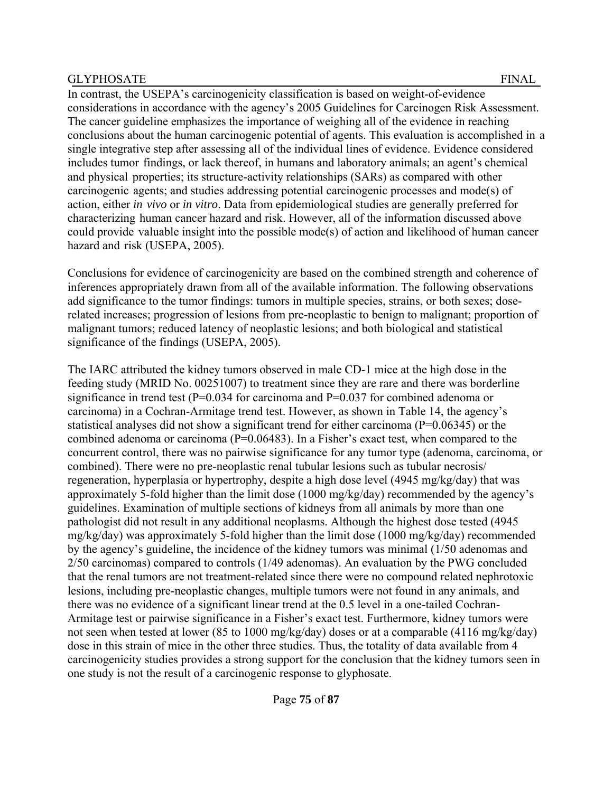In contrast, the USEPA's carcinogenicity classification is based on weight-of-evidence considerations in accordance with the agency's 2005 Guidelines for Carcinogen Risk Assessment. The cancer guideline emphasizes the importance of weighing all of the evidence in reaching conclusions about the human carcinogenic potential of agents. This evaluation is accomplished in a single integrative step after assessing all of the individual lines of evidence. Evidence considered includes tumor findings, or lack thereof, in humans and laboratory animals; an agent's chemical and physical properties; its structure-activity relationships (SARs) as compared with other carcinogenic agents; and studies addressing potential carcinogenic processes and mode(s) of action, either *in vivo* or *in vitro*. Data from epidemiological studies are generally preferred for characterizing human cancer hazard and risk. However, all of the information discussed above could provide valuable insight into the possible mode(s) of action and likelihood of human cancer hazard and risk (USEPA, 2005).

Conclusions for evidence of carcinogenicity are based on the combined strength and coherence of inferences appropriately drawn from all of the available information. The following observations add significance to the tumor findings: tumors in multiple species, strains, or both sexes; doserelated increases; progression of lesions from pre-neoplastic to benign to malignant; proportion of malignant tumors; reduced latency of neoplastic lesions; and both biological and statistical significance of the findings (USEPA, 2005).

The IARC attributed the kidney tumors observed in male CD-1 mice at the high dose in the feeding study (MRID No. 00251007) to treatment since they are rare and there was borderline significance in trend test (P=0.034 for carcinoma and P=0.037 for combined adenoma or carcinoma) in a Cochran-Armitage trend test. However, as shown in Table 14, the agency's statistical analyses did not show a significant trend for either carcinoma (P=0.06345) or the combined adenoma or carcinoma (P=0.06483). In a Fisher's exact test, when compared to the concurrent control, there was no pairwise significance for any tumor type (adenoma, carcinoma, or combined). There were no pre-neoplastic renal tubular lesions such as tubular necrosis/ regeneration, hyperplasia or hypertrophy, despite a high dose level (4945 mg/kg/day) that was approximately 5-fold higher than the limit dose (1000 mg/kg/day) recommended by the agency's guidelines. Examination of multiple sections of kidneys from all animals by more than one pathologist did not result in any additional neoplasms. Although the highest dose tested (4945 mg/kg/day) was approximately 5-fold higher than the limit dose (1000 mg/kg/day) recommended by the agency's guideline, the incidence of the kidney tumors was minimal (1/50 adenomas and 2/50 carcinomas) compared to controls (1/49 adenomas). An evaluation by the PWG concluded that the renal tumors are not treatment-related since there were no compound related nephrotoxic lesions, including pre-neoplastic changes, multiple tumors were not found in any animals, and there was no evidence of a significant linear trend at the 0.5 level in a one-tailed Cochran-Armitage test or pairwise significance in a Fisher's exact test. Furthermore, kidney tumors were not seen when tested at lower (85 to 1000 mg/kg/day) doses or at a comparable (4116 mg/kg/day) dose in this strain of mice in the other three studies. Thus, the totality of data available from 4 carcinogenicity studies provides a strong support for the conclusion that the kidney tumors seen in one study is not the result of a carcinogenic response to glyphosate.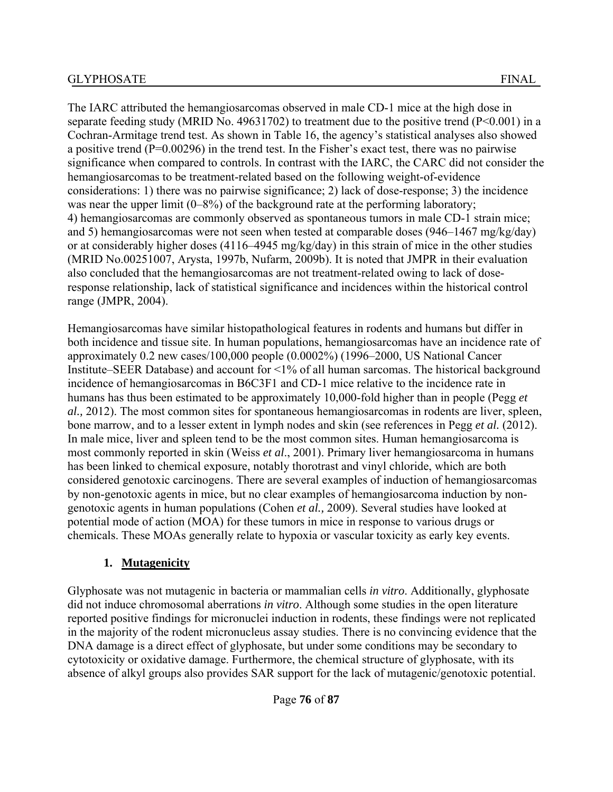The IARC attributed the hemangiosarcomas observed in male CD-1 mice at the high dose in separate feeding study (MRID No. 49631702) to treatment due to the positive trend (P<0.001) in a Cochran-Armitage trend test. As shown in Table 16, the agency's statistical analyses also showed a positive trend (P=0.00296) in the trend test. In the Fisher's exact test, there was no pairwise significance when compared to controls. In contrast with the IARC, the CARC did not consider the hemangiosarcomas to be treatment-related based on the following weight-of-evidence considerations: 1) there was no pairwise significance; 2) lack of dose-response; 3) the incidence was near the upper limit (0–8%) of the background rate at the performing laboratory; 4) hemangiosarcomas are commonly observed as spontaneous tumors in male CD-1 strain mice; and 5) hemangiosarcomas were not seen when tested at comparable doses (946–1467 mg/kg/day) or at considerably higher doses (4116–4945 mg/kg/day) in this strain of mice in the other studies (MRID No.00251007, Arysta, 1997b, Nufarm, 2009b). It is noted that JMPR in their evaluation also concluded that the hemangiosarcomas are not treatment-related owing to lack of doseresponse relationship, lack of statistical significance and incidences within the historical control range (JMPR, 2004).

Hemangiosarcomas have similar histopathological features in rodents and humans but differ in both incidence and tissue site. In human populations, hemangiosarcomas have an incidence rate of approximately 0.2 new cases/100,000 people (0.0002%) (1996–2000, US National Cancer Institute–SEER Database) and account for <1% of all human sarcomas. The historical background incidence of hemangiosarcomas in B6C3F1 and CD-1 mice relative to the incidence rate in humans has thus been estimated to be approximately 10,000-fold higher than in people (Pegg *et al.,* 2012). The most common sites for spontaneous hemangiosarcomas in rodents are liver, spleen, bone marrow, and to a lesser extent in lymph nodes and skin (see references in Pegg *et al.* (2012). In male mice, liver and spleen tend to be the most common sites. Human hemangiosarcoma is most commonly reported in skin (Weiss *et al*., 2001). Primary liver hemangiosarcoma in humans has been linked to chemical exposure, notably thorotrast and vinyl chloride, which are both considered genotoxic carcinogens. There are several examples of induction of hemangiosarcomas by non-genotoxic agents in mice, but no clear examples of hemangiosarcoma induction by nongenotoxic agents in human populations (Cohen *et al.,* 2009). Several studies have looked at potential mode of action (MOA) for these tumors in mice in response to various drugs or chemicals. These MOAs generally relate to hypoxia or vascular toxicity as early key events.

### **1. Mutagenicity**

Glyphosate was not mutagenic in bacteria or mammalian cells *in vitro*. Additionally, glyphosate did not induce chromosomal aberrations *in vitro*. Although some studies in the open literature reported positive findings for micronuclei induction in rodents, these findings were not replicated in the majority of the rodent micronucleus assay studies. There is no convincing evidence that the DNA damage is a direct effect of glyphosate, but under some conditions may be secondary to cytotoxicity or oxidative damage. Furthermore, the chemical structure of glyphosate, with its absence of alkyl groups also provides SAR support for the lack of mutagenic/genotoxic potential.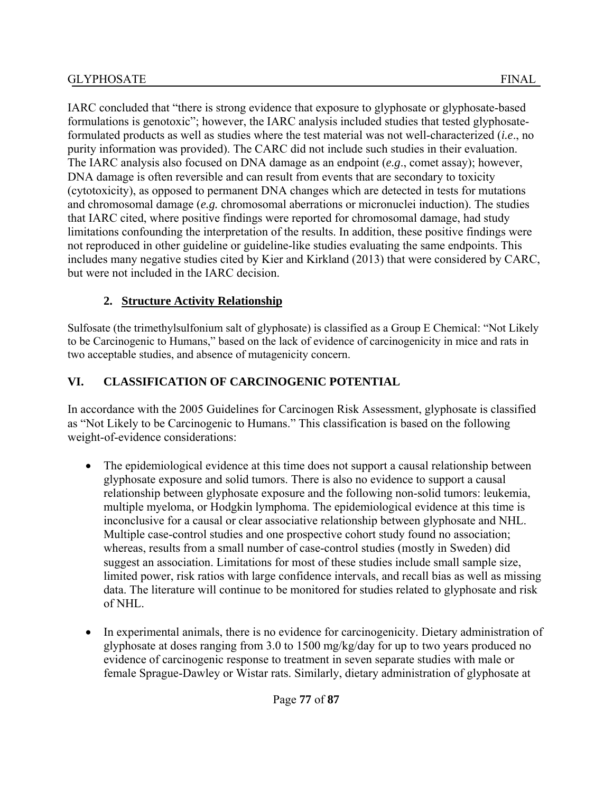IARC concluded that "there is strong evidence that exposure to glyphosate or glyphosate-based formulations is genotoxic"; however, the IARC analysis included studies that tested glyphosateformulated products as well as studies where the test material was not well-characterized (*i.e*., no purity information was provided). The CARC did not include such studies in their evaluation. The IARC analysis also focused on DNA damage as an endpoint (*e.g*., comet assay); however, DNA damage is often reversible and can result from events that are secondary to toxicity (cytotoxicity), as opposed to permanent DNA changes which are detected in tests for mutations and chromosomal damage (*e.g.* chromosomal aberrations or micronuclei induction). The studies that IARC cited, where positive findings were reported for chromosomal damage, had study limitations confounding the interpretation of the results. In addition, these positive findings were not reproduced in other guideline or guideline-like studies evaluating the same endpoints. This includes many negative studies cited by Kier and Kirkland (2013) that were considered by CARC, but were not included in the IARC decision.

# **2. Structure Activity Relationship**

Sulfosate (the trimethylsulfonium salt of glyphosate) is classified as a Group E Chemical: "Not Likely to be Carcinogenic to Humans," based on the lack of evidence of carcinogenicity in mice and rats in two acceptable studies, and absence of mutagenicity concern.

# **VI. CLASSIFICATION OF CARCINOGENIC POTENTIAL**

In accordance with the 2005 Guidelines for Carcinogen Risk Assessment, glyphosate is classified as "Not Likely to be Carcinogenic to Humans." This classification is based on the following weight-of-evidence considerations:

- The epidemiological evidence at this time does not support a causal relationship between glyphosate exposure and solid tumors. There is also no evidence to support a causal relationship between glyphosate exposure and the following non-solid tumors: leukemia, multiple myeloma, or Hodgkin lymphoma. The epidemiological evidence at this time is inconclusive for a causal or clear associative relationship between glyphosate and NHL. Multiple case-control studies and one prospective cohort study found no association; whereas, results from a small number of case-control studies (mostly in Sweden) did suggest an association. Limitations for most of these studies include small sample size, limited power, risk ratios with large confidence intervals, and recall bias as well as missing data. The literature will continue to be monitored for studies related to glyphosate and risk of NHL.
- In experimental animals, there is no evidence for carcinogenicity. Dietary administration of glyphosate at doses ranging from 3.0 to 1500 mg/kg/day for up to two years produced no evidence of carcinogenic response to treatment in seven separate studies with male or female Sprague-Dawley or Wistar rats. Similarly, dietary administration of glyphosate at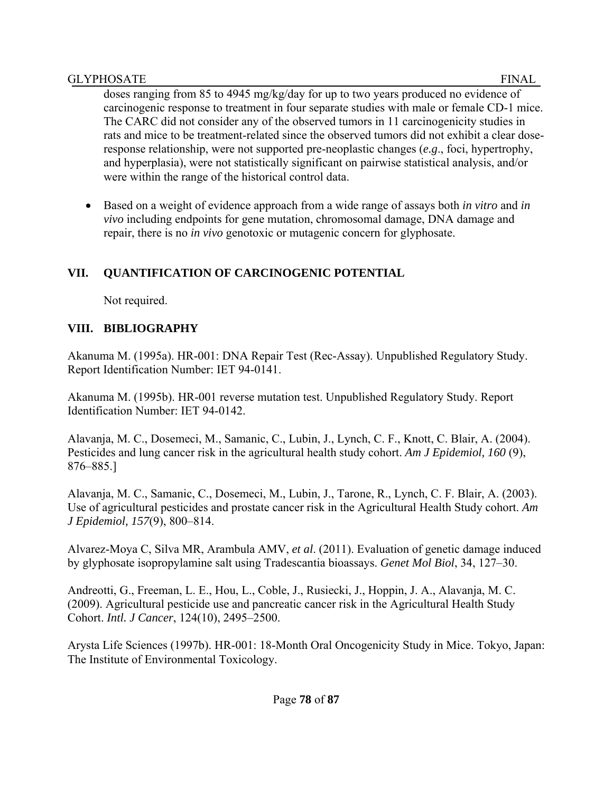doses ranging from 85 to 4945 mg/kg/day for up to two years produced no evidence of carcinogenic response to treatment in four separate studies with male or female CD-1 mice. The CARC did not consider any of the observed tumors in 11 carcinogenicity studies in rats and mice to be treatment-related since the observed tumors did not exhibit a clear doseresponse relationship, were not supported pre-neoplastic changes (*e.g*., foci, hypertrophy, and hyperplasia), were not statistically significant on pairwise statistical analysis, and/or were within the range of the historical control data.

 Based on a weight of evidence approach from a wide range of assays both *in vitro* and *in vivo* including endpoints for gene mutation, chromosomal damage, DNA damage and repair, there is no *in vivo* genotoxic or mutagenic concern for glyphosate.

### **VII. QUANTIFICATION OF CARCINOGENIC POTENTIAL**

Not required.

### **VIII. BIBLIOGRAPHY**

Akanuma M. (1995a). HR-001: DNA Repair Test (Rec-Assay). Unpublished Regulatory Study. Report Identification Number: IET 94-0141.

Akanuma M. (1995b). HR-001 reverse mutation test. Unpublished Regulatory Study. Report Identification Number: IET 94-0142.

Alavanja, M. C., Dosemeci, M., Samanic, C., Lubin, J., Lynch, C. F., Knott, C. Blair, A. (2004). Pesticides and lung cancer risk in the agricultural health study cohort. *Am J Epidemiol, 160* (9), 876–885.]

Alavanja, M. C., Samanic, C., Dosemeci, M., Lubin, J., Tarone, R., Lynch, C. F. Blair, A. (2003). Use of agricultural pesticides and prostate cancer risk in the Agricultural Health Study cohort. *Am J Epidemiol, 157*(9), 800–814.

Alvarez-Moya C, Silva MR, Arambula AMV, *et al*. (2011). Evaluation of genetic damage induced by glyphosate isopropylamine salt using Tradescantia bioassays. *Genet Mol Biol*, 34, 127–30.

Andreotti, G., Freeman, L. E., Hou, L., Coble, J., Rusiecki, J., Hoppin, J. A., Alavanja, M. C. (2009). Agricultural pesticide use and pancreatic cancer risk in the Agricultural Health Study Cohort. *Intl. J Cancer*, 124(10), 2495–2500.

Arysta Life Sciences (1997b). HR-001: 18-Month Oral Oncogenicity Study in Mice. Tokyo, Japan: The Institute of Environmental Toxicology.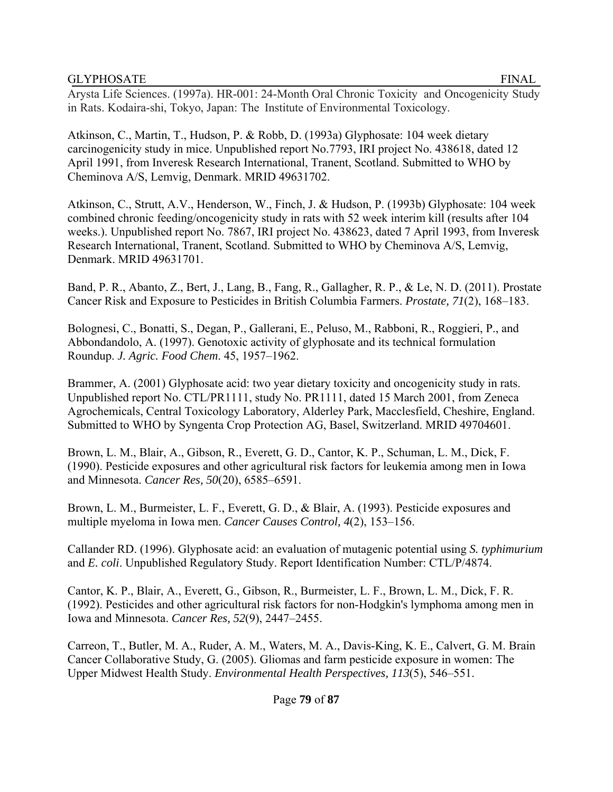Arysta Life Sciences. (1997a). HR-001: 24-Month Oral Chronic Toxicity and Oncogenicity Study in Rats. Kodaira-shi, Tokyo, Japan: The Institute of Environmental Toxicology.

Atkinson, C., Martin, T., Hudson, P. & Robb, D. (1993a) Glyphosate: 104 week dietary carcinogenicity study in mice. Unpublished report No.7793, IRI project No. 438618, dated 12 April 1991, from Inveresk Research International, Tranent, Scotland. Submitted to WHO by Cheminova A/S, Lemvig, Denmark. MRID 49631702.

Atkinson, C., Strutt, A.V., Henderson, W., Finch, J. & Hudson, P. (1993b) Glyphosate: 104 week combined chronic feeding/oncogenicity study in rats with 52 week interim kill (results after 104 weeks.). Unpublished report No. 7867, IRI project No. 438623, dated 7 April 1993, from Inveresk Research International, Tranent, Scotland. Submitted to WHO by Cheminova A/S, Lemvig, Denmark. MRID 49631701.

Band, P. R., Abanto, Z., Bert, J., Lang, B., Fang, R., Gallagher, R. P., & Le, N. D. (2011). Prostate Cancer Risk and Exposure to Pesticides in British Columbia Farmers. *Prostate, 71*(2), 168–183.

Bolognesi, C., Bonatti, S., Degan, P., Gallerani, E., Peluso, M., Rabboni, R., Roggieri, P., and Abbondandolo, A. (1997). Genotoxic activity of glyphosate and its technical formulation Roundup. *J. Agric. Food Chem*. 45, 1957–1962.

Brammer, A. (2001) Glyphosate acid: two year dietary toxicity and oncogenicity study in rats. Unpublished report No. CTL/PR1111, study No. PR1111, dated 15 March 2001, from Zeneca Agrochemicals, Central Toxicology Laboratory, Alderley Park, Macclesfield, Cheshire, England. Submitted to WHO by Syngenta Crop Protection AG, Basel, Switzerland. MRID 49704601.

Brown, L. M., Blair, A., Gibson, R., Everett, G. D., Cantor, K. P., Schuman, L. M., Dick, F. (1990). Pesticide exposures and other agricultural risk factors for leukemia among men in Iowa and Minnesota. *Cancer Res, 50*(20), 6585–6591.

Brown, L. M., Burmeister, L. F., Everett, G. D., & Blair, A. (1993). Pesticide exposures and multiple myeloma in Iowa men. *Cancer Causes Control, 4*(2), 153–156.

Callander RD. (1996). Glyphosate acid: an evaluation of mutagenic potential using *S. typhimurium*  and *E. coli*. Unpublished Regulatory Study. Report Identification Number: CTL/P/4874.

Cantor, K. P., Blair, A., Everett, G., Gibson, R., Burmeister, L. F., Brown, L. M., Dick, F. R. (1992). Pesticides and other agricultural risk factors for non-Hodgkin's lymphoma among men in Iowa and Minnesota. *Cancer Res, 52*(9), 2447–2455.

Carreon, T., Butler, M. A., Ruder, A. M., Waters, M. A., Davis-King, K. E., Calvert, G. M. Brain Cancer Collaborative Study, G. (2005). Gliomas and farm pesticide exposure in women: The Upper Midwest Health Study. *Environmental Health Perspectives, 113*(5), 546–551.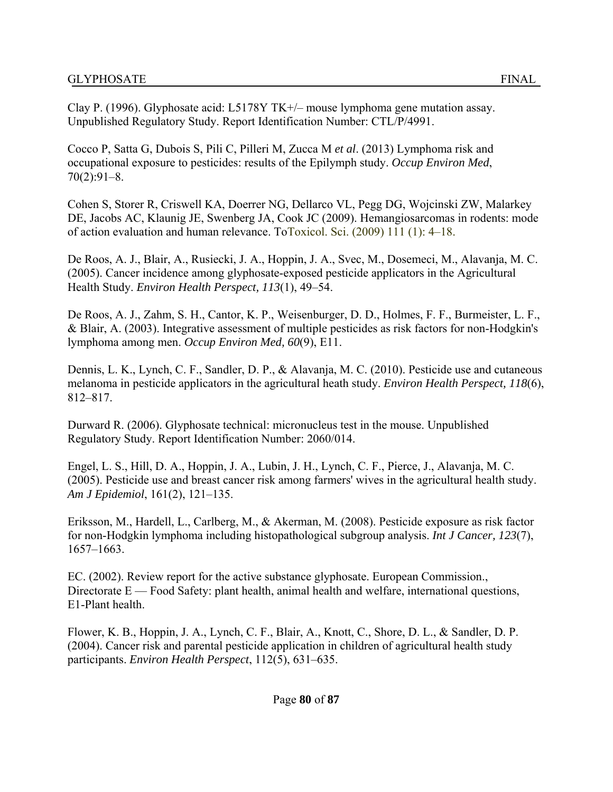Clay P. (1996). Glyphosate acid: L5178Y TK+/– mouse lymphoma gene mutation assay. Unpublished Regulatory Study. Report Identification Number: CTL/P/4991.

Cocco P, Satta G, Dubois S, Pili C, Pilleri M, Zucca M *et al*. (2013) Lymphoma risk and occupational exposure to pesticides: results of the Epilymph study. *Occup Environ Med*,  $70(2):91-8.$ 

Cohen S, Storer R, Criswell KA, Doerrer NG, Dellarco VL, Pegg DG, Wojcinski ZW, Malarkey DE, Jacobs AC, Klaunig JE, Swenberg JA, Cook JC (2009). Hemangiosarcomas in rodents: mode of action evaluation and human relevance. ToToxicol. Sci. (2009) 111 (1): 4–18.

De Roos, A. J., Blair, A., Rusiecki, J. A., Hoppin, J. A., Svec, M., Dosemeci, M., Alavanja, M. C. (2005). Cancer incidence among glyphosate-exposed pesticide applicators in the Agricultural Health Study. *Environ Health Perspect, 113*(1), 49–54.

De Roos, A. J., Zahm, S. H., Cantor, K. P., Weisenburger, D. D., Holmes, F. F., Burmeister, L. F., & Blair, A. (2003). Integrative assessment of multiple pesticides as risk factors for non-Hodgkin's lymphoma among men. *Occup Environ Med, 60*(9), E11.

Dennis, L. K., Lynch, C. F., Sandler, D. P., & Alavanja, M. C. (2010). Pesticide use and cutaneous melanoma in pesticide applicators in the agricultural heath study. *Environ Health Perspect, 118*(6), 812–817.

Durward R. (2006). Glyphosate technical: micronucleus test in the mouse. Unpublished Regulatory Study. Report Identification Number: 2060/014.

Engel, L. S., Hill, D. A., Hoppin, J. A., Lubin, J. H., Lynch, C. F., Pierce, J., Alavanja, M. C. (2005). Pesticide use and breast cancer risk among farmers' wives in the agricultural health study. *Am J Epidemiol*, 161(2), 121–135.

Eriksson, M., Hardell, L., Carlberg, M., & Akerman, M. (2008). Pesticide exposure as risk factor for non-Hodgkin lymphoma including histopathological subgroup analysis. *Int J Cancer, 123*(7), 1657–1663.

EC. (2002). Review report for the active substance glyphosate. European Commission., Directorate  $E$  — Food Safety: plant health, animal health and welfare, international questions, E1-Plant health.

Flower, K. B., Hoppin, J. A., Lynch, C. F., Blair, A., Knott, C., Shore, D. L., & Sandler, D. P. (2004). Cancer risk and parental pesticide application in children of agricultural health study participants. *Environ Health Perspect*, 112(5), 631–635.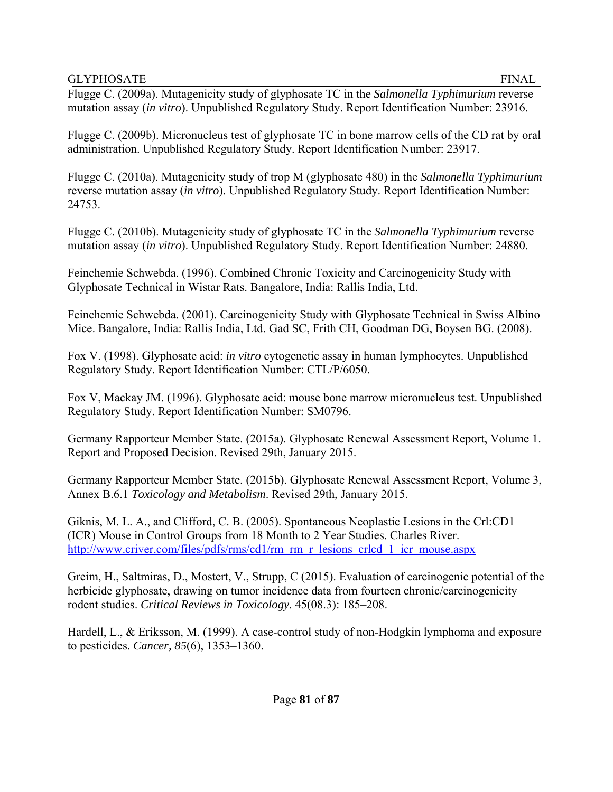Flugge C. (2009a). Mutagenicity study of glyphosate TC in the *Salmonella Typhimurium* reverse mutation assay (*in vitro*). Unpublished Regulatory Study. Report Identification Number: 23916.

Flugge C. (2009b). Micronucleus test of glyphosate TC in bone marrow cells of the CD rat by oral administration. Unpublished Regulatory Study. Report Identification Number: 23917.

Flugge C. (2010a). Mutagenicity study of trop M (glyphosate 480) in the *Salmonella Typhimurium*  reverse mutation assay (*in vitro*). Unpublished Regulatory Study. Report Identification Number: 24753.

Flugge C. (2010b). Mutagenicity study of glyphosate TC in the *Salmonella Typhimurium* reverse mutation assay (*in vitro*). Unpublished Regulatory Study. Report Identification Number: 24880.

Feinchemie Schwebda. (1996). Combined Chronic Toxicity and Carcinogenicity Study with Glyphosate Technical in Wistar Rats. Bangalore, India: Rallis India, Ltd.

Feinchemie Schwebda. (2001). Carcinogenicity Study with Glyphosate Technical in Swiss Albino Mice. Bangalore, India: Rallis India, Ltd. Gad SC, Frith CH, Goodman DG, Boysen BG. (2008).

Fox V. (1998). Glyphosate acid: *in vitro* cytogenetic assay in human lymphocytes. Unpublished Regulatory Study. Report Identification Number: CTL/P/6050.

Fox V, Mackay JM. (1996). Glyphosate acid: mouse bone marrow micronucleus test. Unpublished Regulatory Study. Report Identification Number: SM0796.

Germany Rapporteur Member State. (2015a). Glyphosate Renewal Assessment Report, Volume 1. Report and Proposed Decision. Revised 29th, January 2015.

Germany Rapporteur Member State. (2015b). Glyphosate Renewal Assessment Report, Volume 3, Annex B.6.1 *Toxicology and Metabolism*. Revised 29th, January 2015.

Giknis, M. L. A., and Clifford, C. B. (2005). Spontaneous Neoplastic Lesions in the Crl:CD1 (ICR) Mouse in Control Groups from 18 Month to 2 Year Studies. Charles River. http://www.criver.com/files/pdfs/rms/cd1/rm\_rm\_r\_lesions\_crlcd\_1\_icr\_mouse.aspx

Greim, H., Saltmiras, D., Mostert, V., Strupp, C (2015). Evaluation of carcinogenic potential of the herbicide glyphosate, drawing on tumor incidence data from fourteen chronic/carcinogenicity rodent studies. *Critical Reviews in Toxicology*. 45(08.3): 185–208.

Hardell, L., & Eriksson, M. (1999). A case-control study of non-Hodgkin lymphoma and exposure to pesticides. *Cancer, 85*(6), 1353–1360.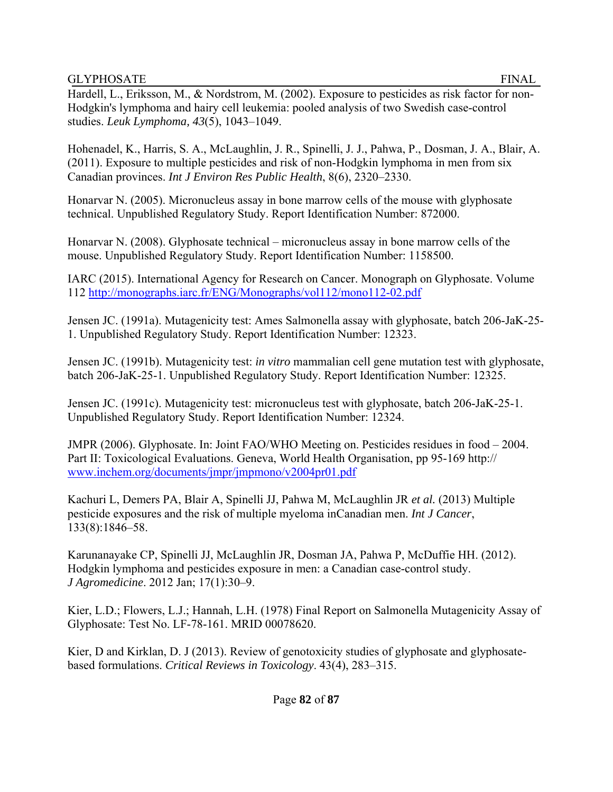Hardell, L., Eriksson, M., & Nordstrom, M. (2002). Exposure to pesticides as risk factor for non-Hodgkin's lymphoma and hairy cell leukemia: pooled analysis of two Swedish case-control studies. *Leuk Lymphoma, 43*(5), 1043–1049.

Hohenadel, K., Harris, S. A., McLaughlin, J. R., Spinelli, J. J., Pahwa, P., Dosman, J. A., Blair, A. (2011). Exposure to multiple pesticides and risk of non-Hodgkin lymphoma in men from six Canadian provinces. *Int J Environ Res Public Health*, 8(6), 2320–2330.

Honarvar N. (2005). Micronucleus assay in bone marrow cells of the mouse with glyphosate technical. Unpublished Regulatory Study. Report Identification Number: 872000.

Honarvar N. (2008). Glyphosate technical – micronucleus assay in bone marrow cells of the mouse. Unpublished Regulatory Study. Report Identification Number: 1158500.

IARC (2015). International Agency for Research on Cancer. Monograph on Glyphosate. Volume 112 http://monographs.iarc.fr/ENG/Monographs/vol112/mono112-02.pdf

Jensen JC. (1991a). Mutagenicity test: Ames Salmonella assay with glyphosate, batch 206-JaK-25- 1. Unpublished Regulatory Study. Report Identification Number: 12323.

Jensen JC. (1991b). Mutagenicity test: *in vitro* mammalian cell gene mutation test with glyphosate, batch 206-JaK-25-1. Unpublished Regulatory Study. Report Identification Number: 12325.

Jensen JC. (1991c). Mutagenicity test: micronucleus test with glyphosate, batch 206-JaK-25-1. Unpublished Regulatory Study. Report Identification Number: 12324.

JMPR (2006). Glyphosate. In: Joint FAO/WHO Meeting on. Pesticides residues in food – 2004. Part II: Toxicological Evaluations. Geneva, World Health Organisation, pp 95-169 http:// www.inchem.org/documents/jmpr/jmpmono/v2004pr01.pdf

Kachuri L, Demers PA, Blair A, Spinelli JJ, Pahwa M, McLaughlin JR *et al.* (2013) Multiple pesticide exposures and the risk of multiple myeloma inCanadian men. *Int J Cancer*, 133(8):1846–58.

Karunanayake CP, Spinelli JJ, McLaughlin JR, Dosman JA, Pahwa P, McDuffie HH. (2012). Hodgkin lymphoma and pesticides exposure in men: a Canadian case-control study. *J Agromedicine*. 2012 Jan; 17(1):30–9.

Kier, L.D.; Flowers, L.J.; Hannah, L.H. (1978) Final Report on Salmonella Mutagenicity Assay of Glyphosate: Test No. LF-78-161. MRID 00078620.

Kier, D and Kirklan, D. J (2013). Review of genotoxicity studies of glyphosate and glyphosatebased formulations. *Critical Reviews in Toxicology*. 43(4), 283–315.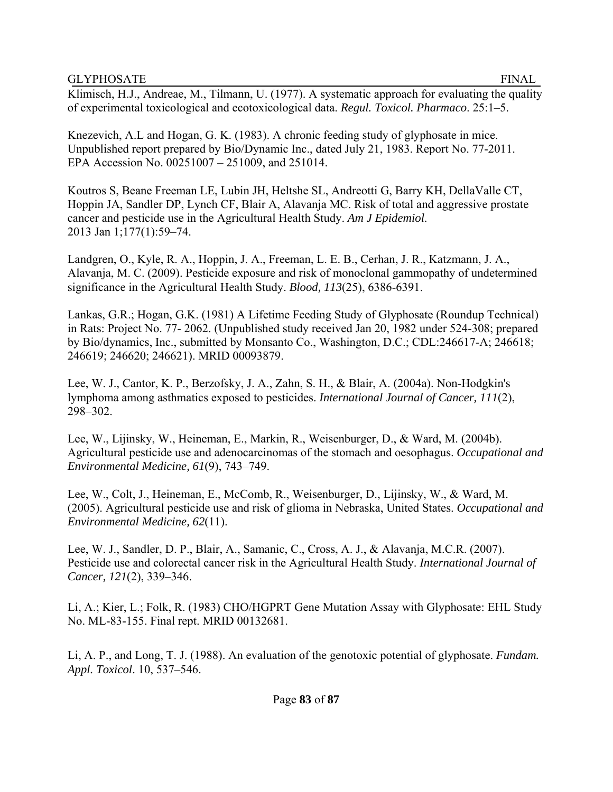Klimisch, H.J., Andreae, M., Tilmann, U. (1977). A systematic approach for evaluating the quality of experimental toxicological and ecotoxicological data. *Regul. Toxicol. Pharmaco*. 25:1–5.

Knezevich, A.L and Hogan, G. K. (1983). A chronic feeding study of glyphosate in mice. Unpublished report prepared by Bio/Dynamic Inc., dated July 21, 1983. Report No. 77-2011. EPA Accession No. 00251007 – 251009, and 251014.

Koutros S, Beane Freeman LE, Lubin JH, Heltshe SL, Andreotti G, Barry KH, DellaValle CT, Hoppin JA, Sandler DP, Lynch CF, Blair A, Alavanja MC. Risk of total and aggressive prostate cancer and pesticide use in the Agricultural Health Study. *Am J Epidemiol*. 2013 Jan 1;177(1):59–74.

Landgren, O., Kyle, R. A., Hoppin, J. A., Freeman, L. E. B., Cerhan, J. R., Katzmann, J. A., Alavanja, M. C. (2009). Pesticide exposure and risk of monoclonal gammopathy of undetermined significance in the Agricultural Health Study. *Blood, 113*(25), 6386-6391.

Lankas, G.R.; Hogan, G.K. (1981) A Lifetime Feeding Study of Glyphosate (Roundup Technical) in Rats: Project No. 77- 2062. (Unpublished study received Jan 20, 1982 under 524-308; prepared by Bio/dynamics, Inc., submitted by Monsanto Co., Washington, D.C.; CDL:246617-A; 246618; 246619; 246620; 246621). MRID 00093879.

Lee, W. J., Cantor, K. P., Berzofsky, J. A., Zahn, S. H., & Blair, A. (2004a). Non-Hodgkin's lymphoma among asthmatics exposed to pesticides. *International Journal of Cancer, 111*(2), 298–302.

Lee, W., Lijinsky, W., Heineman, E., Markin, R., Weisenburger, D., & Ward, M. (2004b). Agricultural pesticide use and adenocarcinomas of the stomach and oesophagus. *Occupational and Environmental Medicine, 61*(9), 743–749.

Lee, W., Colt, J., Heineman, E., McComb, R., Weisenburger, D., Lijinsky, W., & Ward, M. (2005). Agricultural pesticide use and risk of glioma in Nebraska, United States. *Occupational and Environmental Medicine, 62*(11).

Lee, W. J., Sandler, D. P., Blair, A., Samanic, C., Cross, A. J., & Alavanja, M.C.R. (2007). Pesticide use and colorectal cancer risk in the Agricultural Health Study. *International Journal of Cancer, 121*(2), 339–346.

Li, A.; Kier, L.; Folk, R. (1983) CHO/HGPRT Gene Mutation Assay with Glyphosate: EHL Study No. ML-83-155. Final rept. MRID 00132681.

Li, A. P., and Long, T. J. (1988). An evaluation of the genotoxic potential of glyphosate. *Fundam. Appl. Toxicol*. 10, 537–546.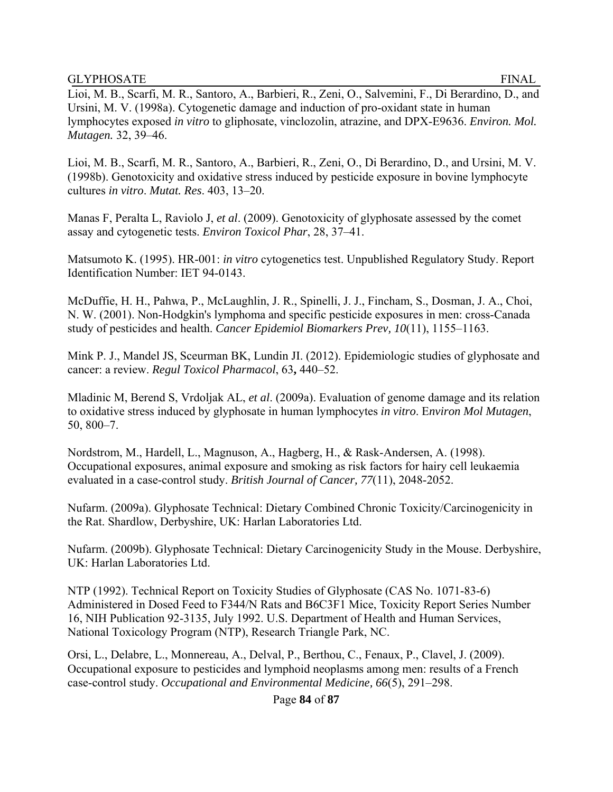Lioi, M. B., Scarfi, M. R., Santoro, A., Barbieri, R., Zeni, O., Salvemini, F., Di Berardino, D., and Ursini, M. V. (1998a). Cytogenetic damage and induction of pro-oxidant state in human lymphocytes exposed *in vitro* to gliphosate, vinclozolin, atrazine, and DPX-E9636. *Environ. Mol. Mutagen.* 32, 39–46.

Lioi, M. B., Scarfi, M. R., Santoro, A., Barbieri, R., Zeni, O., Di Berardino, D., and Ursini, M. V. (1998b). Genotoxicity and oxidative stress induced by pesticide exposure in bovine lymphocyte cultures *in vitro*. *Mutat. Res*. 403, 13–20.

Manas F, Peralta L, Raviolo J, *et al*. (2009). Genotoxicity of glyphosate assessed by the comet assay and cytogenetic tests. *Environ Toxicol Phar*, 28, 37–41.

Matsumoto K. (1995). HR-001: *in vitro* cytogenetics test. Unpublished Regulatory Study. Report Identification Number: IET 94-0143.

McDuffie, H. H., Pahwa, P., McLaughlin, J. R., Spinelli, J. J., Fincham, S., Dosman, J. A., Choi, N. W. (2001). Non-Hodgkin's lymphoma and specific pesticide exposures in men: cross-Canada study of pesticides and health. *Cancer Epidemiol Biomarkers Prev, 10*(11), 1155–1163.

Mink P. J., Mandel JS, Sceurman BK, Lundin JI. (2012). Epidemiologic studies of glyphosate and cancer: a review. *Regul Toxicol Pharmacol*, 63**,** 440–52.

Mladinic M, Berend S, Vrdoljak AL, *et al*. (2009a). Evaluation of genome damage and its relation to oxidative stress induced by glyphosate in human lymphocytes *in vitro*. E*nviron Mol Mutagen*, 50, 800–7.

Nordstrom, M., Hardell, L., Magnuson, A., Hagberg, H., & Rask-Andersen, A. (1998). Occupational exposures, animal exposure and smoking as risk factors for hairy cell leukaemia evaluated in a case-control study. *British Journal of Cancer, 77*(11), 2048-2052.

Nufarm. (2009a). Glyphosate Technical: Dietary Combined Chronic Toxicity/Carcinogenicity in the Rat. Shardlow, Derbyshire, UK: Harlan Laboratories Ltd.

Nufarm. (2009b). Glyphosate Technical: Dietary Carcinogenicity Study in the Mouse. Derbyshire, UK: Harlan Laboratories Ltd.

NTP (1992). Technical Report on Toxicity Studies of Glyphosate (CAS No. 1071-83-6) Administered in Dosed Feed to F344/N Rats and B6C3F1 Mice, Toxicity Report Series Number 16, NIH Publication 92-3135, July 1992. U.S. Department of Health and Human Services, National Toxicology Program (NTP), Research Triangle Park, NC.

Orsi, L., Delabre, L., Monnereau, A., Delval, P., Berthou, C., Fenaux, P., Clavel, J. (2009). Occupational exposure to pesticides and lymphoid neoplasms among men: results of a French case-control study. *Occupational and Environmental Medicine, 66*(5), 291–298.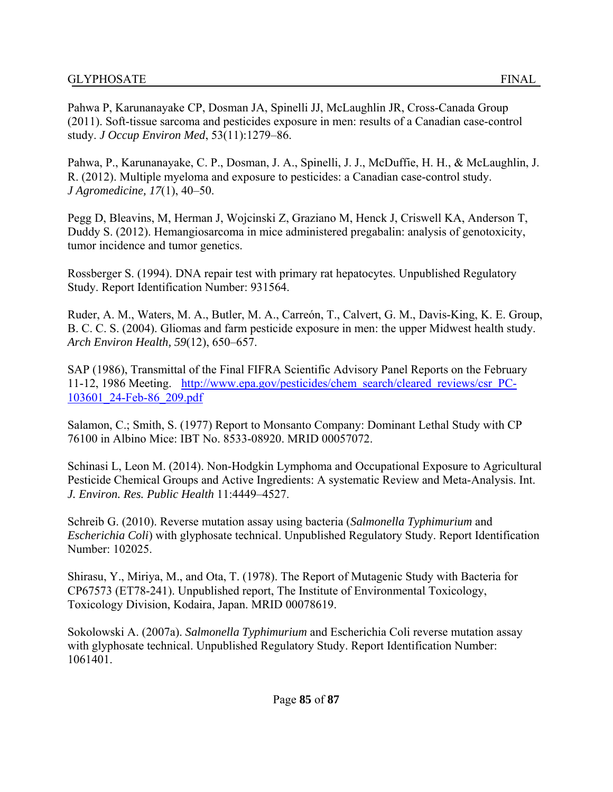Pahwa P, Karunanayake CP, Dosman JA, Spinelli JJ, McLaughlin JR, Cross-Canada Group (2011). Soft-tissue sarcoma and pesticides exposure in men: results of a Canadian case-control study. *J Occup Environ Med*, 53(11):1279–86.

Pahwa, P., Karunanayake, C. P., Dosman, J. A., Spinelli, J. J., McDuffie, H. H., & McLaughlin, J. R. (2012). Multiple myeloma and exposure to pesticides: a Canadian case-control study. *J Agromedicine, 17*(1), 40–50.

Pegg D, Bleavins, M, Herman J, Wojcinski Z, Graziano M, Henck J, Criswell KA, Anderson T, Duddy S. (2012). Hemangiosarcoma in mice administered pregabalin: analysis of genotoxicity, tumor incidence and tumor genetics.

Rossberger S. (1994). DNA repair test with primary rat hepatocytes. Unpublished Regulatory Study. Report Identification Number: 931564.

Ruder, A. M., Waters, M. A., Butler, M. A., Carreón, T., Calvert, G. M., Davis-King, K. E. Group, B. C. C. S. (2004). Gliomas and farm pesticide exposure in men: the upper Midwest health study. *Arch Environ Health, 59*(12), 650–657.

SAP (1986), Transmittal of the Final FIFRA Scientific Advisory Panel Reports on the February 11-12, 1986 Meeting. http://www.epa.gov/pesticides/chem\_search/cleared\_reviews/csr\_PC-103601\_24-Feb-86\_209.pdf

Salamon, C.; Smith, S. (1977) Report to Monsanto Company: Dominant Lethal Study with CP 76100 in Albino Mice: IBT No. 8533-08920. MRID 00057072.

Schinasi L, Leon M. (2014). Non-Hodgkin Lymphoma and Occupational Exposure to Agricultural Pesticide Chemical Groups and Active Ingredients: A systematic Review and Meta-Analysis. Int. *J. Environ. Res. Public Health* 11:4449–4527.

Schreib G. (2010). Reverse mutation assay using bacteria (*Salmonella Typhimurium* and *Escherichia Coli*) with glyphosate technical. Unpublished Regulatory Study. Report Identification Number: 102025.

Shirasu, Y., Miriya, M., and Ota, T. (1978). The Report of Mutagenic Study with Bacteria for CP67573 (ET78-241). Unpublished report, The Institute of Environmental Toxicology, Toxicology Division, Kodaira, Japan. MRID 00078619.

Sokolowski A. (2007a). *Salmonella Typhimurium* and Escherichia Coli reverse mutation assay with glyphosate technical. Unpublished Regulatory Study. Report Identification Number: 1061401.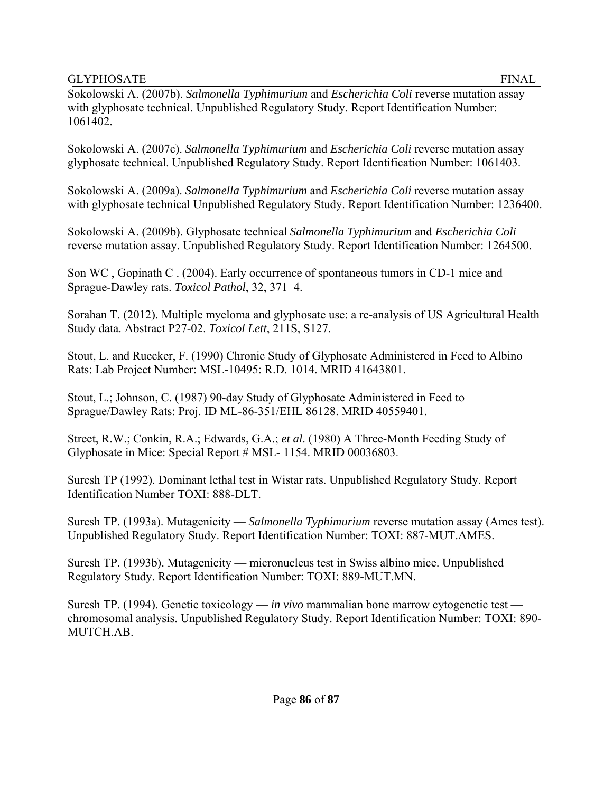Sokolowski A. (2007b). *Salmonella Typhimurium* and *Escherichia Coli* reverse mutation assay with glyphosate technical. Unpublished Regulatory Study. Report Identification Number: 1061402.

Sokolowski A. (2007c). *Salmonella Typhimurium* and *Escherichia Coli* reverse mutation assay glyphosate technical. Unpublished Regulatory Study. Report Identification Number: 1061403.

Sokolowski A. (2009a). *Salmonella Typhimurium* and *Escherichia Coli* reverse mutation assay with glyphosate technical Unpublished Regulatory Study. Report Identification Number: 1236400.

Sokolowski A. (2009b). Glyphosate technical *Salmonella Typhimurium* and *Escherichia Coli*  reverse mutation assay. Unpublished Regulatory Study. Report Identification Number: 1264500.

Son WC , Gopinath C . (2004). Early occurrence of spontaneous tumors in CD-1 mice and Sprague-Dawley rats. *Toxicol Pathol*, 32, 371–4.

Sorahan T. (2012). Multiple myeloma and glyphosate use: a re-analysis of US Agricultural Health Study data. Abstract P27-02. *Toxicol Lett*, 211S, S127.

Stout, L. and Ruecker, F. (1990) Chronic Study of Glyphosate Administered in Feed to Albino Rats: Lab Project Number: MSL-10495: R.D. 1014. MRID 41643801.

Stout, L.; Johnson, C. (1987) 90-day Study of Glyphosate Administered in Feed to Sprague/Dawley Rats: Proj. ID ML-86-351/EHL 86128. MRID 40559401.

Street, R.W.; Conkin, R.A.; Edwards, G.A.; *et al*. (1980) A Three-Month Feeding Study of Glyphosate in Mice: Special Report # MSL- 1154. MRID 00036803.

Suresh TP (1992). Dominant lethal test in Wistar rats. Unpublished Regulatory Study. Report Identification Number TOXI: 888-DLT.

Suresh TP. (1993a). Mutagenicity — *Salmonella Typhimurium* reverse mutation assay (Ames test). Unpublished Regulatory Study. Report Identification Number: TOXI: 887-MUT.AMES.

Suresh TP. (1993b). Mutagenicity — micronucleus test in Swiss albino mice. Unpublished Regulatory Study. Report Identification Number: TOXI: 889-MUT.MN.

Suresh TP. (1994). Genetic toxicology — *in vivo* mammalian bone marrow cytogenetic test chromosomal analysis. Unpublished Regulatory Study. Report Identification Number: TOXI: 890- MUTCH.AB.